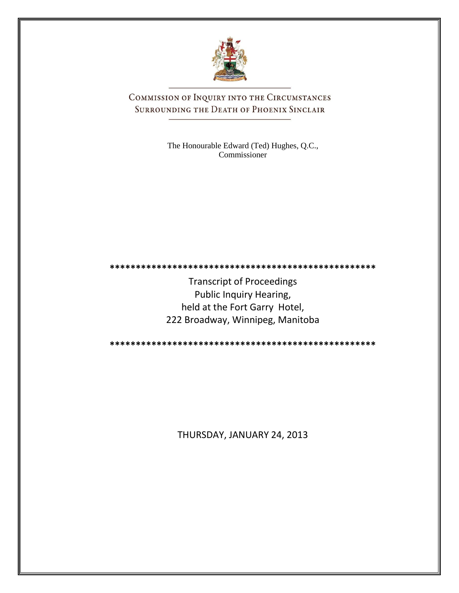

COMMISSION OF INQUIRY INTO THE CIRCUMSTANCES SURROUNDING THE DEATH OF PHOENIX SINCLAIR

> The Honourable Edward (Ted) Hughes, Q.C., Commissioner

**\*\*\*\*\*\*\*\*\*\*\*\*\*\*\*\*\*\*\*\*\*\*\*\*\*\*\*\*\*\*\*\*\*\*\*\*\*\*\*\*\*\*\*\*\*\*\*\*\*\*\***

Transcript of Proceedings Public Inquiry Hearing, held at the Fort Garry Hotel, 222 Broadway, Winnipeg, Manitoba

**\*\*\*\*\*\*\*\*\*\*\*\*\*\*\*\*\*\*\*\*\*\*\*\*\*\*\*\*\*\*\*\*\*\*\*\*\*\*\*\*\*\*\*\*\*\*\*\*\*\*\***

THURSDAY, JANUARY 24, 2013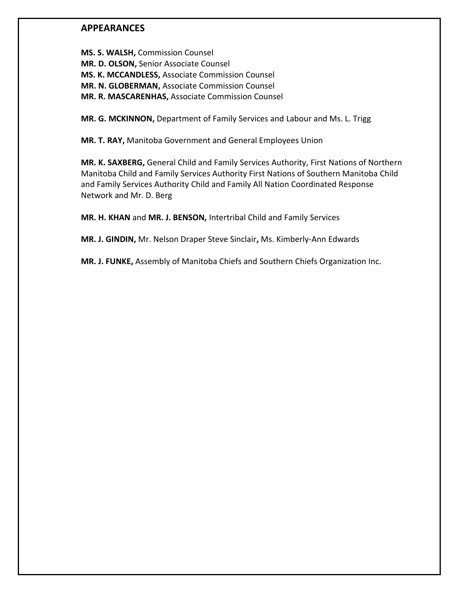# **APPEARANCES**

**MS. S. WALSH,** Commission Counsel **MR. D. OLSON,** Senior Associate Counsel **MS. K. MCCANDLESS,** Associate Commission Counsel **MR. N. GLOBERMAN,** Associate Commission Counsel **MR. R. MASCARENHAS,** Associate Commission Counsel

**MR. G. MCKINNON,** Department of Family Services and Labour and Ms. L. Trigg

**MR. T. RAY,** Manitoba Government and General Employees Union

**MR. K. SAXBERG,** General Child and Family Services Authority, First Nations of Northern Manitoba Child and Family Services Authority First Nations of Southern Manitoba Child and Family Services Authority Child and Family All Nation Coordinated Response Network and Mr. D. Berg

**MR. H. KHAN** and **MR. J. BENSON,** Intertribal Child and Family Services

**MR. J. GINDIN,** Mr. Nelson Draper Steve Sinclair**,** Ms. Kimberly-Ann Edwards

**MR. J. FUNKE,** Assembly of Manitoba Chiefs and Southern Chiefs Organization Inc.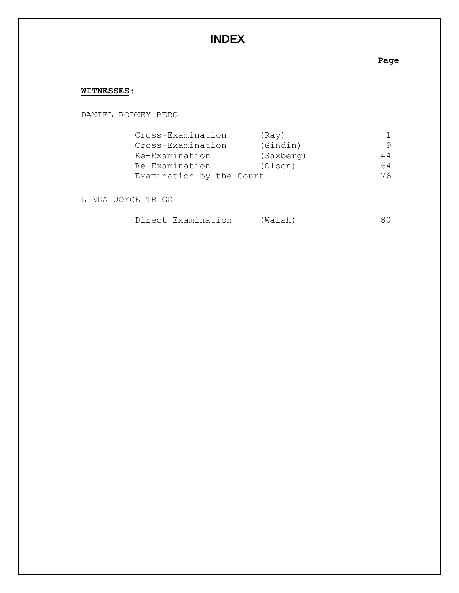# **INDEX**

## **Page**

# **WITNESSES**:

DANIEL RODNEY BERG

| Cross-Examination        | (Rav)     |     |
|--------------------------|-----------|-----|
| Cross-Examination        | (Gindin)  |     |
| Re-Examination           | (Saxberg) | 44  |
| Re-Examination           | (Olson)   | 64  |
| Examination by the Court |           | 76. |

LINDA JOYCE TRIGG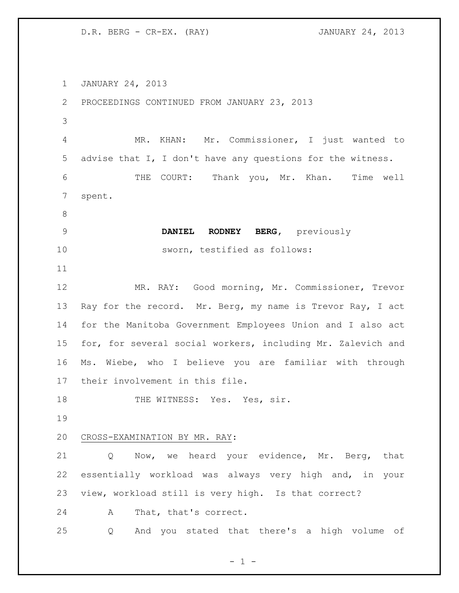D.R. BERG - CR-EX. (RAY) JANUARY 24, 2013

 JANUARY 24, 2013 PROCEEDINGS CONTINUED FROM JANUARY 23, 2013 MR. KHAN: Mr. Commissioner, I just wanted to advise that I, I don't have any questions for the witness. THE COURT: Thank you, Mr. Khan. Time well spent. **DANIEL RODNEY BERG,** previously sworn, testified as follows: MR. RAY: Good morning, Mr. Commissioner, Trevor 13 Ray for the record. Mr. Berg, my name is Trevor Ray, I act for the Manitoba Government Employees Union and I also act for, for several social workers, including Mr. Zalevich and Ms. Wiebe, who I believe you are familiar with through their involvement in this file. 18 THE WITNESS: Yes. Yes, sir. CROSS-EXAMINATION BY MR. RAY: Q Now, we heard your evidence, Mr. Berg, that essentially workload was always very high and, in your view, workload still is very high. Is that correct? A That, that's correct. Q And you stated that there's a high volume of

 $- 1 -$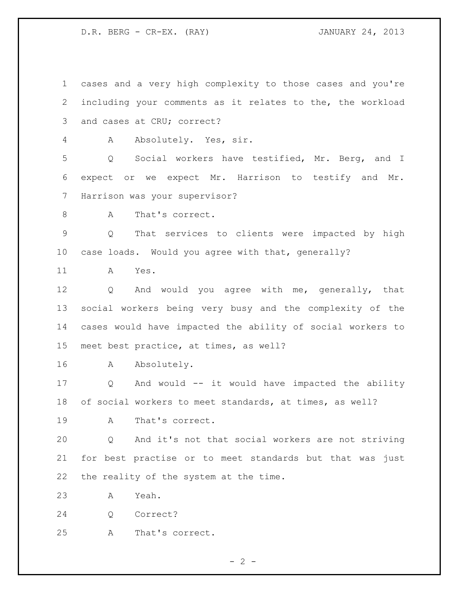D.R. BERG - CR-EX. (RAY) JANUARY 24, 2013

 cases and a very high complexity to those cases and you're including your comments as it relates to the, the workload and cases at CRU; correct? A Absolutely. Yes, sir. Q Social workers have testified, Mr. Berg, and I expect or we expect Mr. Harrison to testify and Mr. Harrison was your supervisor? 8 A That's correct. Q That services to clients were impacted by high case loads. Would you agree with that, generally? A Yes. Q And would you agree with me, generally, that social workers being very busy and the complexity of the cases would have impacted the ability of social workers to meet best practice, at times, as well? A Absolutely. Q And would -- it would have impacted the ability of social workers to meet standards, at times, as well? A That's correct. Q And it's not that social workers are not striving for best practise or to meet standards but that was just the reality of the system at the time. A Yeah. Q Correct? A That's correct.

 $- 2 -$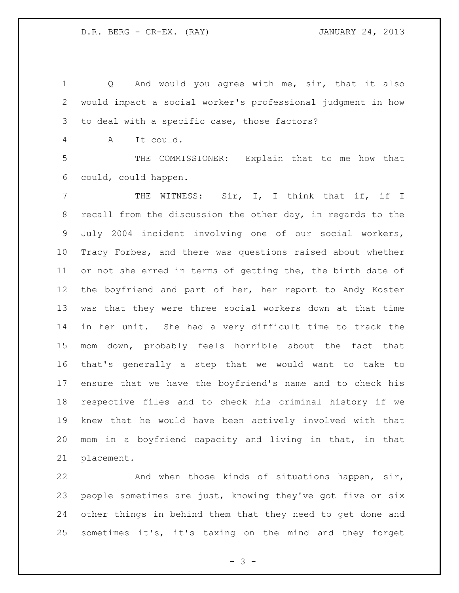1 Q And would you agree with me, sir, that it also would impact a social worker's professional judgment in how to deal with a specific case, those factors?

A It could.

 THE COMMISSIONER: Explain that to me how that could, could happen.

7 THE WITNESS: Sir, I, I think that if, if I recall from the discussion the other day, in regards to the July 2004 incident involving one of our social workers, Tracy Forbes, and there was questions raised about whether 11 or not she erred in terms of getting the, the birth date of the boyfriend and part of her, her report to Andy Koster was that they were three social workers down at that time in her unit. She had a very difficult time to track the mom down, probably feels horrible about the fact that that's generally a step that we would want to take to ensure that we have the boyfriend's name and to check his respective files and to check his criminal history if we knew that he would have been actively involved with that mom in a boyfriend capacity and living in that, in that placement.

 And when those kinds of situations happen, sir, people sometimes are just, knowing they've got five or six other things in behind them that they need to get done and sometimes it's, it's taxing on the mind and they forget

- 3 -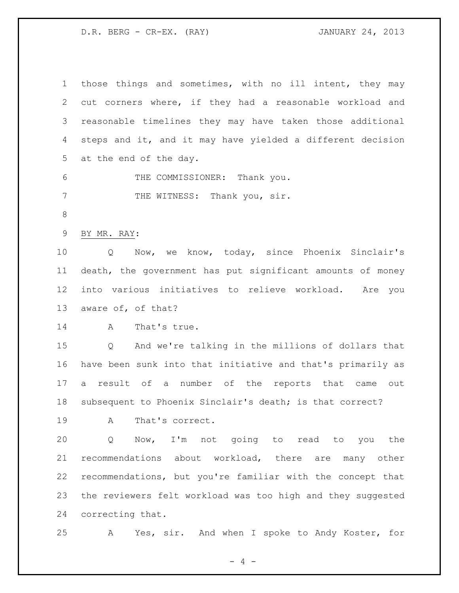D.R. BERG - CR-EX. (RAY) JANUARY 24, 2013

| $\mathbf{1}$ | those things and sometimes, with no ill intent, they may    |
|--------------|-------------------------------------------------------------|
| 2            | cut corners where, if they had a reasonable workload and    |
| 3            | reasonable timelines they may have taken those additional   |
| 4            | steps and it, and it may have yielded a different decision  |
| 5            | at the end of the day.                                      |
| 6            | THE COMMISSIONER: Thank you.                                |
| 7            | THE WITNESS: Thank you, sir.                                |
| $8\,$        |                                                             |
| $\mathsf 9$  | BY MR. RAY:                                                 |
| 10           | Now, we know, today, since Phoenix Sinclair's<br>Q          |
| 11           | death, the government has put significant amounts of money  |
| 12           | into various initiatives to relieve workload. Are you       |
| 13           | aware of, of that?                                          |
| 14           | That's true.<br>A                                           |
| 15           | And we're talking in the millions of dollars that<br>Q      |
| 16           | have been sunk into that initiative and that's primarily as |
| 17           | result of a number of the reports that came<br>a<br>out     |
| 18           | subsequent to Phoenix Sinclair's death; is that correct?    |
| 19           | That's correct.<br>A                                        |
| 20           | Now, I'm not going to read to you the<br>Q                  |
| 21           | recommendations about workload, there are many other        |
| 22           | recommendations, but you're familiar with the concept that  |
| 23           | the reviewers felt workload was too high and they suggested |
| 24           | correcting that.                                            |
| 25           | Yes, sir. And when I spoke to Andy Koster, for<br>A         |

- 4 -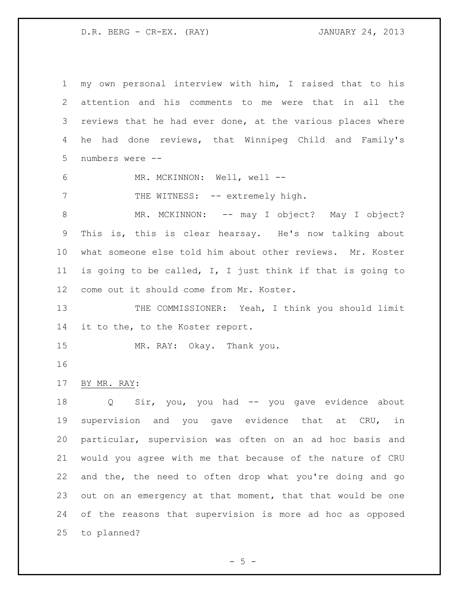D.R. BERG - CR-EX. (RAY) JANUARY 24, 2013

 my own personal interview with him, I raised that to his attention and his comments to me were that in all the reviews that he had ever done, at the various places where he had done reviews, that Winnipeg Child and Family's numbers were --

6 MR. MCKINNON: Well, well --

7 THE WITNESS: -- extremely high.

8 MR. MCKINNON: -- may I object? May I object? This is, this is clear hearsay. He's now talking about what someone else told him about other reviews. Mr. Koster is going to be called, I, I just think if that is going to come out it should come from Mr. Koster.

13 THE COMMISSIONER: Yeah, I think you should limit 14 it to the, to the Koster report.

MR. RAY: Okay. Thank you.

### BY MR. RAY:

18 Q Sir, you, you had -- you gave evidence about supervision and you gave evidence that at CRU, in particular, supervision was often on an ad hoc basis and would you agree with me that because of the nature of CRU and the, the need to often drop what you're doing and go out on an emergency at that moment, that that would be one of the reasons that supervision is more ad hoc as opposed to planned?

 $-5 -$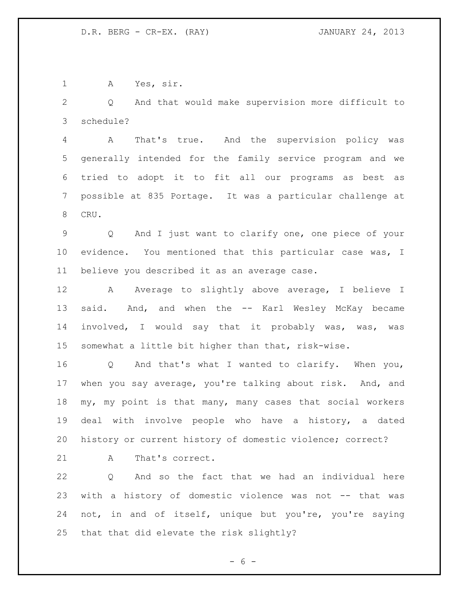A Yes, sir.

 Q And that would make supervision more difficult to schedule?

 A That's true. And the supervision policy was generally intended for the family service program and we tried to adopt it to fit all our programs as best as possible at 835 Portage. It was a particular challenge at CRU.

 Q And I just want to clarify one, one piece of your evidence. You mentioned that this particular case was, I believe you described it as an average case.

12 A Average to slightly above average, I believe I 13 said. And, and when the -- Karl Wesley McKay became involved, I would say that it probably was, was, was somewhat a little bit higher than that, risk-wise.

 Q And that's what I wanted to clarify. When you, when you say average, you're talking about risk. And, and my, my point is that many, many cases that social workers deal with involve people who have a history, a dated history or current history of domestic violence; correct?

21 A That's correct.

 Q And so the fact that we had an individual here with a history of domestic violence was not -- that was not, in and of itself, unique but you're, you're saying that that did elevate the risk slightly?

 $- 6 -$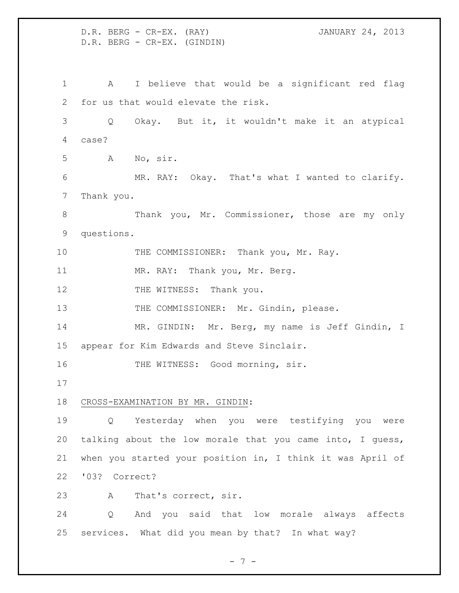D.R. BERG - CR-EX. (RAY) JANUARY 24, 2013 D.R. BERG - CR-EX. (GINDIN) A I believe that would be a significant red flag for us that would elevate the risk. Q Okay. But it, it wouldn't make it an atypical case? A No, sir. MR. RAY: Okay. That's what I wanted to clarify. Thank you. Thank you, Mr. Commissioner, those are my only questions. 10 THE COMMISSIONER: Thank you, Mr. Ray. 11 MR. RAY: Thank you, Mr. Berg. 12 THE WITNESS: Thank you. 13 THE COMMISSIONER: Mr. Gindin, please. MR. GINDIN: Mr. Berg, my name is Jeff Gindin, I appear for Kim Edwards and Steve Sinclair. 16 THE WITNESS: Good morning, sir. CROSS-EXAMINATION BY MR. GINDIN: Q Yesterday when you were testifying you were talking about the low morale that you came into, I guess, when you started your position in, I think it was April of '03? Correct? A That's correct, sir. Q And you said that low morale always affects services. What did you mean by that? In what way?

 $- 7 -$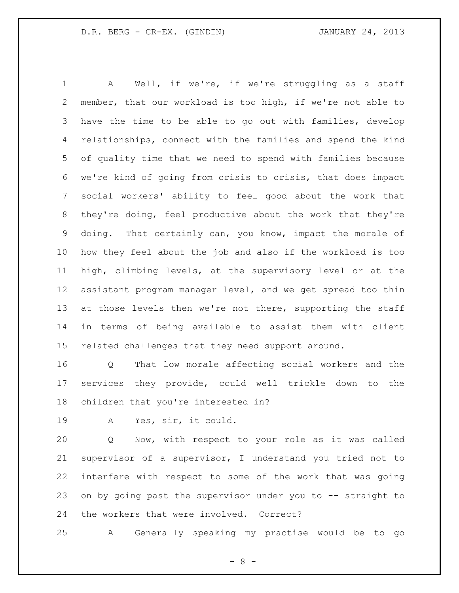A Well, if we're, if we're struggling as a staff member, that our workload is too high, if we're not able to have the time to be able to go out with families, develop relationships, connect with the families and spend the kind of quality time that we need to spend with families because we're kind of going from crisis to crisis, that does impact social workers' ability to feel good about the work that they're doing, feel productive about the work that they're doing. That certainly can, you know, impact the morale of how they feel about the job and also if the workload is too high, climbing levels, at the supervisory level or at the assistant program manager level, and we get spread too thin 13 at those levels then we're not there, supporting the staff in terms of being available to assist them with client related challenges that they need support around.

 Q That low morale affecting social workers and the services they provide, could well trickle down to the children that you're interested in?

A Yes, sir, it could.

 Q Now, with respect to your role as it was called supervisor of a supervisor, I understand you tried not to interfere with respect to some of the work that was going on by going past the supervisor under you to -- straight to the workers that were involved. Correct?

A Generally speaking my practise would be to go

 $- 8 -$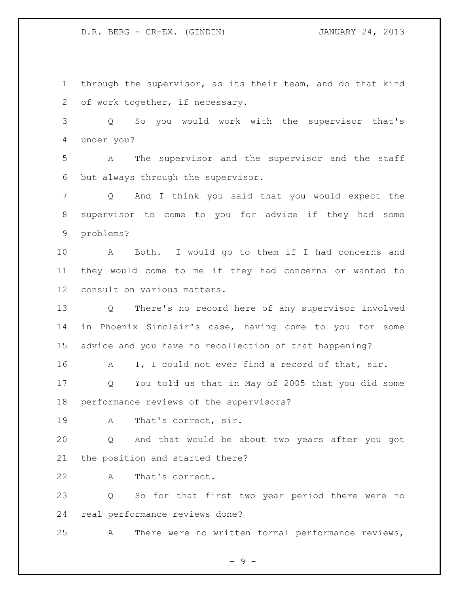through the supervisor, as its their team, and do that kind of work together, if necessary.

 Q So you would work with the supervisor that's under you?

 A The supervisor and the supervisor and the staff but always through the supervisor.

 Q And I think you said that you would expect the supervisor to come to you for advice if they had some problems?

 A Both. I would go to them if I had concerns and they would come to me if they had concerns or wanted to consult on various matters.

 Q There's no record here of any supervisor involved in Phoenix Sinclair's case, having come to you for some advice and you have no recollection of that happening?

16 A I, I could not ever find a record of that, sir.

 Q You told us that in May of 2005 that you did some performance reviews of the supervisors?

A That's correct, sir.

 Q And that would be about two years after you got the position and started there?

A That's correct.

 Q So for that first two year period there were no real performance reviews done?

A There were no written formal performance reviews,

- 9 -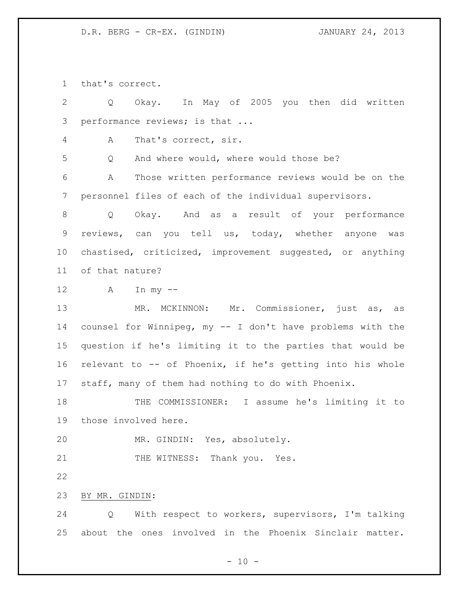that's correct.

 Q Okay. In May of 2005 you then did written performance reviews; is that ... A That's correct, sir. Q And where would, where would those be? A Those written performance reviews would be on the personnel files of each of the individual supervisors. Q Okay. And as a result of your performance reviews, can you tell us, today, whether anyone was chastised, criticized, improvement suggested, or anything of that nature? A In my -- MR. MCKINNON: Mr. Commissioner, just as, as counsel for Winnipeg, my -- I don't have problems with the question if he's limiting it to the parties that would be relevant to -- of Phoenix, if he's getting into his whole staff, many of them had nothing to do with Phoenix. 18 THE COMMISSIONER: I assume he's limiting it to those involved here. MR. GINDIN: Yes, absolutely. 21 THE WITNESS: Thank you. Yes. BY MR. GINDIN: Q With respect to workers, supervisors, I'm talking about the ones involved in the Phoenix Sinclair matter.

 $- 10 -$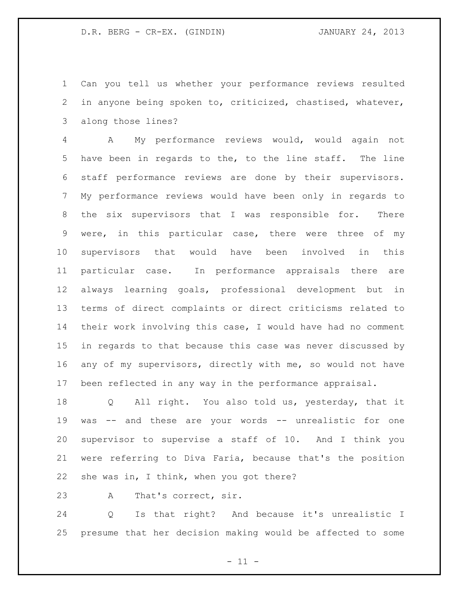Can you tell us whether your performance reviews resulted in anyone being spoken to, criticized, chastised, whatever, along those lines?

 A My performance reviews would, would again not have been in regards to the, to the line staff. The line staff performance reviews are done by their supervisors. My performance reviews would have been only in regards to the six supervisors that I was responsible for. There were, in this particular case, there were three of my supervisors that would have been involved in this particular case. In performance appraisals there are always learning goals, professional development but in terms of direct complaints or direct criticisms related to their work involving this case, I would have had no comment in regards to that because this case was never discussed by any of my supervisors, directly with me, so would not have been reflected in any way in the performance appraisal.

 Q All right. You also told us, yesterday, that it was -- and these are your words -- unrealistic for one supervisor to supervise a staff of 10. And I think you were referring to Diva Faria, because that's the position 22 she was in, I think, when you got there?

A That's correct, sir.

 Q Is that right? And because it's unrealistic I presume that her decision making would be affected to some

 $- 11 -$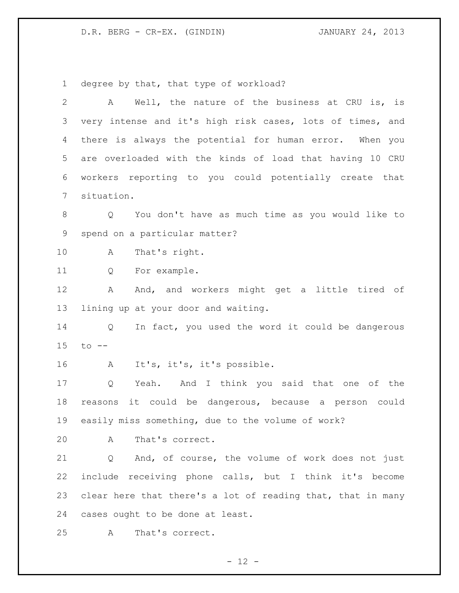degree by that, that type of workload?

| $\overline{2}$ | Well, the nature of the business at CRU is, is<br>A            |
|----------------|----------------------------------------------------------------|
| 3              | very intense and it's high risk cases, lots of times, and      |
| 4              | there is always the potential for human error. When you        |
| 5              | are overloaded with the kinds of load that having 10 CRU       |
| 6              | workers reporting to you could potentially create that         |
| 7              | situation.                                                     |
| $8\,$          | You don't have as much time as you would like to<br>$Q \qquad$ |
| 9              | spend on a particular matter?                                  |
| 10             | That's right.<br>A                                             |
| 11             | For example.<br>Q                                              |
| 12             | And, and workers might get a little tired of<br>A              |
| 13             | lining up at your door and waiting.                            |
| 14             | In fact, you used the word it could be dangerous<br>Q          |
| 15             | $to$ $--$                                                      |
| 16             | It's, it's, it's possible.<br>A                                |
| 17             | Yeah. And I think you said that one of the<br>Q                |
| 18             | reasons it could be dangerous, because a person could          |
| 19             | easily miss something, due to the volume of work?              |
| 20             | That's correct.<br>A                                           |
| 21             | And, of course, the volume of work does not just<br>Q          |
| 22             | include receiving phone calls, but I think it's become         |
| 23             | clear here that there's a lot of reading that, that in many    |
| 24             | cases ought to be done at least.                               |
| 25             | That's correct.<br>Α                                           |

- 12 -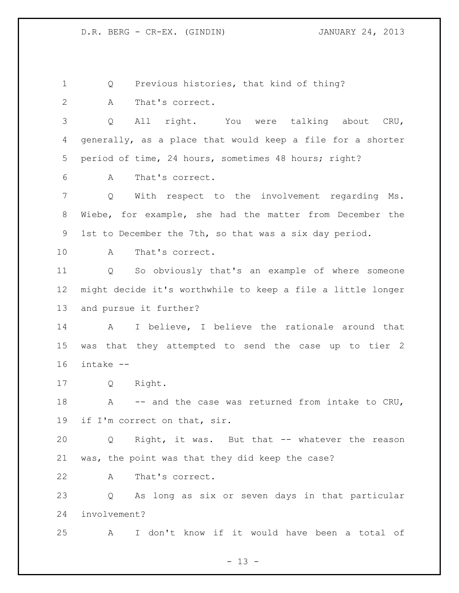Q Previous histories, that kind of thing?

A That's correct.

 Q All right. You were talking about CRU, generally, as a place that would keep a file for a shorter period of time, 24 hours, sometimes 48 hours; right?

A That's correct.

 Q With respect to the involvement regarding Ms. Wiebe, for example, she had the matter from December the 1st to December the 7th, so that was a six day period.

A That's correct.

 Q So obviously that's an example of where someone might decide it's worthwhile to keep a file a little longer and pursue it further?

 A I believe, I believe the rationale around that was that they attempted to send the case up to tier 2 intake --

Q Right.

18 A -- and the case was returned from intake to CRU, if I'm correct on that, sir.

 Q Right, it was. But that -- whatever the reason was, the point was that they did keep the case?

A That's correct.

 Q As long as six or seven days in that particular involvement?

A I don't know if it would have been a total of

 $- 13 -$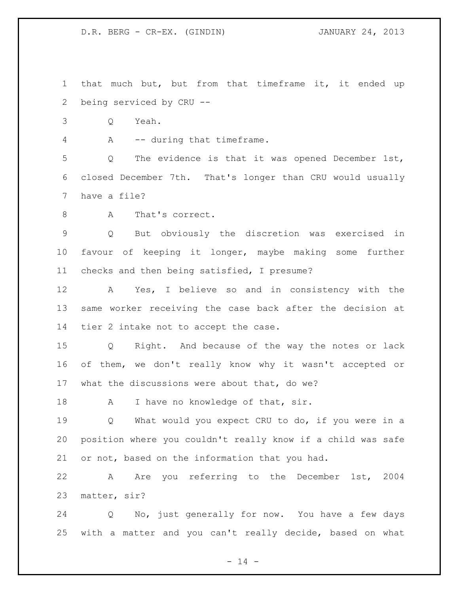that much but, but from that timeframe it, it ended up being serviced by CRU --

Q Yeah.

A -- during that timeframe.

 Q The evidence is that it was opened December 1st, closed December 7th. That's longer than CRU would usually have a file?

8 A That's correct.

 Q But obviously the discretion was exercised in favour of keeping it longer, maybe making some further checks and then being satisfied, I presume?

 A Yes, I believe so and in consistency with the same worker receiving the case back after the decision at tier 2 intake not to accept the case.

 Q Right. And because of the way the notes or lack of them, we don't really know why it wasn't accepted or what the discussions were about that, do we?

18 A I have no knowledge of that, sir.

 Q What would you expect CRU to do, if you were in a position where you couldn't really know if a child was safe or not, based on the information that you had.

 A Are you referring to the December 1st, 2004 matter, sir?

 Q No, just generally for now. You have a few days with a matter and you can't really decide, based on what

 $- 14 -$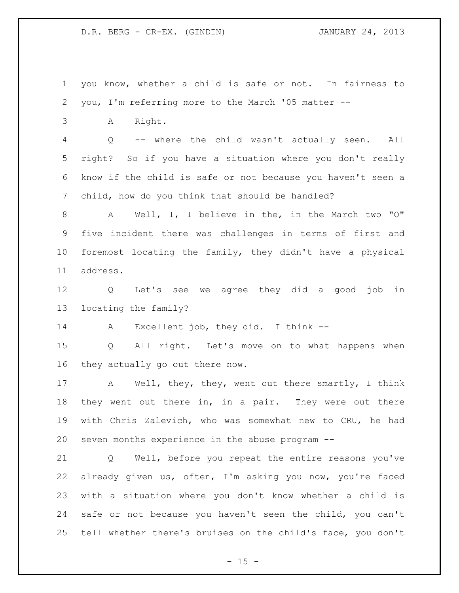you know, whether a child is safe or not. In fairness to you, I'm referring more to the March '05 matter -- A Right. Q -- where the child wasn't actually seen. All right? So if you have a situation where you don't really know if the child is safe or not because you haven't seen a child, how do you think that should be handled? A Well, I, I believe in the, in the March two "O"

 five incident there was challenges in terms of first and foremost locating the family, they didn't have a physical address.

 Q Let's see we agree they did a good job in locating the family?

A Excellent job, they did. I think --

 Q All right. Let's move on to what happens when they actually go out there now.

 A Well, they, they, went out there smartly, I think 18 they went out there in, in a pair. They were out there with Chris Zalevich, who was somewhat new to CRU, he had seven months experience in the abuse program --

 Q Well, before you repeat the entire reasons you've already given us, often, I'm asking you now, you're faced with a situation where you don't know whether a child is safe or not because you haven't seen the child, you can't tell whether there's bruises on the child's face, you don't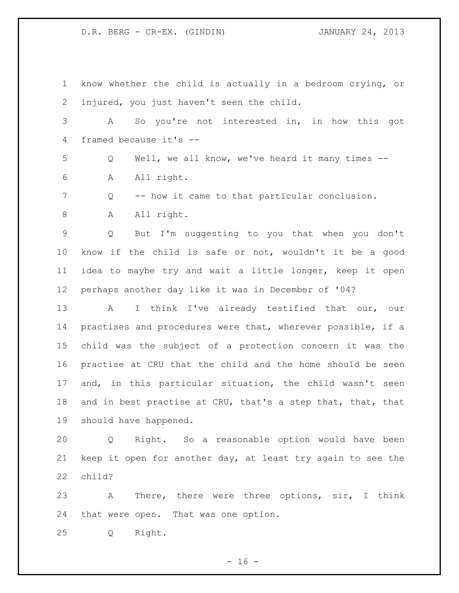know whether the child is actually in a bedroom crying, or injured, you just haven't seen the child. A So you're not interested in, in how this got framed because it's -- Q Well, we all know, we've heard it many times -- A All right. Q -- how it came to that particular conclusion. 8 A All right. Q But I'm suggesting to you that when you don't know if the child is safe or not, wouldn't it be a good idea to maybe try and wait a little longer, keep it open perhaps another day like it was in December of '04? A I think I've already testified that our, our practises and procedures were that, wherever possible, if a child was the subject of a protection concern it was the practise at CRU that the child and the home should be seen and, in this particular situation, the child wasn't seen and in best practise at CRU, that's a step that, that, that should have happened. Q Right. So a reasonable option would have been keep it open for another day, at least try again to see the child? A There, there were three options, sir, I think

that were open. That was one option.

Q Right.

 $- 16 -$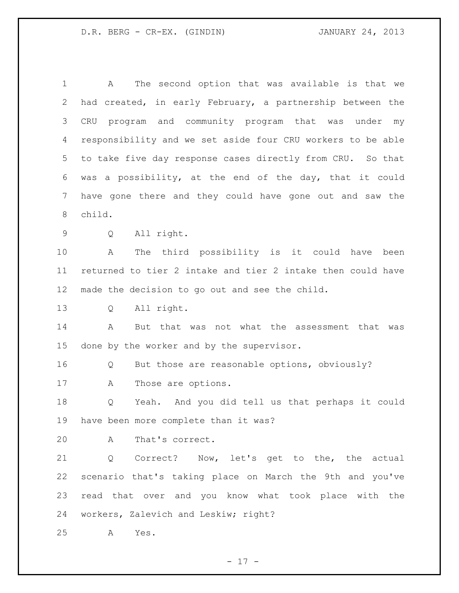A The second option that was available is that we had created, in early February, a partnership between the CRU program and community program that was under my responsibility and we set aside four CRU workers to be able to take five day response cases directly from CRU. So that was a possibility, at the end of the day, that it could have gone there and they could have gone out and saw the child. Q All right. A The third possibility is it could have been returned to tier 2 intake and tier 2 intake then could have made the decision to go out and see the child. Q All right. A But that was not what the assessment that was done by the worker and by the supervisor. Q But those are reasonable options, obviously? A Those are options. Q Yeah. And you did tell us that perhaps it could have been more complete than it was? A That's correct. Q Correct? Now, let's get to the, the actual scenario that's taking place on March the 9th and you've read that over and you know what took place with the workers, Zalevich and Leskiw; right? A Yes.

- 17 -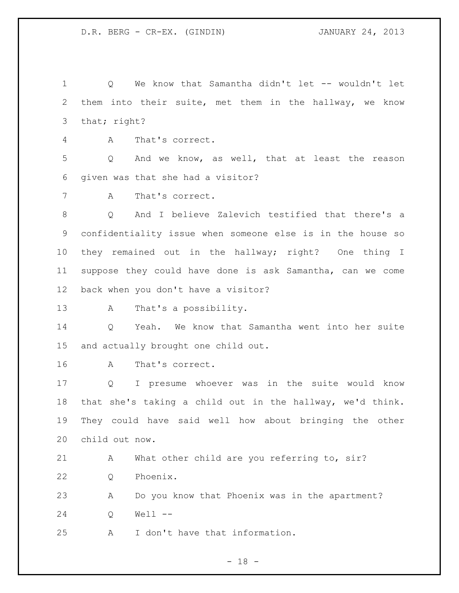Q We know that Samantha didn't let -- wouldn't let them into their suite, met them in the hallway, we know 3 that; right?

A That's correct.

 Q And we know, as well, that at least the reason given was that she had a visitor?

A That's correct.

 Q And I believe Zalevich testified that there's a confidentiality issue when someone else is in the house so they remained out in the hallway; right? One thing I suppose they could have done is ask Samantha, can we come back when you don't have a visitor?

A That's a possibility.

 Q Yeah. We know that Samantha went into her suite and actually brought one child out.

A That's correct.

 Q I presume whoever was in the suite would know that she's taking a child out in the hallway, we'd think. They could have said well how about bringing the other child out now.

21 A What other child are you referring to, sir?

Q Phoenix.

 A Do you know that Phoenix was in the apartment? Q Well --

A I don't have that information.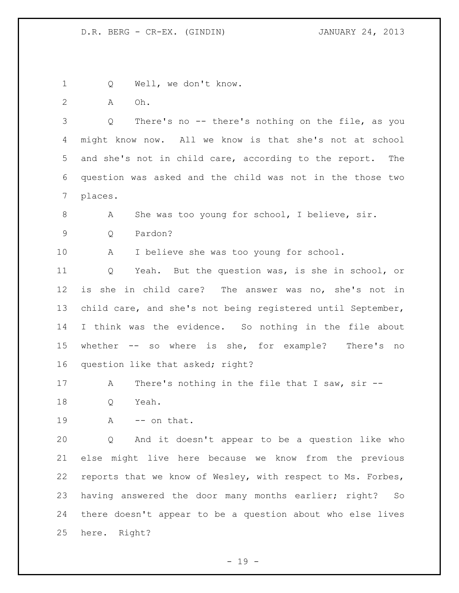1 Q Well, we don't know. A Oh. Q There's no -- there's nothing on the file, as you might know now. All we know is that she's not at school and she's not in child care, according to the report. The question was asked and the child was not in the those two places. 8 A She was too young for school, I believe, sir. Q Pardon? A I believe she was too young for school. Q Yeah. But the question was, is she in school, or is she in child care? The answer was no, she's not in child care, and she's not being registered until September, I think was the evidence. So nothing in the file about whether -- so where is she, for example? There's no question like that asked; right? A There's nothing in the file that I saw, sir -- Q Yeah.  $A$   $-$  on that. Q And it doesn't appear to be a question like who else might live here because we know from the previous reports that we know of Wesley, with respect to Ms. Forbes, having answered the door many months earlier; right? So there doesn't appear to be a question about who else lives here. Right?

- 19 -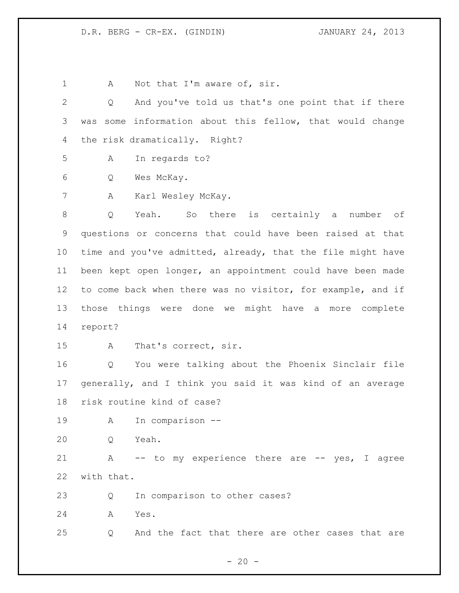1 A Not that I'm aware of, sir.

 Q And you've told us that's one point that if there was some information about this fellow, that would change the risk dramatically. Right?

A In regards to?

Q Wes McKay.

A Karl Wesley McKay.

 Q Yeah. So there is certainly a number of questions or concerns that could have been raised at that time and you've admitted, already, that the file might have been kept open longer, an appointment could have been made to come back when there was no visitor, for example, and if those things were done we might have a more complete report?

A That's correct, sir.

 Q You were talking about the Phoenix Sinclair file generally, and I think you said it was kind of an average risk routine kind of case?

A In comparison --

Q Yeah.

 A -- to my experience there are -- yes, I agree with that.

Q In comparison to other cases?

A Yes.

Q And the fact that there are other cases that are

 $- 20 -$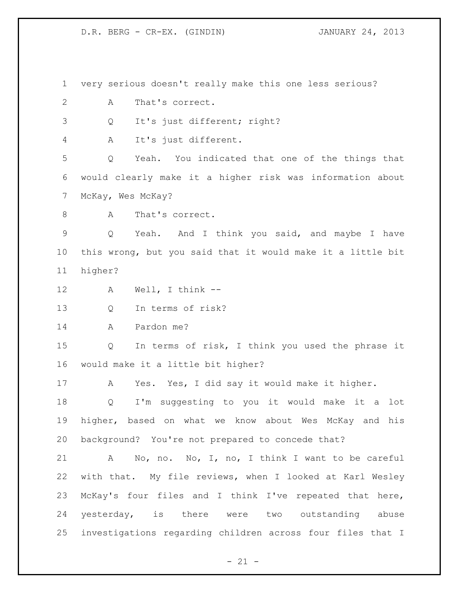very serious doesn't really make this one less serious?

- A That's correct.
- Q It's just different; right?

A It's just different.

 Q Yeah. You indicated that one of the things that would clearly make it a higher risk was information about McKay, Wes McKay?

8 A That's correct.

 Q Yeah. And I think you said, and maybe I have this wrong, but you said that it would make it a little bit higher?

- A Well, I think --
- Q In terms of risk?

A Pardon me?

 Q In terms of risk, I think you used the phrase it would make it a little bit higher?

A Yes. Yes, I did say it would make it higher.

 Q I'm suggesting to you it would make it a lot higher, based on what we know about Wes McKay and his background? You're not prepared to concede that?

 A No, no. No, I, no, I think I want to be careful with that. My file reviews, when I looked at Karl Wesley McKay's four files and I think I've repeated that here, yesterday, is there were two outstanding abuse investigations regarding children across four files that I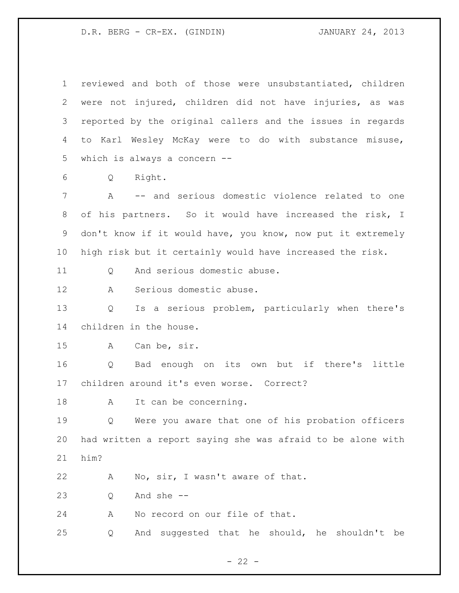| $\mathbf 1$ | reviewed and both of those were unsubstantiated, children   |
|-------------|-------------------------------------------------------------|
| 2           | were not injured, children did not have injuries, as was    |
| 3           | reported by the original callers and the issues in regards  |
| 4           | to Karl Wesley McKay were to do with substance misuse,      |
| 5           | which is always a concern --                                |
| 6           | Right.<br>Q                                                 |
| 7           | A -- and serious domestic violence related to one           |
| 8           | of his partners. So it would have increased the risk, I     |
| 9           | don't know if it would have, you know, now put it extremely |
| 10          | high risk but it certainly would have increased the risk.   |
| 11          | And serious domestic abuse.<br>Q                            |
| 12          | Serious domestic abuse.<br>A                                |
| 13          | Is a serious problem, particularly when there's<br>Q        |
| 14          | children in the house.                                      |
| 15          | Can be, sir.<br>A                                           |
| 16          | Bad enough on its own but if there's little<br>Q            |
| 17          | children around it's even worse. Correct?                   |
| 18          | It can be concerning.<br>Α                                  |
| 19          | Were you aware that one of his probation officers<br>Q      |
| 20          | had written a report saying she was afraid to be alone with |
| 21          | him?                                                        |
| 22          | No, sir, I wasn't aware of that.<br>Α                       |
| 23          | And she --<br>Q                                             |
| 24          | No record on our file of that.<br>A                         |
| 25          | And suggested that he should, he shouldn't be<br>Q          |

- 22 -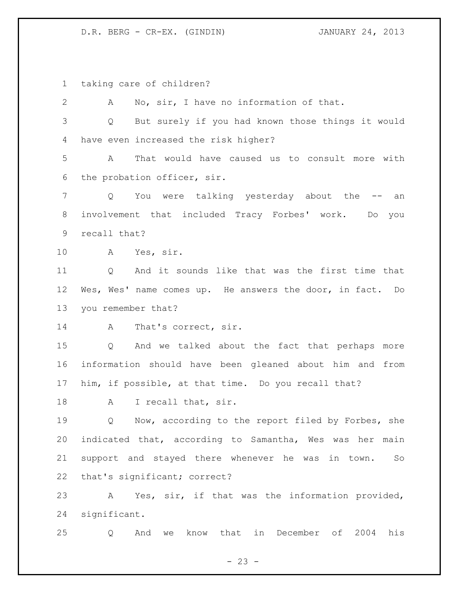taking care of children?

 A No, sir, I have no information of that. Q But surely if you had known those things it would have even increased the risk higher? A That would have caused us to consult more with the probation officer, sir. Q You were talking yesterday about the -- an involvement that included Tracy Forbes' work. Do you recall that? A Yes, sir. Q And it sounds like that was the first time that Wes, Wes' name comes up. He answers the door, in fact. Do you remember that? 14 A That's correct, sir. Q And we talked about the fact that perhaps more information should have been gleaned about him and from him, if possible, at that time. Do you recall that? 18 A I recall that, sir. Q Now, according to the report filed by Forbes, she indicated that, according to Samantha, Wes was her main support and stayed there whenever he was in town. So that's significant; correct? A Yes, sir, if that was the information provided, significant.

Q And we know that in December of 2004 his

 $- 23 -$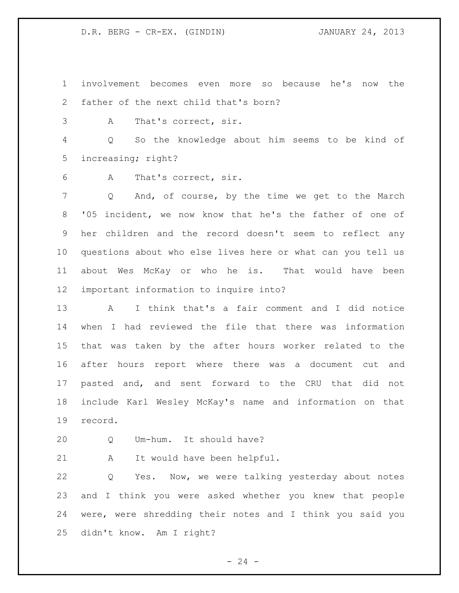involvement becomes even more so because he's now the father of the next child that's born?

A That's correct, sir.

 Q So the knowledge about him seems to be kind of increasing; right?

A That's correct, sir.

 Q And, of course, by the time we get to the March '05 incident, we now know that he's the father of one of her children and the record doesn't seem to reflect any questions about who else lives here or what can you tell us about Wes McKay or who he is. That would have been important information to inquire into?

 A I think that's a fair comment and I did notice when I had reviewed the file that there was information that was taken by the after hours worker related to the after hours report where there was a document cut and pasted and, and sent forward to the CRU that did not include Karl Wesley McKay's name and information on that record.

Q Um-hum. It should have?

A It would have been helpful.

 Q Yes. Now, we were talking yesterday about notes and I think you were asked whether you knew that people were, were shredding their notes and I think you said you didn't know. Am I right?

 $-24 -$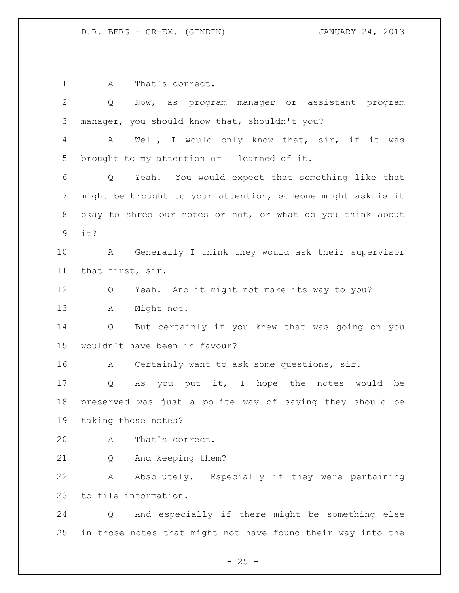1 A That's correct. Q Now, as program manager or assistant program manager, you should know that, shouldn't you? A Well, I would only know that, sir, if it was brought to my attention or I learned of it. Q Yeah. You would expect that something like that might be brought to your attention, someone might ask is it okay to shred our notes or not, or what do you think about it? A Generally I think they would ask their supervisor that first, sir. Q Yeah. And it might not make its way to you? A Might not. Q But certainly if you knew that was going on you wouldn't have been in favour? 16 A Certainly want to ask some questions, sir. Q As you put it, I hope the notes would be preserved was just a polite way of saying they should be taking those notes? A That's correct. Q And keeping them? A Absolutely. Especially if they were pertaining to file information. Q And especially if there might be something else in those notes that might not have found their way into the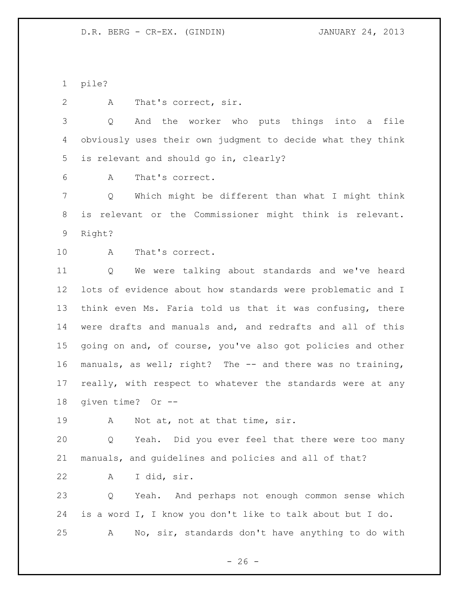pile?

2 A That's correct, sir.

 Q And the worker who puts things into a file obviously uses their own judgment to decide what they think is relevant and should go in, clearly?

A That's correct.

 Q Which might be different than what I might think is relevant or the Commissioner might think is relevant. Right?

A That's correct.

 Q We were talking about standards and we've heard lots of evidence about how standards were problematic and I think even Ms. Faria told us that it was confusing, there were drafts and manuals and, and redrafts and all of this going on and, of course, you've also got policies and other manuals, as well; right? The -- and there was no training, really, with respect to whatever the standards were at any given time? Or --

19 A Not at, not at that time, sir.

 Q Yeah. Did you ever feel that there were too many manuals, and guidelines and policies and all of that?

A I did, sir.

 Q Yeah. And perhaps not enough common sense which is a word I, I know you don't like to talk about but I do. A No, sir, standards don't have anything to do with

 $- 26 -$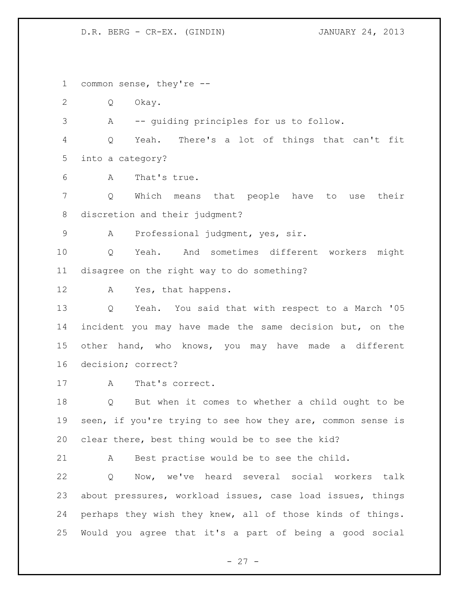common sense, they're --

Q Okay.

A -- guiding principles for us to follow.

 Q Yeah. There's a lot of things that can't fit into a category?

A That's true.

 Q Which means that people have to use their discretion and their judgment?

A Professional judgment, yes, sir.

 Q Yeah. And sometimes different workers might disagree on the right way to do something?

A Yes, that happens.

 Q Yeah. You said that with respect to a March '05 incident you may have made the same decision but, on the other hand, who knows, you may have made a different decision; correct?

A That's correct.

 Q But when it comes to whether a child ought to be 19 seen, if you're trying to see how they are, common sense is clear there, best thing would be to see the kid?

A Best practise would be to see the child.

 Q Now, we've heard several social workers talk about pressures, workload issues, case load issues, things perhaps they wish they knew, all of those kinds of things. Would you agree that it's a part of being a good social

- 27 -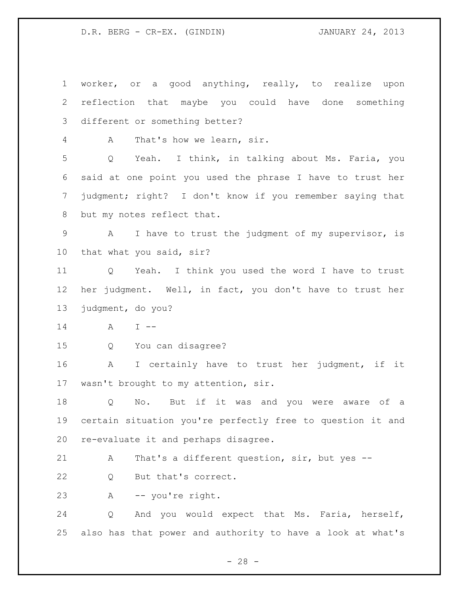worker, or a good anything, really, to realize upon reflection that maybe you could have done something different or something better? A That's how we learn, sir. Q Yeah. I think, in talking about Ms. Faria, you said at one point you used the phrase I have to trust her judgment; right? I don't know if you remember saying that but my notes reflect that. A I have to trust the judgment of my supervisor, is that what you said, sir? Q Yeah. I think you used the word I have to trust her judgment. Well, in fact, you don't have to trust her judgment, do you? A I -- Q You can disagree? A I certainly have to trust her judgment, if it wasn't brought to my attention, sir. Q No. But if it was and you were aware of a certain situation you're perfectly free to question it and re-evaluate it and perhaps disagree. A That's a different question, sir, but yes -- 22 Q But that's correct. A -- you're right. Q And you would expect that Ms. Faria, herself, also has that power and authority to have a look at what's

 $- 28 -$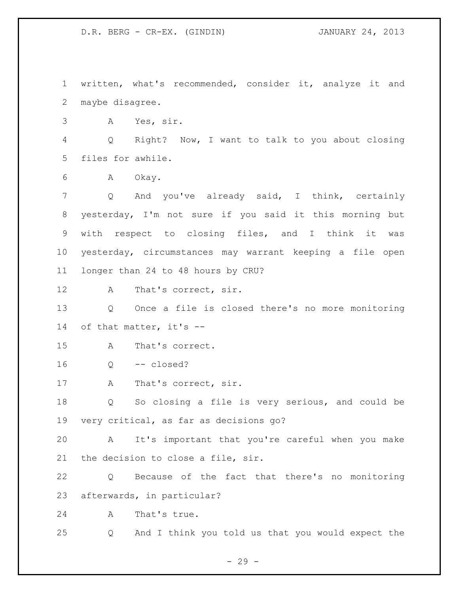written, what's recommended, consider it, analyze it and maybe disagree. A Yes, sir. Q Right? Now, I want to talk to you about closing files for awhile. A Okay. Q And you've already said, I think, certainly yesterday, I'm not sure if you said it this morning but with respect to closing files, and I think it was yesterday, circumstances may warrant keeping a file open longer than 24 to 48 hours by CRU? 12 A That's correct, sir. Q Once a file is closed there's no more monitoring of that matter, it's -- A That's correct. Q -- closed? 17 A That's correct, sir. Q So closing a file is very serious, and could be very critical, as far as decisions go? A It's important that you're careful when you make the decision to close a file, sir. Q Because of the fact that there's no monitoring afterwards, in particular? A That's true. Q And I think you told us that you would expect the

 $- 29 -$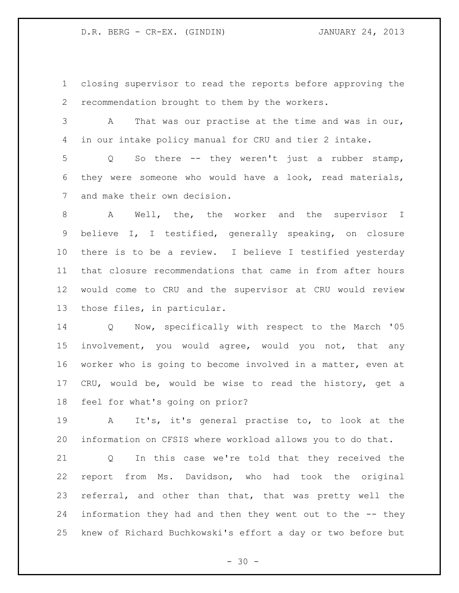closing supervisor to read the reports before approving the recommendation brought to them by the workers.

 A That was our practise at the time and was in our, in our intake policy manual for CRU and tier 2 intake.

 Q So there -- they weren't just a rubber stamp, they were someone who would have a look, read materials, and make their own decision.

 A Well, the, the worker and the supervisor I believe I, I testified, generally speaking, on closure there is to be a review. I believe I testified yesterday that closure recommendations that came in from after hours would come to CRU and the supervisor at CRU would review those files, in particular.

 Q Now, specifically with respect to the March '05 involvement, you would agree, would you not, that any worker who is going to become involved in a matter, even at CRU, would be, would be wise to read the history, get a feel for what's going on prior?

 A It's, it's general practise to, to look at the information on CFSIS where workload allows you to do that.

 Q In this case we're told that they received the report from Ms. Davidson, who had took the original referral, and other than that, that was pretty well the information they had and then they went out to the -- they knew of Richard Buchkowski's effort a day or two before but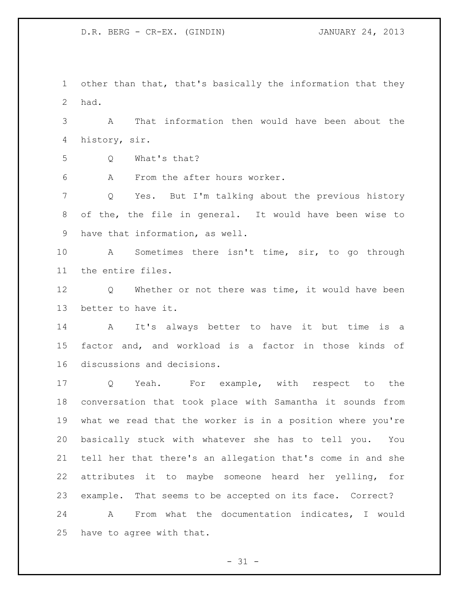other than that, that's basically the information that they had.

 A That information then would have been about the history, sir.

Q What's that?

A From the after hours worker.

 Q Yes. But I'm talking about the previous history of the, the file in general. It would have been wise to have that information, as well.

 A Sometimes there isn't time, sir, to go through the entire files.

 Q Whether or not there was time, it would have been better to have it.

 A It's always better to have it but time is a factor and, and workload is a factor in those kinds of discussions and decisions.

 Q Yeah. For example, with respect to the conversation that took place with Samantha it sounds from what we read that the worker is in a position where you're basically stuck with whatever she has to tell you. You tell her that there's an allegation that's come in and she attributes it to maybe someone heard her yelling, for example. That seems to be accepted on its face. Correct? A From what the documentation indicates, I would

have to agree with that.

 $- 31 -$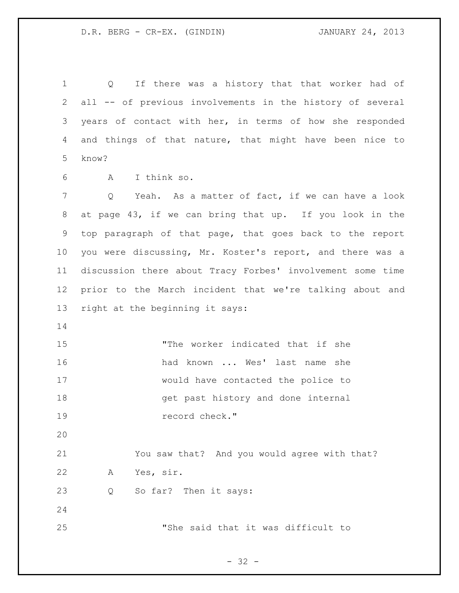Q If there was a history that that worker had of all -- of previous involvements in the history of several years of contact with her, in terms of how she responded and things of that nature, that might have been nice to know?

A I think so.

 Q Yeah. As a matter of fact, if we can have a look at page 43, if we can bring that up. If you look in the top paragraph of that page, that goes back to the report you were discussing, Mr. Koster's report, and there was a discussion there about Tracy Forbes' involvement some time prior to the March incident that we're talking about and right at the beginning it says:

 "The worker indicated that if she 16 had known ... Wes' last name she would have contacted the police to get past history and done internal record check."

 You saw that? And you would agree with that? A Yes, sir.

Q So far? Then it says:

"She said that it was difficult to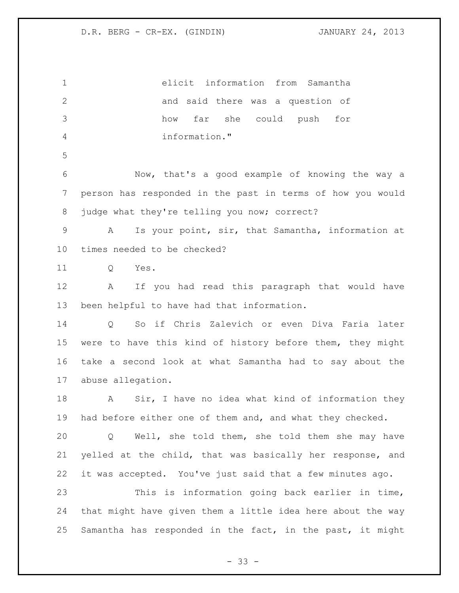elicit information from Samantha and said there was a question of how far she could push for information." Now, that's a good example of knowing the way a person has responded in the past in terms of how you would 8 judge what they're telling you now; correct? A Is your point, sir, that Samantha, information at times needed to be checked? 11 O Yes. A If you had read this paragraph that would have been helpful to have had that information. Q So if Chris Zalevich or even Diva Faria later were to have this kind of history before them, they might take a second look at what Samantha had to say about the abuse allegation. A Sir, I have no idea what kind of information they had before either one of them and, and what they checked. Q Well, she told them, she told them she may have yelled at the child, that was basically her response, and it was accepted. You've just said that a few minutes ago. This is information going back earlier in time, that might have given them a little idea here about the way Samantha has responded in the fact, in the past, it might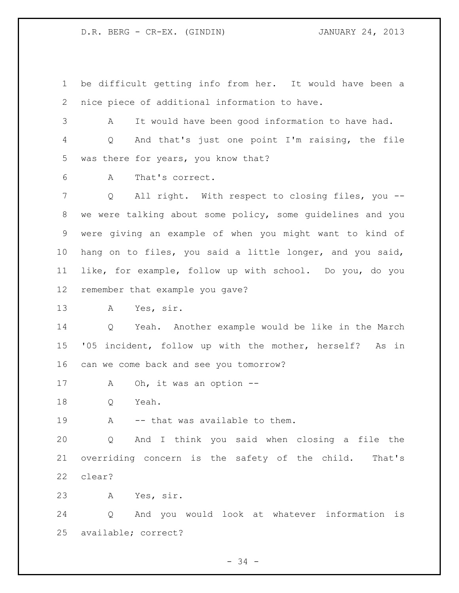D.R. BERG - CR-EX. (GINDIN) JANUARY 24, 2013

 be difficult getting info from her. It would have been a nice piece of additional information to have.

 A It would have been good information to have had. Q And that's just one point I'm raising, the file was there for years, you know that?

A That's correct.

 Q All right. With respect to closing files, you -- we were talking about some policy, some guidelines and you were giving an example of when you might want to kind of hang on to files, you said a little longer, and you said, like, for example, follow up with school. Do you, do you remember that example you gave?

A Yes, sir.

 Q Yeah. Another example would be like in the March '05 incident, follow up with the mother, herself? As in can we come back and see you tomorrow?

17 A Oh, it was an option --

Q Yeah.

19 A -- that was available to them.

 Q And I think you said when closing a file the overriding concern is the safety of the child. That's clear?

A Yes, sir.

 Q And you would look at whatever information is available; correct?

- 34 -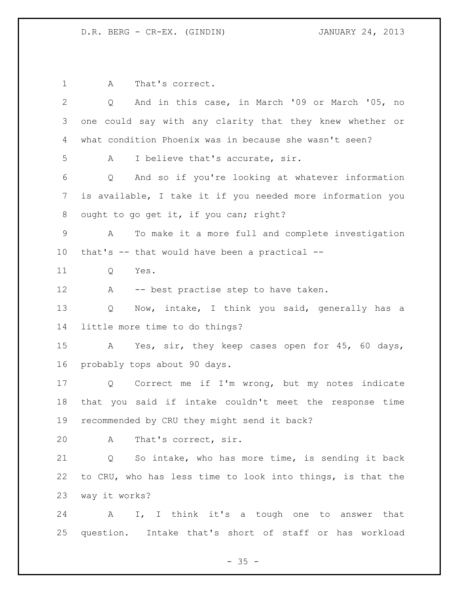1 A That's correct. Q And in this case, in March '09 or March '05, no one could say with any clarity that they knew whether or what condition Phoenix was in because she wasn't seen? A I believe that's accurate, sir. Q And so if you're looking at whatever information is available, I take it if you needed more information you 8 ought to go get it, if you can; right? A To make it a more full and complete investigation that's -- that would have been a practical -- Q Yes. 12 A -- best practise step to have taken. Q Now, intake, I think you said, generally has a little more time to do things? A Yes, sir, they keep cases open for 45, 60 days, probably tops about 90 days. Q Correct me if I'm wrong, but my notes indicate that you said if intake couldn't meet the response time recommended by CRU they might send it back? A That's correct, sir. Q So intake, who has more time, is sending it back to CRU, who has less time to look into things, is that the way it works? A I, I think it's a tough one to answer that question. Intake that's short of staff or has workload

 $- 35 -$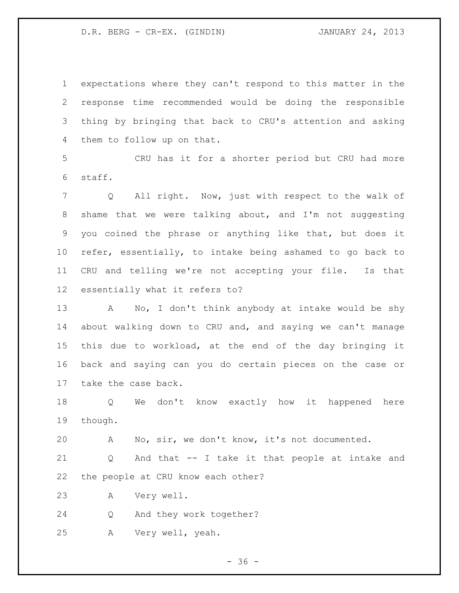D.R. BERG - CR-EX. (GINDIN) JANUARY 24, 2013

 expectations where they can't respond to this matter in the response time recommended would be doing the responsible thing by bringing that back to CRU's attention and asking them to follow up on that.

 CRU has it for a shorter period but CRU had more staff.

 Q All right. Now, just with respect to the walk of shame that we were talking about, and I'm not suggesting you coined the phrase or anything like that, but does it refer, essentially, to intake being ashamed to go back to CRU and telling we're not accepting your file. Is that essentially what it refers to?

 A No, I don't think anybody at intake would be shy about walking down to CRU and, and saying we can't manage this due to workload, at the end of the day bringing it back and saying can you do certain pieces on the case or take the case back.

 Q We don't know exactly how it happened here though.

A No, sir, we don't know, it's not documented.

 Q And that -- I take it that people at intake and the people at CRU know each other?

A Very well.

Q And they work together?

A Very well, yeah.

 $- 36 -$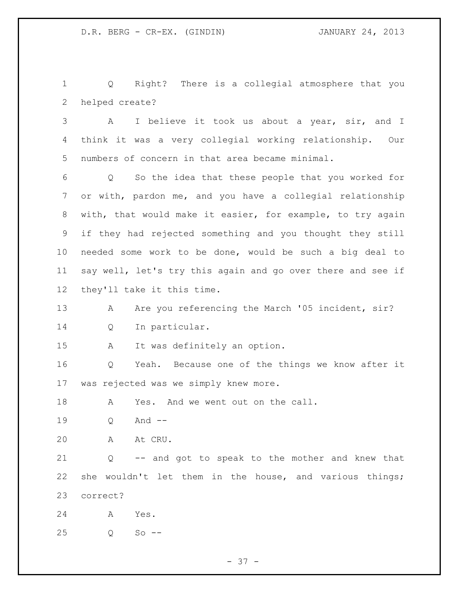Q Right? There is a collegial atmosphere that you helped create?

 A I believe it took us about a year, sir, and I think it was a very collegial working relationship. Our numbers of concern in that area became minimal.

 Q So the idea that these people that you worked for or with, pardon me, and you have a collegial relationship with, that would make it easier, for example, to try again if they had rejected something and you thought they still needed some work to be done, would be such a big deal to say well, let's try this again and go over there and see if they'll take it this time.

13 A Are you referencing the March '05 incident, sir? Q In particular.

A It was definitely an option.

 Q Yeah. Because one of the things we know after it was rejected was we simply knew more.

18 A Yes. And we went out on the call.

Q And --

A At CRU.

 Q -- and got to speak to the mother and knew that she wouldn't let them in the house, and various things; correct?

A Yes.

Q So --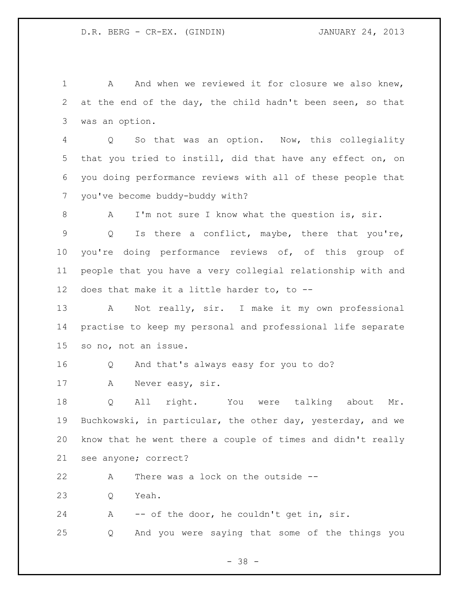1 A And when we reviewed it for closure we also knew, at the end of the day, the child hadn't been seen, so that was an option.

 Q So that was an option. Now, this collegiality that you tried to instill, did that have any effect on, on you doing performance reviews with all of these people that you've become buddy-buddy with?

A I'm not sure I know what the question is, sir.

 Q Is there a conflict, maybe, there that you're, you're doing performance reviews of, of this group of people that you have a very collegial relationship with and does that make it a little harder to, to --

 A Not really, sir. I make it my own professional practise to keep my personal and professional life separate so no, not an issue.

Q And that's always easy for you to do?

A Never easy, sir.

 Q All right. You were talking about Mr. Buchkowski, in particular, the other day, yesterday, and we know that he went there a couple of times and didn't really see anyone; correct?

A There was a lock on the outside --

Q Yeah.

A -- of the door, he couldn't get in, sir.

Q And you were saying that some of the things you

- 38 -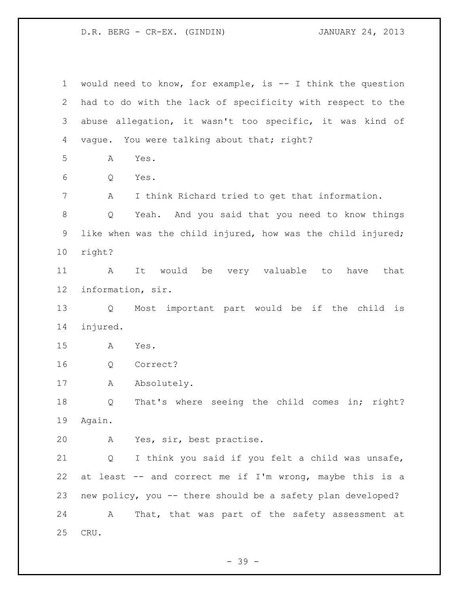D.R. BERG - CR-EX. (GINDIN) JANUARY 24, 2013

 would need to know, for example, is -- I think the question had to do with the lack of specificity with respect to the abuse allegation, it wasn't too specific, it was kind of 4 vague. You were talking about that; right? A Yes. Q Yes. A I think Richard tried to get that information. Q Yeah. And you said that you need to know things like when was the child injured, how was the child injured; right? A It would be very valuable to have that information, sir. Q Most important part would be if the child is injured. A Yes. Q Correct? 17 A Absolutely. Q That's where seeing the child comes in; right? Again. A Yes, sir, best practise. Q I think you said if you felt a child was unsafe, at least -- and correct me if I'm wrong, maybe this is a new policy, you -- there should be a safety plan developed? A That, that was part of the safety assessment at CRU.

- 39 -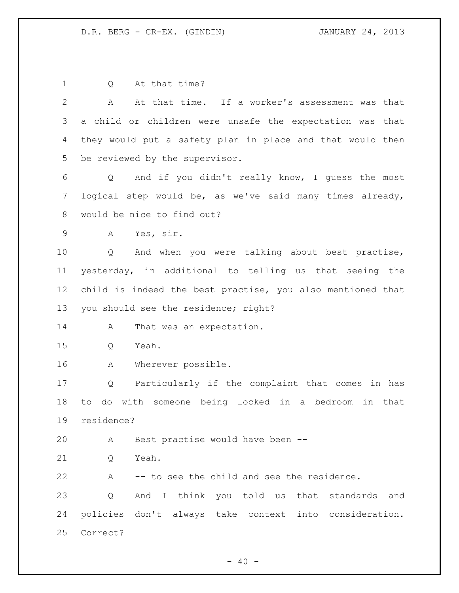D.R. BERG - CR-EX. (GINDIN) JANUARY 24, 2013

 Q At that time? A At that time. If a worker's assessment was that a child or children were unsafe the expectation was that they would put a safety plan in place and that would then be reviewed by the supervisor. Q And if you didn't really know, I guess the most logical step would be, as we've said many times already, would be nice to find out? A Yes, sir. Q And when you were talking about best practise, yesterday, in additional to telling us that seeing the child is indeed the best practise, you also mentioned that you should see the residence; right? 14 A That was an expectation. Q Yeah. A Wherever possible. Q Particularly if the complaint that comes in has to do with someone being locked in a bedroom in that residence? A Best practise would have been -- 21 O Yeah. A -- to see the child and see the residence. Q And I think you told us that standards and policies don't always take context into consideration. Correct?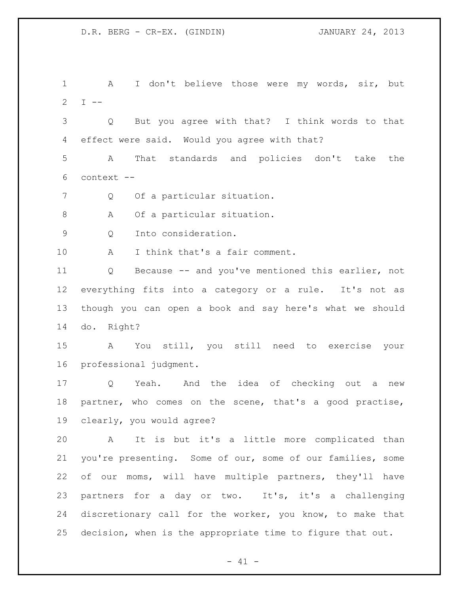A I don't believe those were my words, sir, but 2 I  $-$  Q But you agree with that? I think words to that effect were said. Would you agree with that? A That standards and policies don't take the context -- 7 Q Of a particular situation. 8 A Of a particular situation. Q Into consideration. A I think that's a fair comment. Q Because -- and you've mentioned this earlier, not everything fits into a category or a rule. It's not as though you can open a book and say here's what we should do. Right? A You still, you still need to exercise your professional judgment. Q Yeah. And the idea of checking out a new partner, who comes on the scene, that's a good practise, clearly, you would agree? A It is but it's a little more complicated than you're presenting. Some of our, some of our families, some of our moms, will have multiple partners, they'll have 23 partners for a day or two. It's, it's a challenging discretionary call for the worker, you know, to make that decision, when is the appropriate time to figure that out.

 $- 41 -$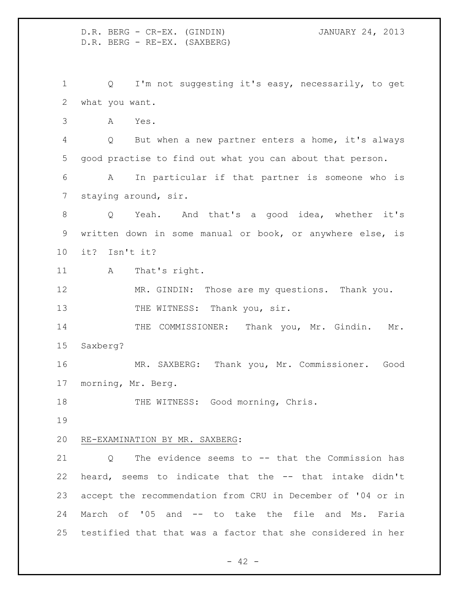D.R. BERG - CR-EX. (GINDIN) JANUARY 24, 2013 D.R. BERG - RE-EX. (SAXBERG) Q I'm not suggesting it's easy, necessarily, to get what you want. A Yes. Q But when a new partner enters a home, it's always good practise to find out what you can about that person. A In particular if that partner is someone who is staying around, sir. Q Yeah. And that's a good idea, whether it's written down in some manual or book, or anywhere else, is it? Isn't it? 11 A That's right. MR. GINDIN: Those are my questions. Thank you. 13 THE WITNESS: Thank you, sir. 14 THE COMMISSIONER: Thank you, Mr. Gindin. Mr. Saxberg? MR. SAXBERG: Thank you, Mr. Commissioner. Good morning, Mr. Berg. 18 THE WITNESS: Good morning, Chris. RE-EXAMINATION BY MR. SAXBERG: Q The evidence seems to -- that the Commission has heard, seems to indicate that the -- that intake didn't accept the recommendation from CRU in December of '04 or in March of '05 and -- to take the file and Ms. Faria testified that that was a factor that she considered in her

 $- 42 -$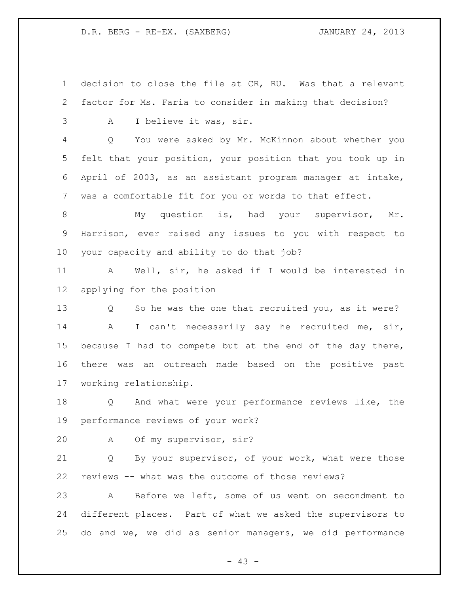decision to close the file at CR, RU. Was that a relevant factor for Ms. Faria to consider in making that decision? A I believe it was, sir. Q You were asked by Mr. McKinnon about whether you felt that your position, your position that you took up in April of 2003, as an assistant program manager at intake, was a comfortable fit for you or words to that effect. My question is, had your supervisor, Mr. Harrison, ever raised any issues to you with respect to your capacity and ability to do that job? A Well, sir, he asked if I would be interested in applying for the position Q So he was the one that recruited you, as it were? A I can't necessarily say he recruited me, sir, because I had to compete but at the end of the day there, there was an outreach made based on the positive past working relationship. Q And what were your performance reviews like, the performance reviews of your work? A Of my supervisor, sir? Q By your supervisor, of your work, what were those reviews -- what was the outcome of those reviews? A Before we left, some of us went on secondment to different places. Part of what we asked the supervisors to do and we, we did as senior managers, we did performance

 $- 43 -$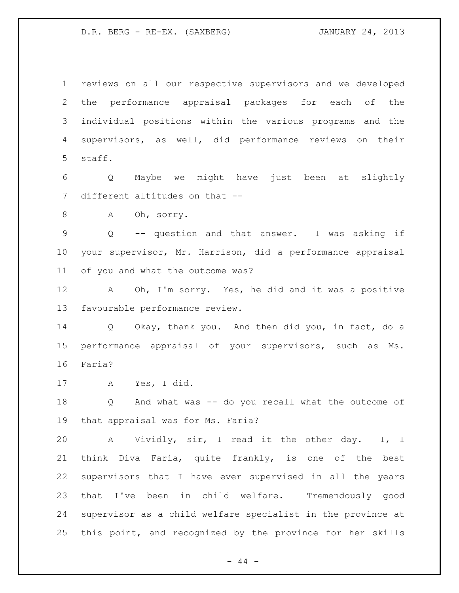reviews on all our respective supervisors and we developed the performance appraisal packages for each of the individual positions within the various programs and the supervisors, as well, did performance reviews on their staff.

 Q Maybe we might have just been at slightly different altitudes on that --

A Oh, sorry.

 Q -- question and that answer. I was asking if your supervisor, Mr. Harrison, did a performance appraisal of you and what the outcome was?

 A Oh, I'm sorry. Yes, he did and it was a positive favourable performance review.

 Q Okay, thank you. And then did you, in fact, do a performance appraisal of your supervisors, such as Ms. Faria?

A Yes, I did.

 Q And what was -- do you recall what the outcome of that appraisal was for Ms. Faria?

 A Vividly, sir, I read it the other day. I, I think Diva Faria, quite frankly, is one of the best supervisors that I have ever supervised in all the years that I've been in child welfare. Tremendously good supervisor as a child welfare specialist in the province at this point, and recognized by the province for her skills

- 44 -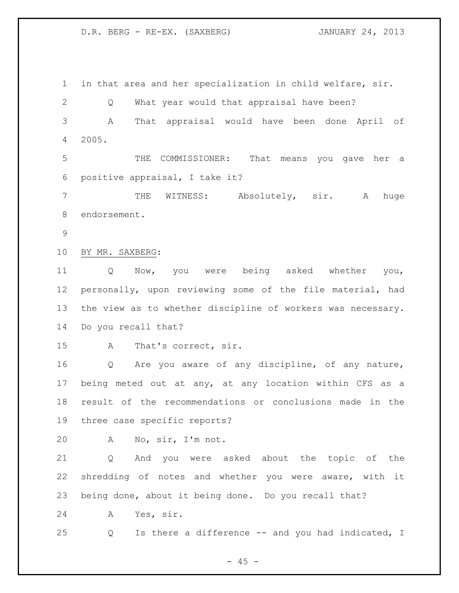in that area and her specialization in child welfare, sir. Q What year would that appraisal have been? A That appraisal would have been done April of 2005. THE COMMISSIONER: That means you gave her a positive appraisal, I take it? THE WITNESS: Absolutely, sir. A huge endorsement. BY MR. SAXBERG: Q Now, you were being asked whether you, personally, upon reviewing some of the file material, had the view as to whether discipline of workers was necessary. Do you recall that? A That's correct, sir. Q Are you aware of any discipline, of any nature, being meted out at any, at any location within CFS as a result of the recommendations or conclusions made in the three case specific reports? A No, sir, I'm not.

 Q And you were asked about the topic of the shredding of notes and whether you were aware, with it being done, about it being done. Do you recall that?

A Yes, sir.

Q Is there a difference -- and you had indicated, I

 $- 45 -$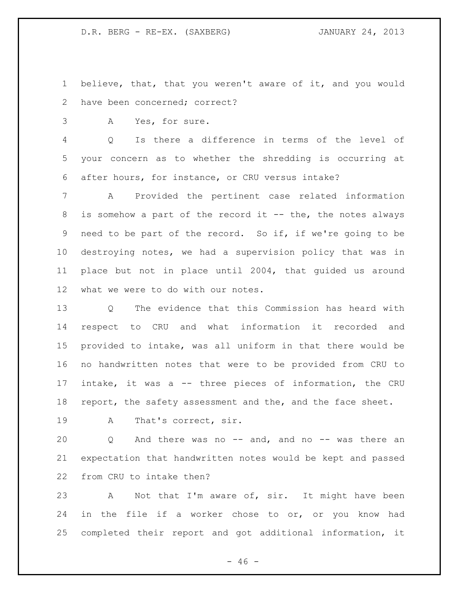believe, that, that you weren't aware of it, and you would have been concerned; correct?

A Yes, for sure.

 Q Is there a difference in terms of the level of your concern as to whether the shredding is occurring at after hours, for instance, or CRU versus intake?

 A Provided the pertinent case related information is somehow a part of the record it -- the, the notes always need to be part of the record. So if, if we're going to be destroying notes, we had a supervision policy that was in place but not in place until 2004, that guided us around what we were to do with our notes.

 Q The evidence that this Commission has heard with respect to CRU and what information it recorded and provided to intake, was all uniform in that there would be no handwritten notes that were to be provided from CRU to intake, it was a -- three pieces of information, the CRU report, the safety assessment and the, and the face sheet.

A That's correct, sir.

20 Q And there was no -- and, and no -- was there an expectation that handwritten notes would be kept and passed from CRU to intake then?

 A Not that I'm aware of, sir. It might have been in the file if a worker chose to or, or you know had completed their report and got additional information, it

 $- 46 -$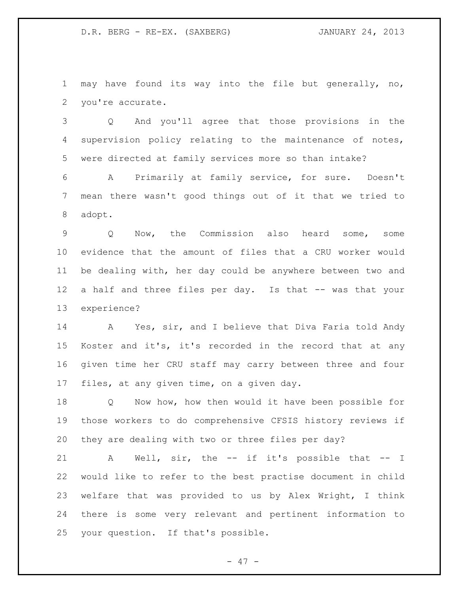may have found its way into the file but generally, no, you're accurate.

 Q And you'll agree that those provisions in the supervision policy relating to the maintenance of notes, were directed at family services more so than intake?

 A Primarily at family service, for sure. Doesn't mean there wasn't good things out of it that we tried to adopt.

 Q Now, the Commission also heard some, some evidence that the amount of files that a CRU worker would be dealing with, her day could be anywhere between two and a half and three files per day. Is that -- was that your experience?

 A Yes, sir, and I believe that Diva Faria told Andy Koster and it's, it's recorded in the record that at any given time her CRU staff may carry between three and four files, at any given time, on a given day.

 Q Now how, how then would it have been possible for those workers to do comprehensive CFSIS history reviews if they are dealing with two or three files per day?

 A Well, sir, the -- if it's possible that -- I would like to refer to the best practise document in child welfare that was provided to us by Alex Wright, I think there is some very relevant and pertinent information to your question. If that's possible.

- 47 -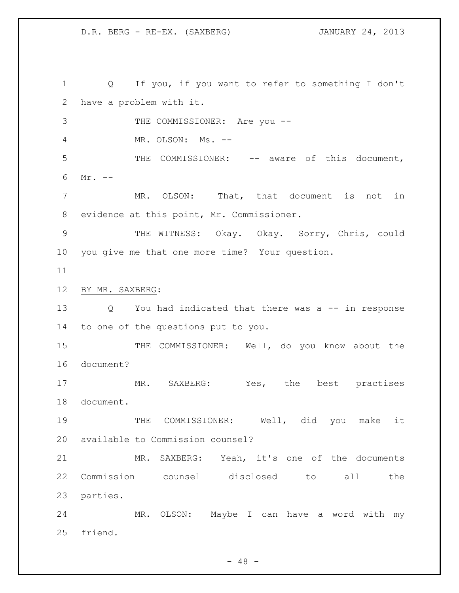Q If you, if you want to refer to something I don't have a problem with it. 3 THE COMMISSIONER: Are you -- MR. OLSON: Ms. -- 5 THE COMMISSIONER: -- aware of this document, Mr. -- MR. OLSON: That, that document is not in evidence at this point, Mr. Commissioner. THE WITNESS: Okay. Okay. Sorry, Chris, could you give me that one more time? Your question. BY MR. SAXBERG: Q You had indicated that there was a -- in response to one of the questions put to you. THE COMMISSIONER: Well, do you know about the document? 17 MR. SAXBERG: Yes, the best practises document. THE COMMISSIONER: Well, did you make it available to Commission counsel? MR. SAXBERG: Yeah, it's one of the documents Commission counsel disclosed to all the parties. MR. OLSON: Maybe I can have a word with my friend.

 $- 48 -$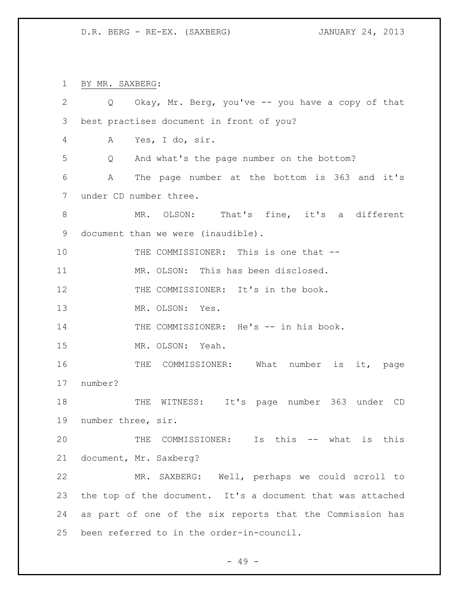BY MR. SAXBERG:

| $\overline{2}$ | Q Okay, Mr. Berg, you've -- you have a copy of that            |
|----------------|----------------------------------------------------------------|
| 3              | best practises document in front of you?                       |
| 4              | Yes, I do, sir.<br>А                                           |
| 5              | And what's the page number on the bottom?<br>$Q \qquad \qquad$ |
| 6              | The page number at the bottom is 363 and it's<br>A             |
| 7              | under CD number three.                                         |
| $8\,$          | MR. OLSON: That's fine, it's a different                       |
| 9              | document than we were (inaudible).                             |
| 10             | THE COMMISSIONER: This is one that --                          |
| 11             | MR. OLSON: This has been disclosed.                            |
| 12             | THE COMMISSIONER: It's in the book.                            |
| 13             | MR. OLSON: Yes.                                                |
| 14             | THE COMMISSIONER: He's -- in his book.                         |
| 15             | MR. OLSON: Yeah.                                               |
| 16             | THE COMMISSIONER: What number is it, page                      |
| 17             | number?                                                        |
| 18             | THE WITNESS: It's page number 363 under CD                     |
| 19             | number three, sir.                                             |
| 20             | THE COMMISSIONER: Is this -- what is this                      |
| 21             | document, Mr. Saxberg?                                         |
| 22             | MR. SAXBERG: Well, perhaps we could scroll to                  |
| 23             | the top of the document. It's a document that was attached     |
| 24             | as part of one of the six reports that the Commission has      |
| 25             | been referred to in the order-in-council.                      |

- 49 -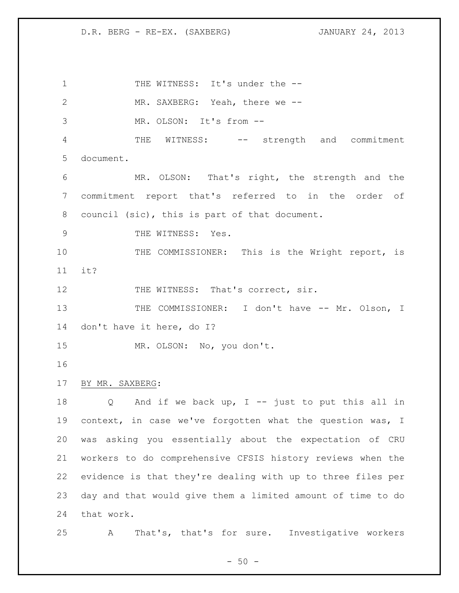1 THE WITNESS: It's under the --2 MR. SAXBERG: Yeah, there we -- MR. OLSON: It's from -- THE WITNESS: -- strength and commitment document. MR. OLSON: That's right, the strength and the commitment report that's referred to in the order of council (sic), this is part of that document. 9 THE WITNESS: Yes. 10 THE COMMISSIONER: This is the Wright report, is it? 12 THE WITNESS: That's correct, sir. 13 THE COMMISSIONER: I don't have -- Mr. Olson, I don't have it here, do I? MR. OLSON: No, you don't. BY MR. SAXBERG: Q And if we back up, I -- just to put this all in 19 context, in case we've forgotten what the question was, I was asking you essentially about the expectation of CRU workers to do comprehensive CFSIS history reviews when the evidence is that they're dealing with up to three files per day and that would give them a limited amount of time to do that work. A That's, that's for sure. Investigative workers

 $-50 -$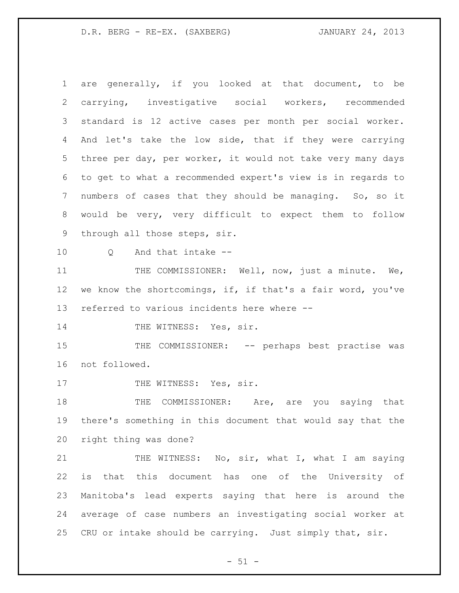are generally, if you looked at that document, to be carrying, investigative social workers, recommended standard is 12 active cases per month per social worker. And let's take the low side, that if they were carrying three per day, per worker, it would not take very many days to get to what a recommended expert's view is in regards to numbers of cases that they should be managing. So, so it would be very, very difficult to expect them to follow through all those steps, sir. Q And that intake -- 11 THE COMMISSIONER: Well, now, just a minute. We, we know the shortcomings, if, if that's a fair word, you've referred to various incidents here where -- 14 THE WITNESS: Yes, sir. THE COMMISSIONER: -- perhaps best practise was not followed. 17 THE WITNESS: Yes, sir. 18 THE COMMISSIONER: Are, are you saying that there's something in this document that would say that the right thing was done? 21 THE WITNESS: No, sir, what I, what I am saying is that this document has one of the University of Manitoba's lead experts saying that here is around the average of case numbers an investigating social worker at CRU or intake should be carrying. Just simply that, sir.

 $- 51 -$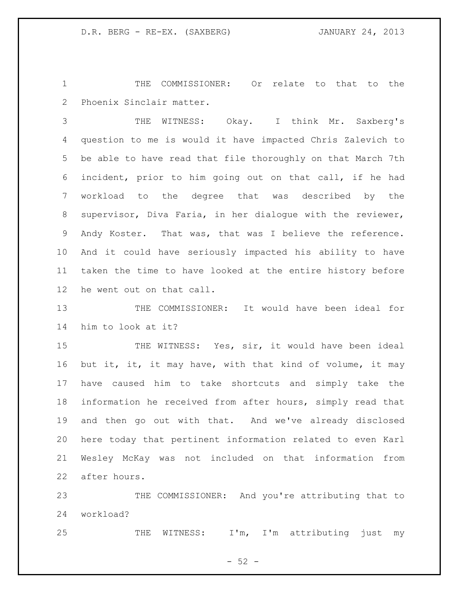THE COMMISSIONER: Or relate to that to the Phoenix Sinclair matter.

 THE WITNESS: Okay. I think Mr. Saxberg's question to me is would it have impacted Chris Zalevich to be able to have read that file thoroughly on that March 7th incident, prior to him going out on that call, if he had workload to the degree that was described by the supervisor, Diva Faria, in her dialogue with the reviewer, Andy Koster. That was, that was I believe the reference. And it could have seriously impacted his ability to have taken the time to have looked at the entire history before he went out on that call.

 THE COMMISSIONER: It would have been ideal for him to look at it?

15 THE WITNESS: Yes, sir, it would have been ideal 16 but it, it, it may have, with that kind of volume, it may have caused him to take shortcuts and simply take the information he received from after hours, simply read that and then go out with that. And we've already disclosed here today that pertinent information related to even Karl Wesley McKay was not included on that information from after hours.

 THE COMMISSIONER: And you're attributing that to workload?

25 THE WITNESS: I'm, I'm attributing just my

 $-52 -$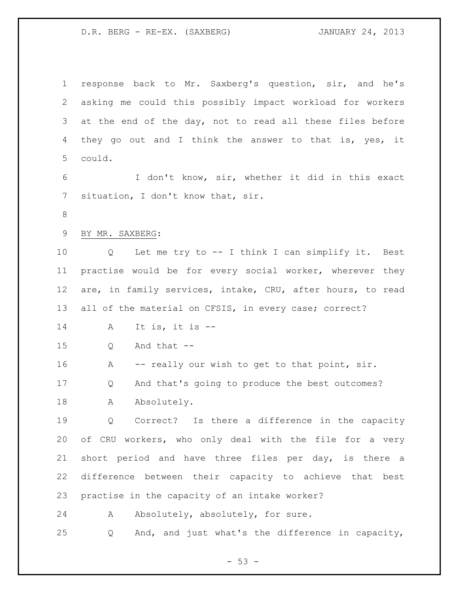response back to Mr. Saxberg's question, sir, and he's asking me could this possibly impact workload for workers at the end of the day, not to read all these files before 4 they go out and I think the answer to that is, yes, it could. I don't know, sir, whether it did in this exact situation, I don't know that, sir. BY MR. SAXBERG: Q Let me try to -- I think I can simplify it. Best practise would be for every social worker, wherever they are, in family services, intake, CRU, after hours, to read 13 all of the material on CFSIS, in every case; correct? A It is, it is -- Q And that -- 16 A -- really our wish to get to that point, sir. Q And that's going to produce the best outcomes? A Absolutely. Q Correct? Is there a difference in the capacity of CRU workers, who only deal with the file for a very short period and have three files per day, is there a difference between their capacity to achieve that best practise in the capacity of an intake worker? 24 A Absolutely, absolutely, for sure. Q And, and just what's the difference in capacity,

 $- 53 -$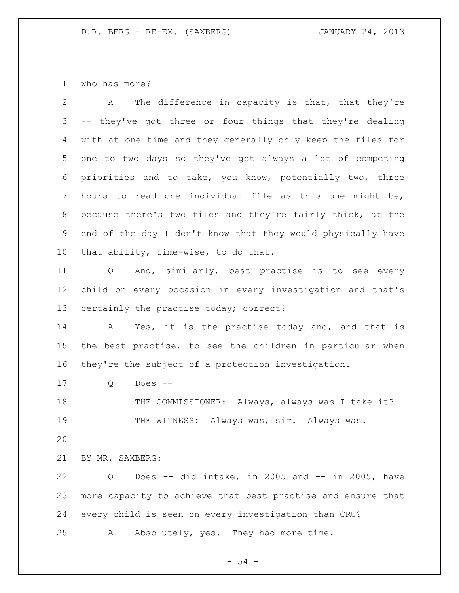who has more?

| $\mathbf{2}$    | The difference in capacity is that, that they're<br>A       |
|-----------------|-------------------------------------------------------------|
| 3               | -- they've got three or four things that they're dealing    |
| 4               | with at one time and they generally only keep the files for |
| 5               | one to two days so they've got always a lot of competing    |
| 6               | priorities and to take, you know, potentially two, three    |
| 7               | hours to read one individual file as this one might be,     |
| 8               | because there's two files and they're fairly thick, at the  |
| 9               | end of the day I don't know that they would physically have |
| 10 <sub>o</sub> | that ability, time-wise, to do that.                        |
| 11              | And, similarly, best practise is to see every<br>Q          |
| 12              | child on every occasion in every investigation and that's   |
| 13              | certainly the practise today; correct?                      |
| 14              | Yes, it is the practise today and, and that is<br>A         |
| 15              | the best practise, to see the children in particular when   |
| 16              | they're the subject of a protection investigation.          |
| 17              | Does $--$<br>Q                                              |
| 18              | THE COMMISSIONER: Always, always was I take it?             |
| 19              | THE WITNESS: Always was, sir. Always was.                   |
| 20              |                                                             |
| 21              | BY MR. SAXBERG:                                             |
| 22              | Does -- did intake, in 2005 and -- in 2005, have<br>Q       |
| 23              | more capacity to achieve that best practise and ensure that |
| 24              | every child is seen on every investigation than CRU?        |
| 25              | Absolutely, yes. They had more time.<br>Α                   |

- 54 -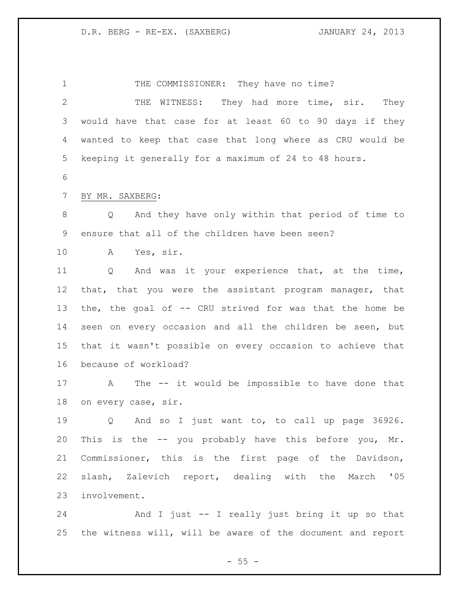1 THE COMMISSIONER: They have no time? 2 THE WITNESS: They had more time, sir. They would have that case for at least 60 to 90 days if they wanted to keep that case that long where as CRU would be keeping it generally for a maximum of 24 to 48 hours. BY MR. SAXBERG: Q And they have only within that period of time to ensure that all of the children have been seen? A Yes, sir. Q And was it your experience that, at the time, that, that you were the assistant program manager, that the, the goal of -- CRU strived for was that the home be seen on every occasion and all the children be seen, but that it wasn't possible on every occasion to achieve that because of workload? A The -- it would be impossible to have done that on every case, sir. Q And so I just want to, to call up page 36926. This is the -- you probably have this before you, Mr. Commissioner, this is the first page of the Davidson, slash, Zalevich report, dealing with the March '05 involvement.

 And I just -- I really just bring it up so that the witness will, will be aware of the document and report

 $- 55 -$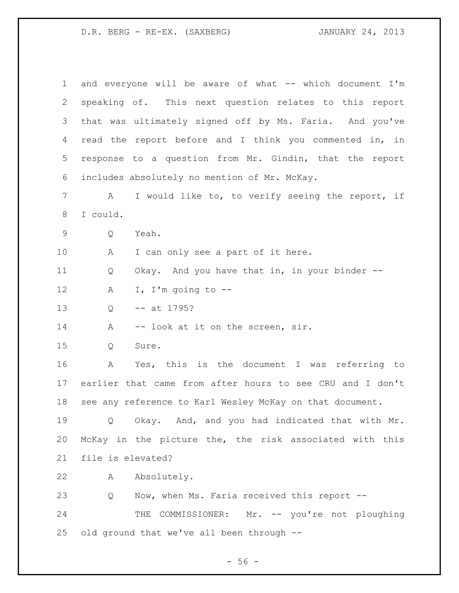| $\mathbf 1$ | and everyone will be aware of what -- which document I'm  |
|-------------|-----------------------------------------------------------|
| 2           | speaking of. This next question relates to this report    |
| 3           | that was ultimately signed off by Ms. Faria. And you've   |
| 4           | read the report before and I think you commented in, in   |
| 5           | response to a question from Mr. Gindin, that the report   |
| 6           | includes absolutely no mention of Mr. McKay.              |
| 7           | I would like to, to verify seeing the report, if<br>A     |
| 8           | I could.                                                  |
| 9           | Q<br>Yeah.                                                |
| 10          | I can only see a part of it here.<br>A                    |
| 11          | Okay. And you have that in, in your binder --<br>Q        |
| 12          | I, I'm going to $-$ -<br>Α                                |
| 13          | $--$ at 1795?<br>Q                                        |
| 14          | -- look at it on the screen, sir.<br>Α                    |
| 15          | Q<br>Sure.                                                |
| 16          | Yes, this is the document I was referring to<br>A         |
| 17          | earlier that came from after hours to see CRU and I don't |
| 18          | see any reference to Karl Wesley McKay on that document.  |
| 19          | Q Okay. And, and you had indicated that with Mr.          |
| 20          | McKay in the picture the, the risk associated with this   |
| 21          | file is elevated?                                         |
| 22          | Absolutely.<br>A                                          |
| 23          | Q<br>Now, when Ms. Faria received this report --          |
| 24          | THE COMMISSIONER: Mr. -- you're not ploughing             |
| 25          | old ground that we've all been through --                 |

- 56 -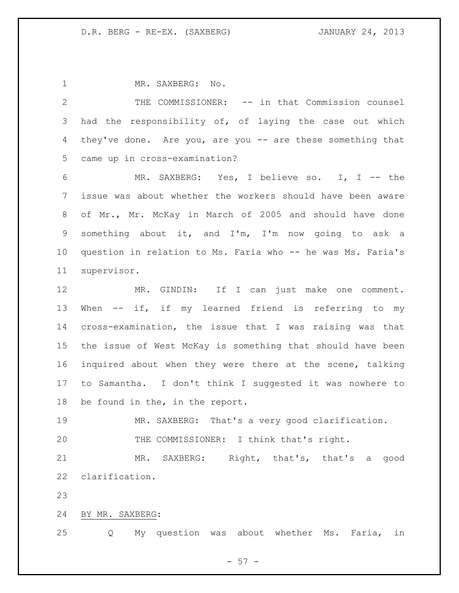1 MR. SAXBERG: No. THE COMMISSIONER: -- in that Commission counsel had the responsibility of, of laying the case out which they've done. Are you, are you -- are these something that came up in cross-examination? MR. SAXBERG: Yes, I believe so. I, I -- the issue was about whether the workers should have been aware of Mr., Mr. McKay in March of 2005 and should have done something about it, and I'm, I'm now going to ask a question in relation to Ms. Faria who -- he was Ms. Faria's supervisor. MR. GINDIN: If I can just make one comment. When -- if, if my learned friend is referring to my cross-examination, the issue that I was raising was that the issue of West McKay is something that should have been inquired about when they were there at the scene, talking to Samantha. I don't think I suggested it was nowhere to be found in the, in the report. MR. SAXBERG: That's a very good clarification. THE COMMISSIONER: I think that's right. MR. SAXBERG: Right, that's, that's a good clarification. 

BY MR. SAXBERG:

Q My question was about whether Ms. Faria, in

 $- 57 -$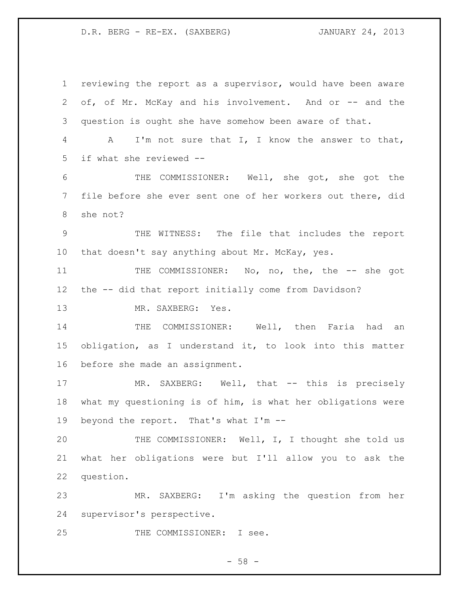reviewing the report as a supervisor, would have been aware of, of Mr. McKay and his involvement. And or -- and the question is ought she have somehow been aware of that. A I'm not sure that I, I know the answer to that, if what she reviewed -- THE COMMISSIONER: Well, she got, she got the file before she ever sent one of her workers out there, did she not? THE WITNESS: The file that includes the report 10 that doesn't say anything about Mr. McKay, yes. 11 THE COMMISSIONER: No, no, the, the -- she got the -- did that report initially come from Davidson? MR. SAXBERG: Yes. THE COMMISSIONER: Well, then Faria had an obligation, as I understand it, to look into this matter before she made an assignment. 17 MR. SAXBERG: Well, that -- this is precisely what my questioning is of him, is what her obligations were beyond the report. That's what I'm -- 20 THE COMMISSIONER: Well, I, I thought she told us what her obligations were but I'll allow you to ask the question. MR. SAXBERG: I'm asking the question from her supervisor's perspective. 25 THE COMMISSIONER: I see.

- 58 -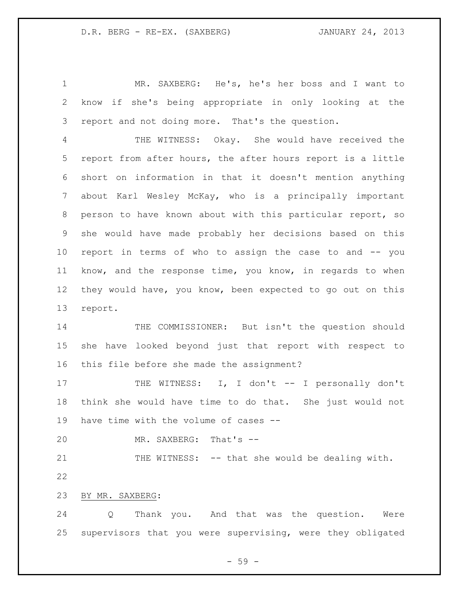MR. SAXBERG: He's, he's her boss and I want to know if she's being appropriate in only looking at the report and not doing more. That's the question.

 THE WITNESS: Okay. She would have received the report from after hours, the after hours report is a little short on information in that it doesn't mention anything about Karl Wesley McKay, who is a principally important person to have known about with this particular report, so she would have made probably her decisions based on this report in terms of who to assign the case to and -- you know, and the response time, you know, in regards to when they would have, you know, been expected to go out on this report.

14 THE COMMISSIONER: But isn't the question should she have looked beyond just that report with respect to this file before she made the assignment?

17 THE WITNESS: I, I don't -- I personally don't think she would have time to do that. She just would not have time with the volume of cases --

MR. SAXBERG: That's --

21 THE WITNESS: -- that she would be dealing with. 

BY MR. SAXBERG:

 Q Thank you. And that was the question. Were supervisors that you were supervising, were they obligated

 $-59 -$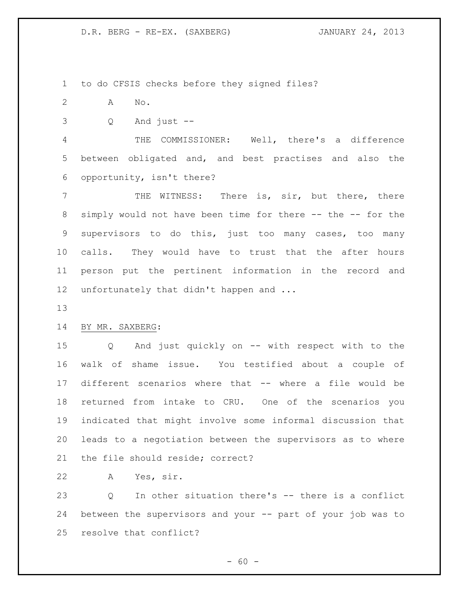to do CFSIS checks before they signed files?

- A No.
- Q And just --

 THE COMMISSIONER: Well, there's a difference between obligated and, and best practises and also the opportunity, isn't there?

7 THE WITNESS: There is, sir, but there, there 8 simply would not have been time for there -- the -- for the supervisors to do this, just too many cases, too many calls. They would have to trust that the after hours person put the pertinent information in the record and 12 unfortunately that didn't happen and ...

# BY MR. SAXBERG:

 Q And just quickly on -- with respect with to the walk of shame issue. You testified about a couple of different scenarios where that -- where a file would be returned from intake to CRU. One of the scenarios you indicated that might involve some informal discussion that leads to a negotiation between the supervisors as to where the file should reside; correct?

A Yes, sir.

 Q In other situation there's -- there is a conflict between the supervisors and your -- part of your job was to resolve that conflict?

 $- 60 -$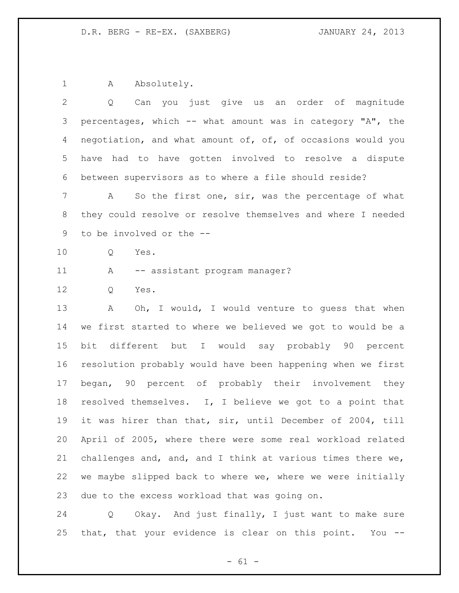1 A Absolutely.

| 2               | Can you just give us an order of magnitude<br>Q             |
|-----------------|-------------------------------------------------------------|
| 3               | percentages, which -- what amount was in category "A", the  |
| 4               | negotiation, and what amount of, of, of occasions would you |
| 5               | have had to have gotten involved to resolve a dispute       |
| 6               | between supervisors as to where a file should reside?       |
| 7               | So the first one, sir, was the percentage of what<br>A      |
| 8               | they could resolve or resolve themselves and where I needed |
| 9               | to be involved or the --                                    |
| 10 <sub>o</sub> | Q<br>Yes.                                                   |
| 11              | A<br>-- assistant program manager?                          |
| 12              | Yes.<br>Q                                                   |
| 13              | Oh, I would, I would venture to guess that when<br>A        |
| 14              | we first started to where we believed we got to would be a  |
| 15              | bit different but I would say probably 90 percent           |
| 16              | resolution probably would have been happening when we first |
| 17              | began, 90 percent of probably their involvement they        |
| 18              | resolved themselves. I, I believe we got to a point that    |
| 19              | it was hirer than that, sir, until December of 2004, till   |
| 20              | April of 2005, where there were some real workload related  |
| 21              | challenges and, and, and I think at various times there we, |
| 22              | we maybe slipped back to where we, where we were initially  |
| 23              | due to the excess workload that was going on.               |

 Q Okay. And just finally, I just want to make sure that, that your evidence is clear on this point. You --

- 61 -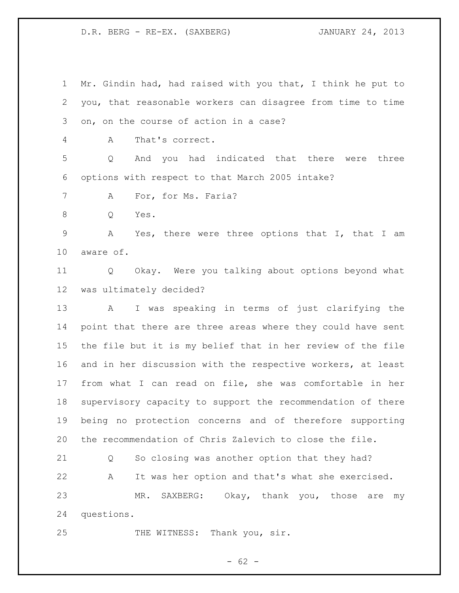Mr. Gindin had, had raised with you that, I think he put to you, that reasonable workers can disagree from time to time on, on the course of action in a case? A That's correct. Q And you had indicated that there were three options with respect to that March 2005 intake? 7 A For, for Ms. Faria? Q Yes. A Yes, there were three options that I, that I am aware of. Q Okay. Were you talking about options beyond what was ultimately decided? A I was speaking in terms of just clarifying the point that there are three areas where they could have sent the file but it is my belief that in her review of the file and in her discussion with the respective workers, at least from what I can read on file, she was comfortable in her supervisory capacity to support the recommendation of there being no protection concerns and of therefore supporting the recommendation of Chris Zalevich to close the file. Q So closing was another option that they had? A It was her option and that's what she exercised. MR. SAXBERG: Okay, thank you, those are my questions. 25 THE WITNESS: Thank you, sir.

 $- 62 -$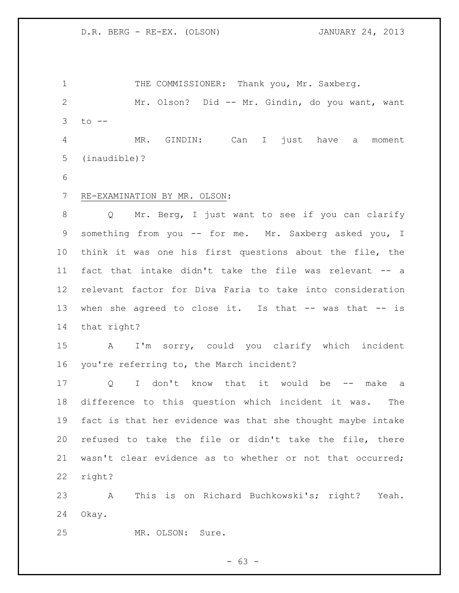1 THE COMMISSIONER: Thank you, Mr. Saxberg. Mr. Olson? Did -- Mr. Gindin, do you want, want to -- MR. GINDIN: Can I just have a moment (inaudible)?

RE-EXAMINATION BY MR. OLSON:

 Q Mr. Berg, I just want to see if you can clarify something from you -- for me. Mr. Saxberg asked you, I think it was one his first questions about the file, the fact that intake didn't take the file was relevant -- a relevant factor for Diva Faria to take into consideration 13 when she agreed to close it. Is that -- was that -- is that right?

 A I'm sorry, could you clarify which incident you're referring to, the March incident?

17 Q I don't know that it would be -- make a difference to this question which incident it was. The fact is that her evidence was that she thought maybe intake refused to take the file or didn't take the file, there wasn't clear evidence as to whether or not that occurred; right?

 A This is on Richard Buchkowski's; right? Yeah. Okay.

MR. OLSON: Sure.

 $- 63 -$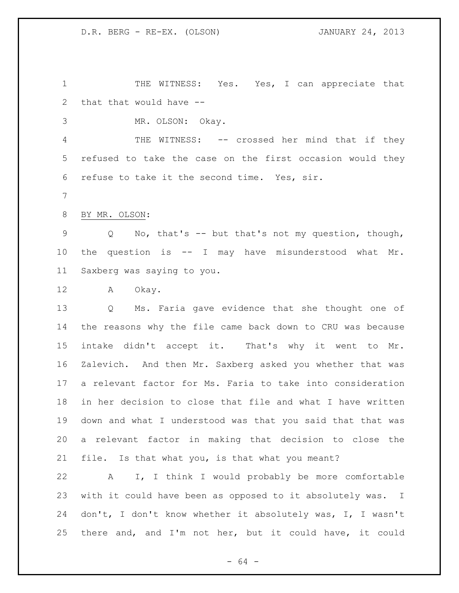1 THE WITNESS: Yes. Yes, I can appreciate that that that would have --

MR. OLSON: Okay.

4 THE WITNESS: -- crossed her mind that if they refused to take the case on the first occasion would they refuse to take it the second time. Yes, sir.

BY MR. OLSON:

 Q No, that's -- but that's not my question, though, the question is -- I may have misunderstood what Mr. Saxberg was saying to you.

A Okay.

 Q Ms. Faria gave evidence that she thought one of the reasons why the file came back down to CRU was because intake didn't accept it. That's why it went to Mr. Zalevich. And then Mr. Saxberg asked you whether that was a relevant factor for Ms. Faria to take into consideration in her decision to close that file and what I have written down and what I understood was that you said that that was a relevant factor in making that decision to close the file. Is that what you, is that what you meant?

 A I, I think I would probably be more comfortable with it could have been as opposed to it absolutely was. I don't, I don't know whether it absolutely was, I, I wasn't there and, and I'm not her, but it could have, it could

- 64 -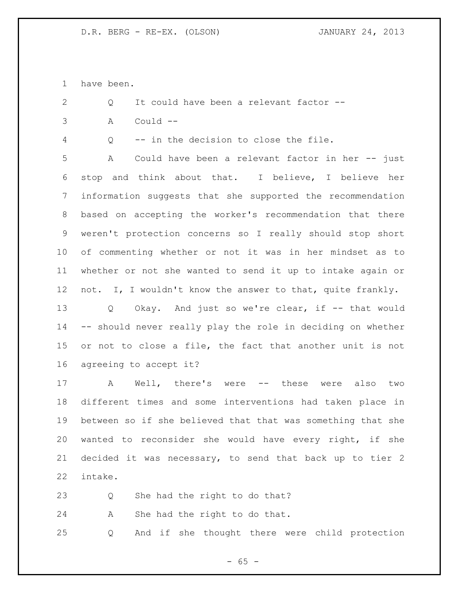have been.

2 O It could have been a relevant factor --

A Could --

Q -- in the decision to close the file.

 A Could have been a relevant factor in her -- just stop and think about that. I believe, I believe her information suggests that she supported the recommendation based on accepting the worker's recommendation that there weren't protection concerns so I really should stop short of commenting whether or not it was in her mindset as to whether or not she wanted to send it up to intake again or not. I, I wouldn't know the answer to that, quite frankly.

 Q Okay. And just so we're clear, if -- that would -- should never really play the role in deciding on whether or not to close a file, the fact that another unit is not agreeing to accept it?

 A Well, there's were -- these were also two different times and some interventions had taken place in between so if she believed that that was something that she wanted to reconsider she would have every right, if she decided it was necessary, to send that back up to tier 2 intake.

Q She had the right to do that?

A She had the right to do that.

Q And if she thought there were child protection

 $- 65 -$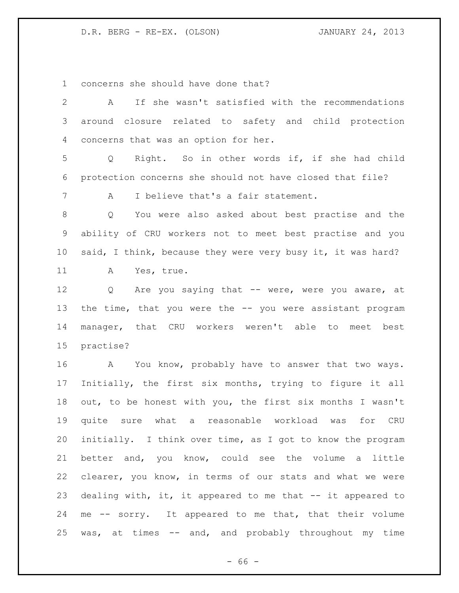concerns she should have done that?

 A If she wasn't satisfied with the recommendations around closure related to safety and child protection concerns that was an option for her. Q Right. So in other words if, if she had child protection concerns she should not have closed that file? A I believe that's a fair statement. Q You were also asked about best practise and the ability of CRU workers not to meet best practise and you 10 said, I think, because they were very busy it, it was hard? A Yes, true. 12 Q Are you saying that -- were, were you aware, at 13 the time, that you were the -- you were assistant program manager, that CRU workers weren't able to meet best practise? A You know, probably have to answer that two ways. Initially, the first six months, trying to figure it all out, to be honest with you, the first six months I wasn't quite sure what a reasonable workload was for CRU initially. I think over time, as I got to know the program better and, you know, could see the volume a little clearer, you know, in terms of our stats and what we were 23 dealing with, it, it appeared to me that -- it appeared to me -- sorry. It appeared to me that, that their volume was, at times -- and, and probably throughout my time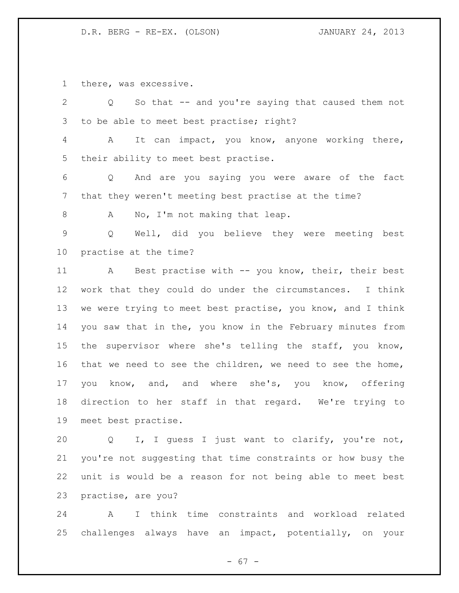there, was excessive.

| $\overline{2}$  | So that -- and you're saying that caused them not<br>$Q \sim$ |
|-----------------|---------------------------------------------------------------|
| 3               | to be able to meet best practise; right?                      |
| $\overline{4}$  | It can impact, you know, anyone working there,<br>A           |
| 5               | their ability to meet best practise.                          |
| 6               | Q And are you saying you were aware of the fact               |
| $7\phantom{.0}$ | that they weren't meeting best practise at the time?          |
| 8               | No, I'm not making that leap.<br>A                            |
| 9               | Well, did you believe they were meeting best<br>Q             |
| 10              | practise at the time?                                         |
| 11              | A Best practise with -- you know, their, their best           |
| 12              | work that they could do under the circumstances. I think      |
| 13              | we were trying to meet best practise, you know, and I think   |
| 14              | you saw that in the, you know in the February minutes from    |
| 15              | supervisor where she's telling the staff, you know,<br>the    |
| 16              | that we need to see the children, we need to see the home,    |
| 17              | know, and, and where she's, you know, offering<br>you         |
| 18              | direction to her staff in that regard. We're trying to        |
| 19              | meet best practise.                                           |
| 20              | I, I quess I just want to clarify, you're not,<br>Q           |

 you're not suggesting that time constraints or how busy the unit is would be a reason for not being able to meet best practise, are you?

 A I think time constraints and workload related challenges always have an impact, potentially, on your

- 67 -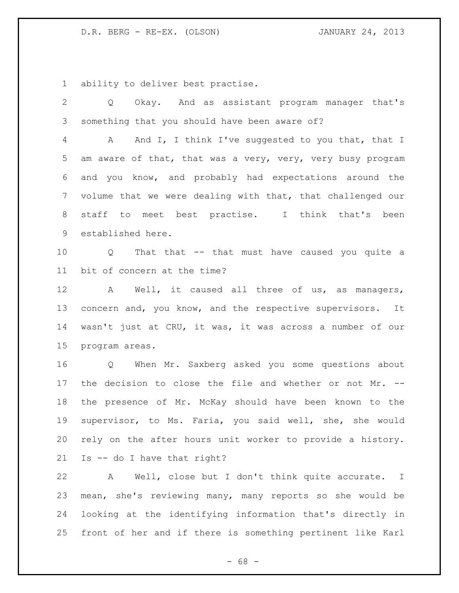ability to deliver best practise.

 Q Okay. And as assistant program manager that's something that you should have been aware of? A And I, I think I've suggested to you that, that I am aware of that, that was a very, very, very busy program and you know, and probably had expectations around the volume that we were dealing with that, that challenged our staff to meet best practise. I think that's been established here. Q That that -- that must have caused you quite a bit of concern at the time? A Well, it caused all three of us, as managers, concern and, you know, and the respective supervisors. It wasn't just at CRU, it was, it was across a number of our program areas. Q When Mr. Saxberg asked you some questions about the decision to close the file and whether or not Mr. -- the presence of Mr. McKay should have been known to the supervisor, to Ms. Faria, you said well, she, she would rely on the after hours unit worker to provide a history. Is -- do I have that right? A Well, close but I don't think quite accurate. I mean, she's reviewing many, many reports so she would be

 looking at the identifying information that's directly in front of her and if there is something pertinent like Karl

- 68 -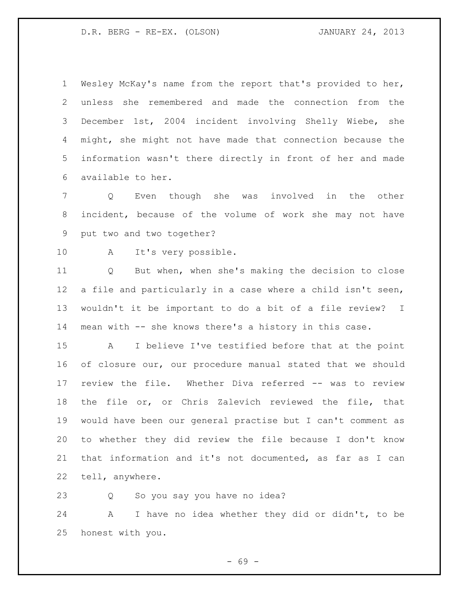Wesley McKay's name from the report that's provided to her, unless she remembered and made the connection from the December 1st, 2004 incident involving Shelly Wiebe, she might, she might not have made that connection because the information wasn't there directly in front of her and made available to her.

 Q Even though she was involved in the other incident, because of the volume of work she may not have put two and two together?

A It's very possible.

 Q But when, when she's making the decision to close a file and particularly in a case where a child isn't seen, wouldn't it be important to do a bit of a file review? I mean with -- she knows there's a history in this case.

 A I believe I've testified before that at the point of closure our, our procedure manual stated that we should review the file. Whether Diva referred -- was to review the file or, or Chris Zalevich reviewed the file, that would have been our general practise but I can't comment as to whether they did review the file because I don't know that information and it's not documented, as far as I can tell, anywhere.

Q So you say you have no idea?

 A I have no idea whether they did or didn't, to be honest with you.

- 69 -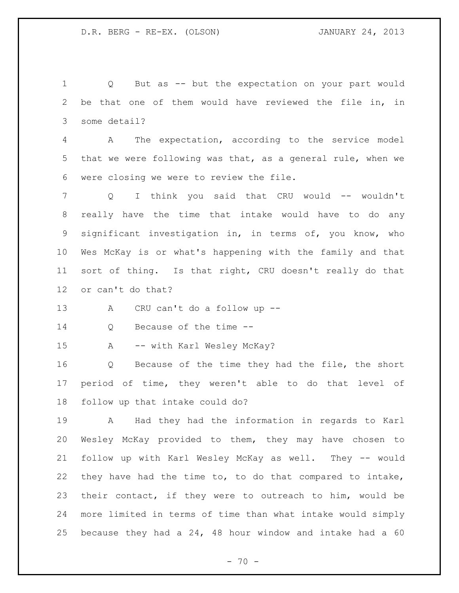Q But as -- but the expectation on your part would be that one of them would have reviewed the file in, in some detail? A The expectation, according to the service model that we were following was that, as a general rule, when we were closing we were to review the file. 7 Q I think you said that CRU would -- wouldn't really have the time that intake would have to do any significant investigation in, in terms of, you know, who Wes McKay is or what's happening with the family and that sort of thing. Is that right, CRU doesn't really do that or can't do that? A CRU can't do a follow up -- Q Because of the time -- A -- with Karl Wesley McKay? Q Because of the time they had the file, the short period of time, they weren't able to do that level of follow up that intake could do? A Had they had the information in regards to Karl Wesley McKay provided to them, they may have chosen to follow up with Karl Wesley McKay as well. They -- would they have had the time to, to do that compared to intake, their contact, if they were to outreach to him, would be more limited in terms of time than what intake would simply because they had a 24, 48 hour window and intake had a 60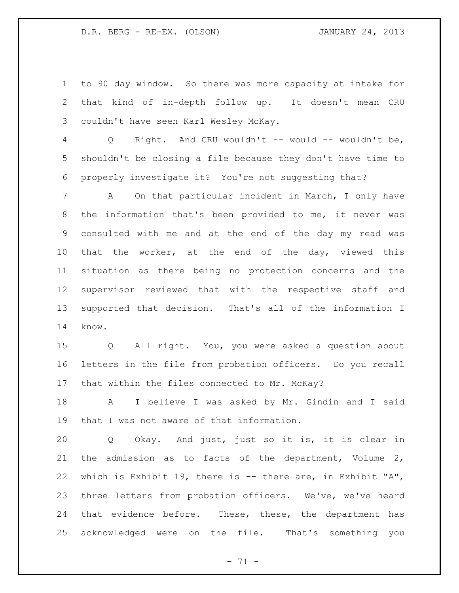D.R. BERG - RE-EX. (OLSON) JANUARY 24, 2013

 to 90 day window. So there was more capacity at intake for that kind of in-depth follow up. It doesn't mean CRU couldn't have seen Karl Wesley McKay.

 Q Right. And CRU wouldn't -- would -- wouldn't be, shouldn't be closing a file because they don't have time to properly investigate it? You're not suggesting that?

 A On that particular incident in March, I only have the information that's been provided to me, it never was consulted with me and at the end of the day my read was 10 that the worker, at the end of the day, viewed this situation as there being no protection concerns and the supervisor reviewed that with the respective staff and supported that decision. That's all of the information I know.

 Q All right. You, you were asked a question about letters in the file from probation officers. Do you recall that within the files connected to Mr. McKay?

 A I believe I was asked by Mr. Gindin and I said that I was not aware of that information.

 Q Okay. And just, just so it is, it is clear in the admission as to facts of the department, Volume 2, which is Exhibit 19, there is -- there are, in Exhibit "A", three letters from probation officers. We've, we've heard 24 that evidence before. These, these, the department has acknowledged were on the file. That's something you

- 71 -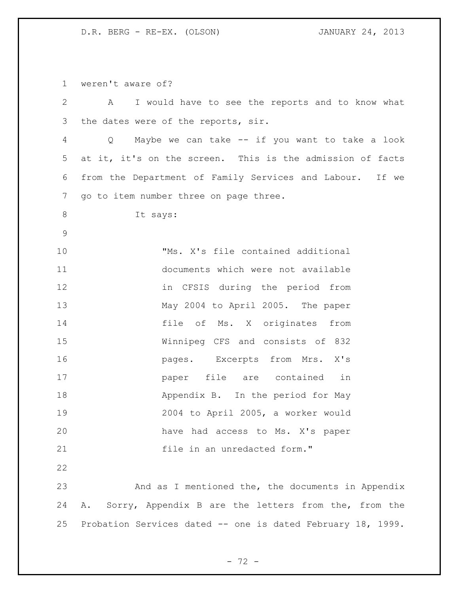D.R. BERG - RE-EX. (OLSON) JANUARY 24, 2013

weren't aware of?

 A I would have to see the reports and to know what the dates were of the reports, sir. Q Maybe we can take -- if you want to take a look at it, it's on the screen. This is the admission of facts from the Department of Family Services and Labour. If we go to item number three on page three. It says: "Ms. X's file contained additional documents which were not available in CFSIS during the period from May 2004 to April 2005. The paper file of Ms. X originates from Winnipeg CFS and consists of 832 **pages.** Excerpts from Mrs. X's paper file are contained in 18 Appendix B. In the period for May 2004 to April 2005, a worker would have had access to Ms. X's paper 21 file in an unredacted form." And as I mentioned the, the documents in Appendix A. Sorry, Appendix B are the letters from the, from the Probation Services dated -- one is dated February 18, 1999.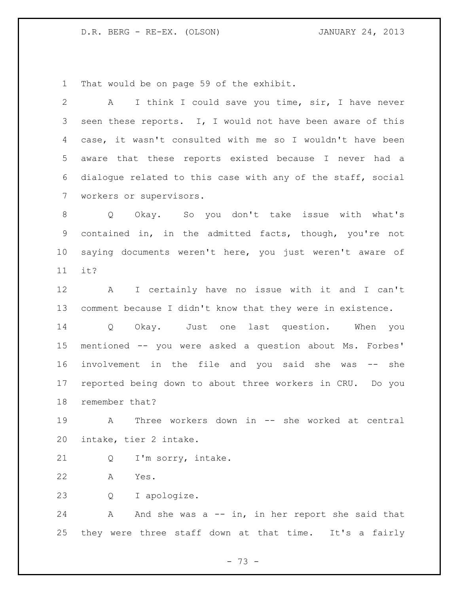D.R. BERG - RE-EX. (OLSON) JANUARY 24, 2013

That would be on page 59 of the exhibit.

| $\mathbf{2}$ | I think I could save you time, sir, I have never<br>$\mathbf{A}$ |
|--------------|------------------------------------------------------------------|
| 3            | seen these reports. I, I would not have been aware of this       |
| 4            | case, it wasn't consulted with me so I wouldn't have been        |
| 5            | aware that these reports existed because I never had a           |
| 6            | dialogue related to this case with any of the staff, social      |
| 7            | workers or supervisors.                                          |
| 8            | Okay. So you don't take issue with what's<br>$Q \qquad$          |
| 9            | contained in, in the admitted facts, though, you're not          |
| $10 \,$      | saying documents weren't here, you just weren't aware of         |
| 11           | it?                                                              |
| 12           | I certainly have no issue with it and I can't<br>$\mathbf{A}$    |
| 13           | comment because I didn't know that they were in existence.       |
| 14           | Just one last question. When you<br>Q Okay.                      |
| 15           | mentioned -- you were asked a question about Ms. Forbes'         |
| 16           | involvement in the file and you said she was -- she              |
| 17           | reported being down to about three workers in CRU. Do you        |
| 18           | remember that?                                                   |
| 19           | Three workers down in -- she worked at central<br>A              |
| 20           | intake, tier 2 intake.                                           |
| 21           | I'm sorry, intake.<br>Q                                          |
| 22           | Yes.<br>A                                                        |
| 23           | I apologize.<br>Q                                                |
| 24           | And she was $a - i n$ , in her report she said that<br>A         |
| 25           | they were three staff down at that time. It's a fairly           |
|              |                                                                  |

- 73 -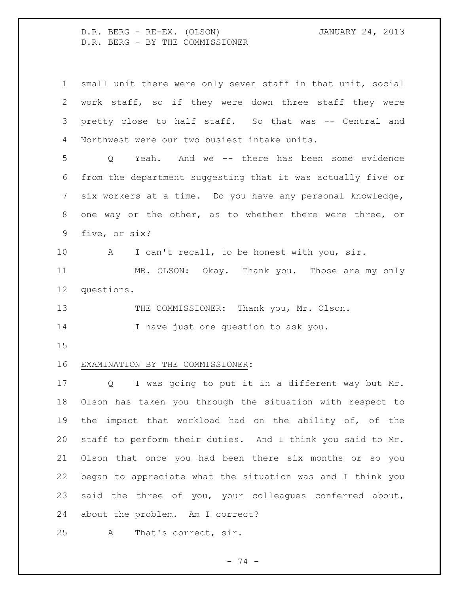D.R. BERG - RE-EX. (OLSON) JANUARY 24, 2013 D.R. BERG - BY THE COMMISSIONER

 small unit there were only seven staff in that unit, social work staff, so if they were down three staff they were pretty close to half staff. So that was -- Central and Northwest were our two busiest intake units. Q Yeah. And we -- there has been some evidence from the department suggesting that it was actually five or six workers at a time. Do you have any personal knowledge, one way or the other, as to whether there were three, or five, or six? A I can't recall, to be honest with you, sir. MR. OLSON: Okay. Thank you. Those are my only questions. 13 THE COMMISSIONER: Thank you, Mr. Olson. 14 I have just one question to ask you. EXAMINATION BY THE COMMISSIONER: Q I was going to put it in a different way but Mr. Olson has taken you through the situation with respect to the impact that workload had on the ability of, of the staff to perform their duties. And I think you said to Mr. Olson that once you had been there six months or so you began to appreciate what the situation was and I think you said the three of you, your colleagues conferred about, about the problem. Am I correct? A That's correct, sir.

- 74 -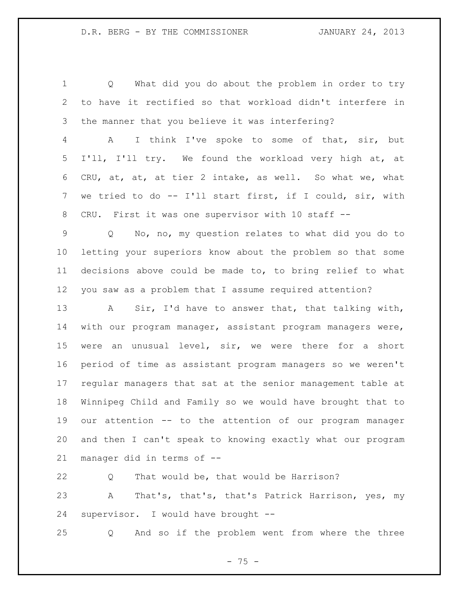Q What did you do about the problem in order to try to have it rectified so that workload didn't interfere in the manner that you believe it was interfering?

 A I think I've spoke to some of that, sir, but I'll, I'll try. We found the workload very high at, at CRU, at, at, at tier 2 intake, as well. So what we, what we tried to do -- I'll start first, if I could, sir, with CRU. First it was one supervisor with 10 staff --

 Q No, no, my question relates to what did you do to letting your superiors know about the problem so that some decisions above could be made to, to bring relief to what you saw as a problem that I assume required attention?

 A Sir, I'd have to answer that, that talking with, with our program manager, assistant program managers were, were an unusual level, sir, we were there for a short period of time as assistant program managers so we weren't regular managers that sat at the senior management table at Winnipeg Child and Family so we would have brought that to our attention -- to the attention of our program manager and then I can't speak to knowing exactly what our program manager did in terms of --

 Q That would be, that would be Harrison? A That's, that's, that's Patrick Harrison, yes, my supervisor. I would have brought --

Q And so if the problem went from where the three

 $- 75 -$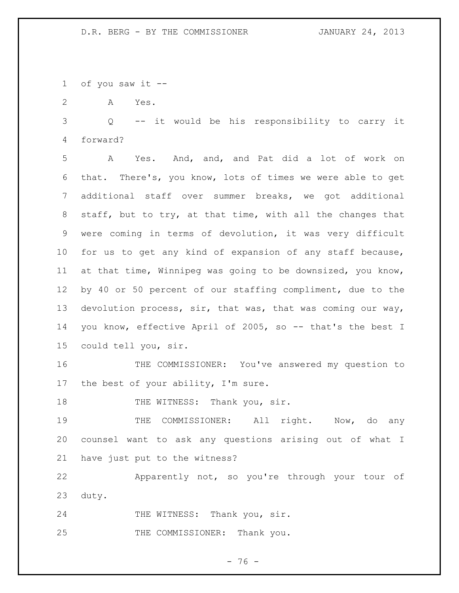of you saw it --

A Yes.

 Q -- it would be his responsibility to carry it forward?

 A Yes. And, and, and Pat did a lot of work on that. There's, you know, lots of times we were able to get additional staff over summer breaks, we got additional staff, but to try, at that time, with all the changes that were coming in terms of devolution, it was very difficult for us to get any kind of expansion of any staff because, at that time, Winnipeg was going to be downsized, you know, by 40 or 50 percent of our staffing compliment, due to the devolution process, sir, that was, that was coming our way, you know, effective April of 2005, so -- that's the best I could tell you, sir.

 THE COMMISSIONER: You've answered my question to the best of your ability, I'm sure.

18 THE WITNESS: Thank you, sir.

19 THE COMMISSIONER: All right. Now, do any counsel want to ask any questions arising out of what I have just put to the witness?

 Apparently not, so you're through your tour of duty.

24 THE WITNESS: Thank you, sir.

25 THE COMMISSIONER: Thank you.

- 76 -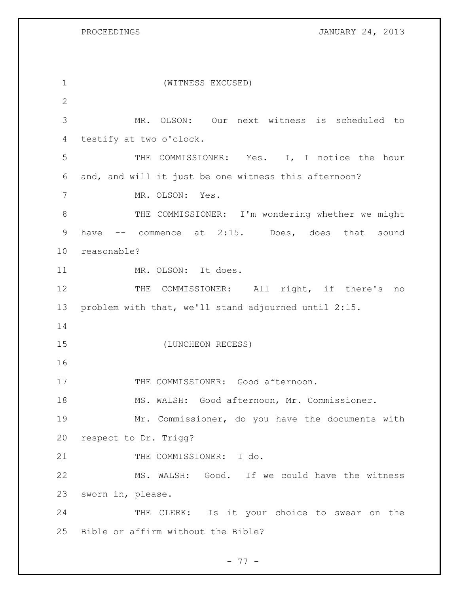PROCEEDINGS **JANUARY 24, 2013** 

 (WITNESS EXCUSED) MR. OLSON: Our next witness is scheduled to testify at two o'clock. THE COMMISSIONER: Yes. I, I notice the hour and, and will it just be one witness this afternoon? MR. OLSON: Yes. 8 THE COMMISSIONER: I'm wondering whether we might 9 have -- commence at 2:15. Does, does that sound reasonable? MR. OLSON: It does. 12 THE COMMISSIONER: All right, if there's no problem with that, we'll stand adjourned until 2:15. (LUNCHEON RECESS) 17 THE COMMISSIONER: Good afternoon. MS. WALSH: Good afternoon, Mr. Commissioner. Mr. Commissioner, do you have the documents with respect to Dr. Trigg? 21 THE COMMISSIONER: I do. MS. WALSH: Good. If we could have the witness sworn in, please. 24 THE CLERK: Is it your choice to swear on the Bible or affirm without the Bible?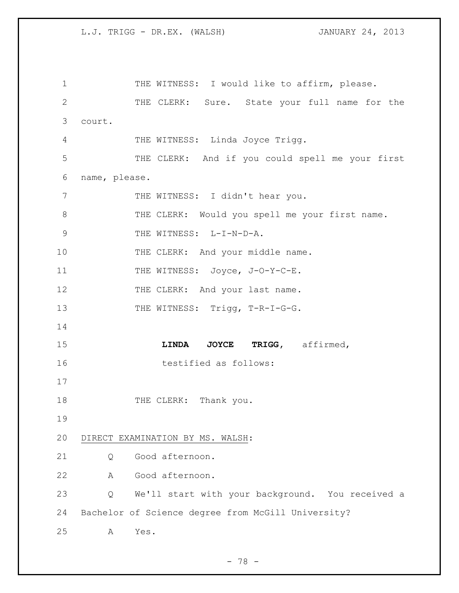1 THE WITNESS: I would like to affirm, please. 2 THE CLERK: Sure. State your full name for the 3 court. 4 THE WITNESS: Linda Joyce Trigg. 5 THE CLERK: And if you could spell me your first 6 name, please. 7 THE WITNESS: I didn't hear you. 8 THE CLERK: Would you spell me your first name. 9 THE WITNESS: L-I-N-D-A. 10 THE CLERK: And your middle name. 11 THE WITNESS: Joyce, J-O-Y-C-E. 12 THE CLERK: And your last name. 13 THE WITNESS: Trigg, T-R-I-G-G. 14 15 **LINDA JOYCE TRIGG,** affirmed, 16 testified as follows: 17 18 THE CLERK: Thank you. 19 20 DIRECT EXAMINATION BY MS. WALSH: 21 Q Good afternoon. 22 A Good afternoon. 23 Q We'll start with your background. You received a 24 Bachelor of Science degree from McGill University? 25 A Yes.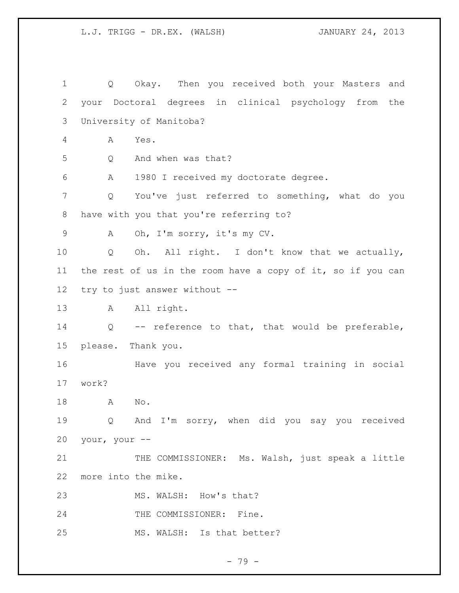Q Okay. Then you received both your Masters and your Doctoral degrees in clinical psychology from the University of Manitoba? A Yes. Q And when was that? A 1980 I received my doctorate degree. Q You've just referred to something, what do you have with you that you're referring to? A Oh, I'm sorry, it's my CV. Q Oh. All right. I don't know that we actually, the rest of us in the room have a copy of it, so if you can try to just answer without -- A All right. Q -- reference to that, that would be preferable, please. Thank you. Have you received any formal training in social work? A No. Q And I'm sorry, when did you say you received your, your -- 21 THE COMMISSIONER: Ms. Walsh, just speak a little more into the mike. 23 MS. WALSH: How's that? 24 THE COMMISSIONER: Fine. MS. WALSH: Is that better?

- 79 -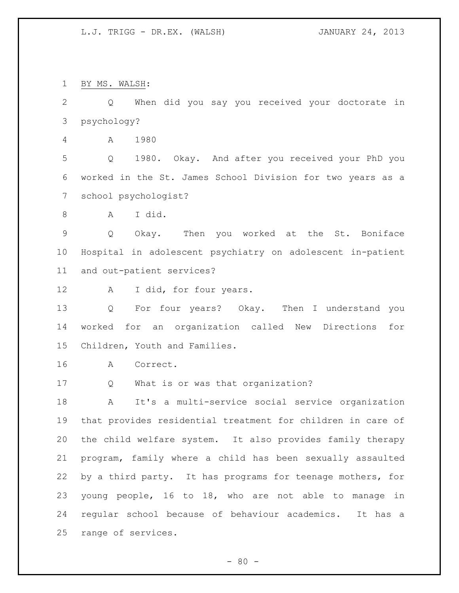BY MS. WALSH:

 Q When did you say you received your doctorate in psychology?

A 1980

 Q 1980. Okay. And after you received your PhD you worked in the St. James School Division for two years as a school psychologist?

A I did.

 Q Okay. Then you worked at the St. Boniface Hospital in adolescent psychiatry on adolescent in-patient and out-patient services?

12 A I did, for four years.

 Q For four years? Okay. Then I understand you worked for an organization called New Directions for Children, Youth and Families.

A Correct.

Q What is or was that organization?

 A It's a multi-service social service organization that provides residential treatment for children in care of the child welfare system. It also provides family therapy program, family where a child has been sexually assaulted by a third party. It has programs for teenage mothers, for young people, 16 to 18, who are not able to manage in regular school because of behaviour academics. It has a range of services.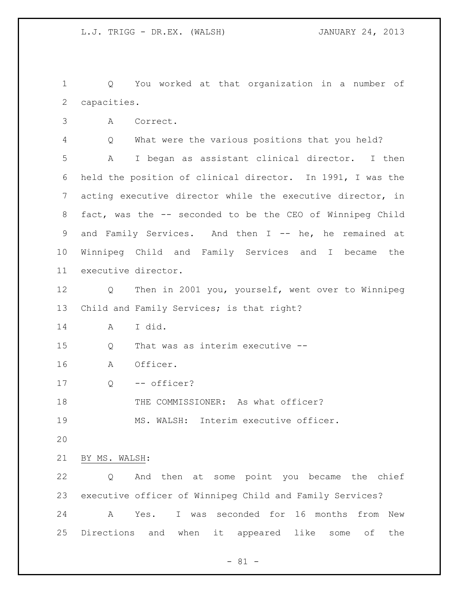Q You worked at that organization in a number of capacities.

A Correct.

Q What were the various positions that you held?

 A I began as assistant clinical director. I then held the position of clinical director. In 1991, I was the acting executive director while the executive director, in fact, was the -- seconded to be the CEO of Winnipeg Child 9 and Family Services. And then I -- he, he remained at Winnipeg Child and Family Services and I became the executive director.

 Q Then in 2001 you, yourself, went over to Winnipeg Child and Family Services; is that right?

A I did.

Q That was as interim executive --

A Officer.

Q -- officer?

18 THE COMMISSIONER: As what officer?

MS. WALSH: Interim executive officer.

BY MS. WALSH:

 Q And then at some point you became the chief executive officer of Winnipeg Child and Family Services? A Yes. I was seconded for 16 months from New Directions and when it appeared like some of the

 $- 81 -$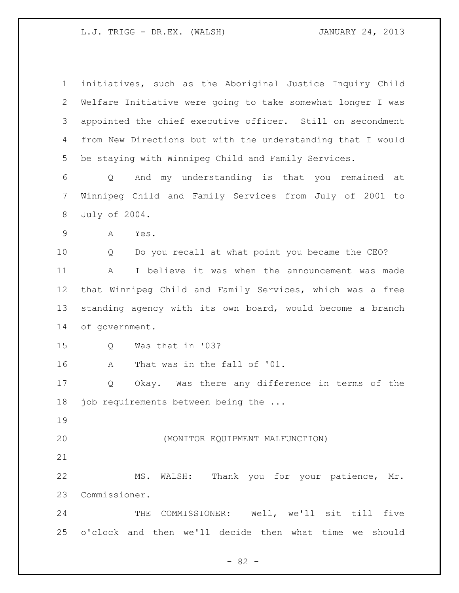initiatives, such as the Aboriginal Justice Inquiry Child Welfare Initiative were going to take somewhat longer I was appointed the chief executive officer. Still on secondment from New Directions but with the understanding that I would be staying with Winnipeg Child and Family Services. Q And my understanding is that you remained at Winnipeg Child and Family Services from July of 2001 to July of 2004. A Yes. Q Do you recall at what point you became the CEO? A I believe it was when the announcement was made that Winnipeg Child and Family Services, which was a free standing agency with its own board, would become a branch of government. Q Was that in '03? A That was in the fall of '01. Q Okay. Was there any difference in terms of the 18 job requirements between being the ... (MONITOR EQUIPMENT MALFUNCTION) MS. WALSH: Thank you for your patience, Mr. Commissioner. THE COMMISSIONER: Well, we'll sit till five

o'clock and then we'll decide then what time we should

- 82 -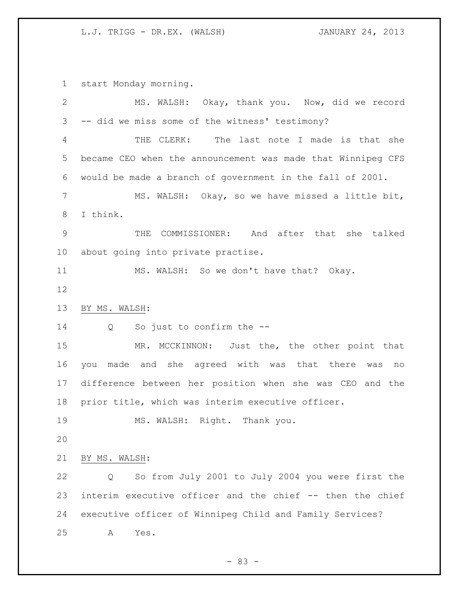start Monday morning.

| $\overline{2}$ | MS. WALSH: Okay, thank you. Now, did we record              |
|----------------|-------------------------------------------------------------|
| 3              | -- did we miss some of the witness' testimony?              |
| $\overline{4}$ | The last note I made is that she<br>THE CLERK:              |
| 5              | became CEO when the announcement was made that Winnipeg CFS |
| 6              | would be made a branch of government in the fall of 2001.   |
| 7              | MS. WALSH: Okay, so we have missed a little bit,            |
| 8              | I think.                                                    |
| $\mathcal{G}$  | COMMISSIONER: And after that she talked<br>THE              |
| 10             | about going into private practise.                          |
| 11             | MS. WALSH: So we don't have that? Okay.                     |
| 12             |                                                             |
| 13             | BY MS. WALSH:                                               |
| 14             | So just to confirm the --<br>$Q \qquad \qquad$              |
| 15             | MR. MCCKINNON: Just the, the other point that               |
| 16             | made and she agreed with was that there<br>you<br>was<br>no |
| 17             | difference between her position when she was CEO and the    |
| 18             | prior title, which was interim executive officer.           |
| 19             | MS. WALSH: Right. Thank you.                                |
| 20             |                                                             |
| 21             | BY MS. WALSH:                                               |
| 22             | So from July 2001 to July 2004 you were first the<br>Q      |
| 23             | interim executive officer and the chief -- then the chief   |
| 24             | executive officer of Winnipeq Child and Family Services?    |
| 25             | Α<br>Yes.                                                   |

- 83 -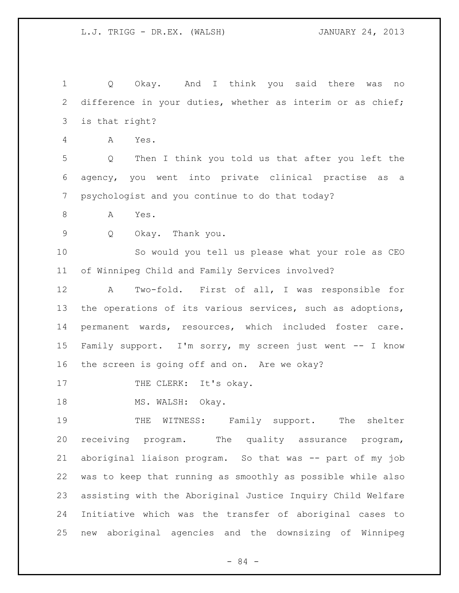Q Okay. And I think you said there was no difference in your duties, whether as interim or as chief; is that right? A Yes. Q Then I think you told us that after you left the agency, you went into private clinical practise as a psychologist and you continue to do that today? 8 A Yes. Q Okay. Thank you. So would you tell us please what your role as CEO of Winnipeg Child and Family Services involved? A Two-fold. First of all, I was responsible for 13 the operations of its various services, such as adoptions, permanent wards, resources, which included foster care. Family support. I'm sorry, my screen just went -- I know the screen is going off and on. Are we okay? 17 THE CLERK: It's okay. 18 MS. WALSH: Okay. THE WITNESS: Family support. The shelter receiving program. The quality assurance program, aboriginal liaison program. So that was -- part of my job was to keep that running as smoothly as possible while also assisting with the Aboriginal Justice Inquiry Child Welfare Initiative which was the transfer of aboriginal cases to new aboriginal agencies and the downsizing of Winnipeg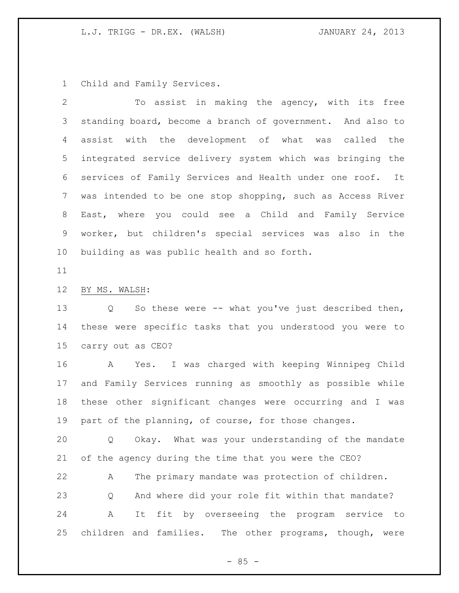Child and Family Services.

 To assist in making the agency, with its free standing board, become a branch of government. And also to assist with the development of what was called the integrated service delivery system which was bringing the services of Family Services and Health under one roof. It was intended to be one stop shopping, such as Access River East, where you could see a Child and Family Service worker, but children's special services was also in the building as was public health and so forth.

# BY MS. WALSH:

 Q So these were -- what you've just described then, these were specific tasks that you understood you were to carry out as CEO?

 A Yes. I was charged with keeping Winnipeg Child and Family Services running as smoothly as possible while these other significant changes were occurring and I was part of the planning, of course, for those changes.

 Q Okay. What was your understanding of the mandate of the agency during the time that you were the CEO?

 A The primary mandate was protection of children. Q And where did your role fit within that mandate? A It fit by overseeing the program service to children and families. The other programs, though, were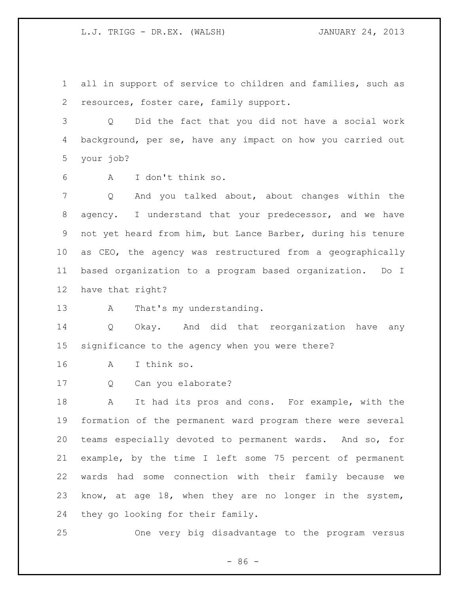all in support of service to children and families, such as resources, foster care, family support.

 Q Did the fact that you did not have a social work background, per se, have any impact on how you carried out your job?

A I don't think so.

 Q And you talked about, about changes within the agency. I understand that your predecessor, and we have not yet heard from him, but Lance Barber, during his tenure as CEO, the agency was restructured from a geographically based organization to a program based organization. Do I have that right?

13 A That's my understanding.

 Q Okay. And did that reorganization have any significance to the agency when you were there?

- A I think so.
- Q Can you elaborate?

 A It had its pros and cons. For example, with the formation of the permanent ward program there were several teams especially devoted to permanent wards. And so, for example, by the time I left some 75 percent of permanent wards had some connection with their family because we know, at age 18, when they are no longer in the system, they go looking for their family.

One very big disadvantage to the program versus

- 86 -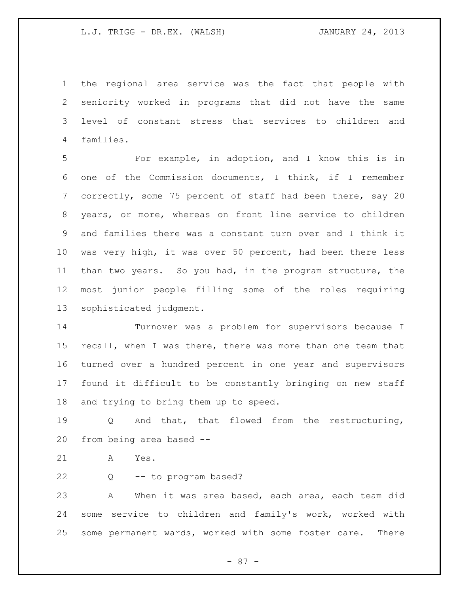the regional area service was the fact that people with seniority worked in programs that did not have the same level of constant stress that services to children and families.

 For example, in adoption, and I know this is in one of the Commission documents, I think, if I remember correctly, some 75 percent of staff had been there, say 20 years, or more, whereas on front line service to children and families there was a constant turn over and I think it was very high, it was over 50 percent, had been there less than two years. So you had, in the program structure, the most junior people filling some of the roles requiring sophisticated judgment.

 Turnover was a problem for supervisors because I recall, when I was there, there was more than one team that turned over a hundred percent in one year and supervisors found it difficult to be constantly bringing on new staff and trying to bring them up to speed.

 Q And that, that flowed from the restructuring, from being area based --

A Yes.

Q -- to program based?

 A When it was area based, each area, each team did some service to children and family's work, worked with some permanent wards, worked with some foster care. There

- 87 -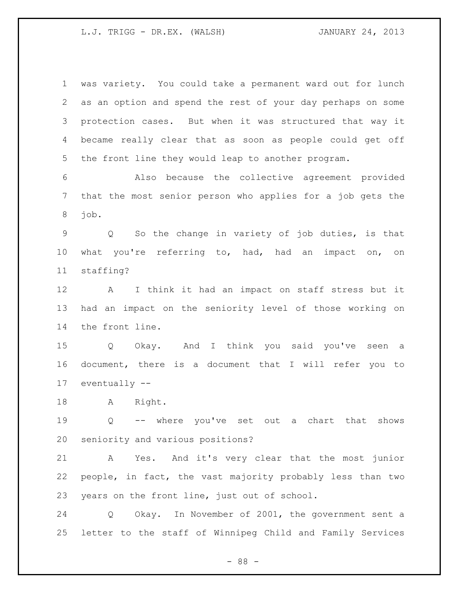was variety. You could take a permanent ward out for lunch as an option and spend the rest of your day perhaps on some protection cases. But when it was structured that way it became really clear that as soon as people could get off the front line they would leap to another program. Also because the collective agreement provided that the most senior person who applies for a job gets the job. Q So the change in variety of job duties, is that what you're referring to, had, had an impact on, on staffing? A I think it had an impact on staff stress but it had an impact on the seniority level of those working on the front line. Q Okay. And I think you said you've seen a document, there is a document that I will refer you to eventually -- A Right. Q -- where you've set out a chart that shows seniority and various positions? A Yes. And it's very clear that the most junior people, in fact, the vast majority probably less than two years on the front line, just out of school. Q Okay. In November of 2001, the government sent a letter to the staff of Winnipeg Child and Family Services

- 88 -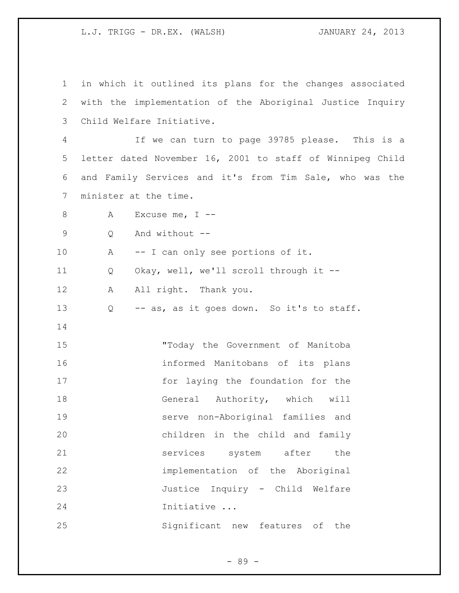| $\mathbf 1$ |                           | in which it outlined its plans for the changes associated |
|-------------|---------------------------|-----------------------------------------------------------|
| 2           |                           | with the implementation of the Aboriginal Justice Inquiry |
| 3           | Child Welfare Initiative. |                                                           |
| 4           |                           | If we can turn to page 39785 please. This is a            |
| 5           |                           | letter dated November 16, 2001 to staff of Winnipeg Child |
| 6           |                           | and Family Services and it's from Tim Sale, who was the   |
| 7           | minister at the time.     |                                                           |
| 8           | А                         | Excuse me, $I$ --                                         |
| 9           | Q                         | And without --                                            |
| 10          | Α                         | -- I can only see portions of it.                         |
| 11          | Q                         | Okay, well, we'll scroll through it --                    |
| 12          | Α                         | All right. Thank you.                                     |
| 13          | Q                         | -- as, as it goes down. So it's to staff.                 |
| 14          |                           |                                                           |
| 15          |                           | "Today the Government of Manitoba                         |
| 16          |                           | informed Manitobans of its plans                          |
| 17          |                           | for laying the foundation for the                         |
| 18          |                           | General Authority, which will                             |
| 19          |                           | serve non-Aboriginal families and                         |
| 20          |                           | children in the child and family                          |
| 21          |                           | services system after<br>the                              |
| 22          |                           | implementation of the Aboriginal                          |
| 23          |                           | Justice Inquiry - Child Welfare                           |
| 24          |                           | Initiative                                                |
| 25          |                           | Significant new features of<br>the                        |

- 89 -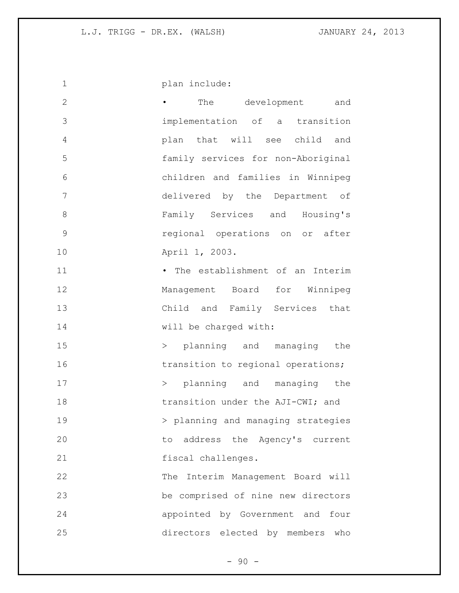1 plan include: • The development and implementation of a transition plan that will see child and family services for non-Aboriginal children and families in Winnipeg delivered by the Department of Family Services and Housing's regional operations on or after April 1, 2003. 11 • The establishment of an Interim Management Board for Winnipeg Child and Family Services that 14 will be charged with: 15 > planning and managing the 16 transition to regional operations; 17 > planning and managing the **transition under the AJI-CWI; and** 19 > planning and managing strategies to address the Agency's current fiscal challenges. The Interim Management Board will be comprised of nine new directors appointed by Government and four directors elected by members who

 $-90 -$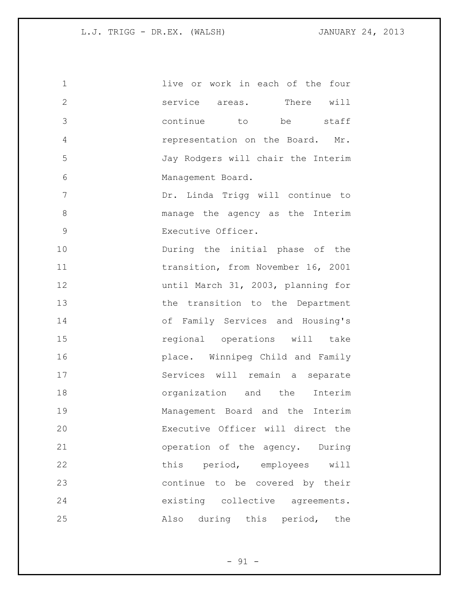| 1            | live or work in each of the four   |
|--------------|------------------------------------|
| $\mathbf{2}$ | service areas. There will          |
| 3            | continue to be staff               |
| 4            | representation on the Board. Mr.   |
| 5            | Jay Rodgers will chair the Interim |
| 6            | Management Board.                  |
| 7            | Dr. Linda Trigg will continue to   |
| $\,8\,$      | manage the agency as the Interim   |
| $\mathsf 9$  | Executive Officer.                 |
| 10           | During the initial phase of the    |
| 11           | transition, from November 16, 2001 |
| 12           | until March 31, 2003, planning for |
| 13           | the transition to the Department   |
| 14           | of Family Services and Housing's   |
| 15           | regional operations will take      |
| 16           | place. Winnipeg Child and Family   |
| 17           | Services will remain a separate    |
| 18           | organization and the Interim       |
| 19           | Management Board and the Interim   |
| 20           | Executive Officer will direct the  |
| 21           | operation of the agency. During    |
| 22           | this period, employees will        |
| 23           | continue to be covered by their    |
| 24           | existing collective agreements.    |
| 25           | Also during this period, the       |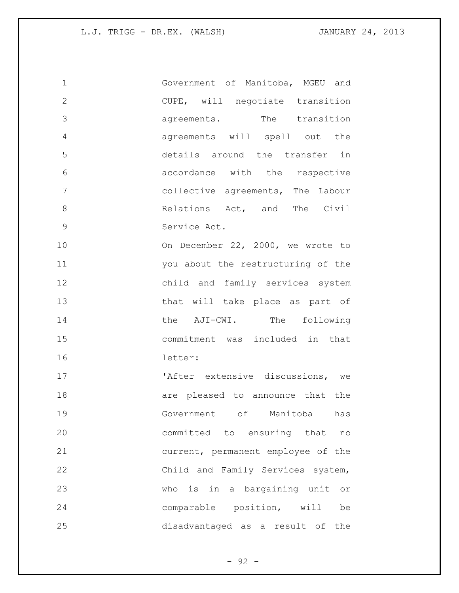| $\mathbf 1$    | Government of Manitoba, MGEU and         |
|----------------|------------------------------------------|
| $\mathbf{2}$   | CUPE, will negotiate transition          |
| 3              | agreements. The transition               |
| $\overline{4}$ | agreements will spell out the            |
| 5              | details around the transfer in           |
| 6              | accordance with the respective           |
| 7              | collective agreements, The Labour        |
| 8              | Relations Act, and The Civil             |
| $\mathcal{G}$  | Service Act.                             |
| 10             | On December 22, 2000, we wrote to        |
| 11             | you about the restructuring of the       |
| 12             | child and family services system         |
| 13             | that will take place as part of          |
| 14             | the AJI-CWI. The following               |
| 15             | commitment was included in that          |
| 16             | letter:                                  |
| 17             | 'After extensive discussions, we         |
| 18             | are pleased to announce that the         |
| 19             | Government of Manitoba has               |
| 20             | committed to ensuring that<br>no         |
| 21             | current, permanent employee of the       |
| 22             | Child and Family Services system,        |
| 23             | who is in a bargaining unit<br>$\circ$ r |
| 24             | comparable position, will<br>be          |
| 25             | disadvantaged as a result of the         |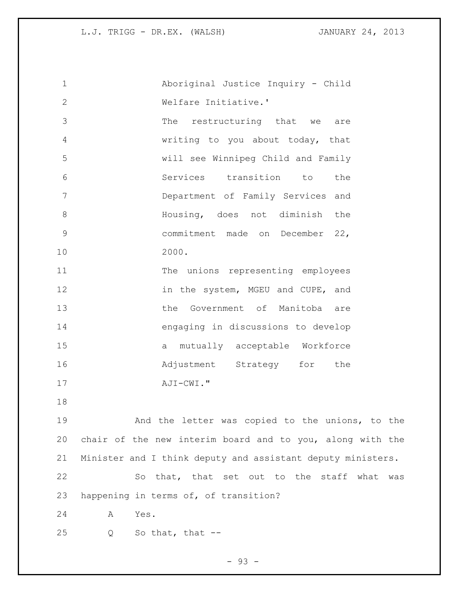Aboriginal Justice Inquiry - Child Welfare Initiative.' The restructuring that we are writing to you about today, that will see Winnipeg Child and Family Services transition to the Department of Family Services and Housing, does not diminish the commitment made on December 22, 2000. The unions representing employees **in the system, MGEU and CUPE, and**  the Government of Manitoba are engaging in discussions to develop a mutually acceptable Workforce **Adjustment** Strategy for the AJI-CWI." And the letter was copied to the unions, to the chair of the new interim board and to you, along with the Minister and I think deputy and assistant deputy ministers. So that, that set out to the staff what was happening in terms of, of transition? A Yes. Q So that, that --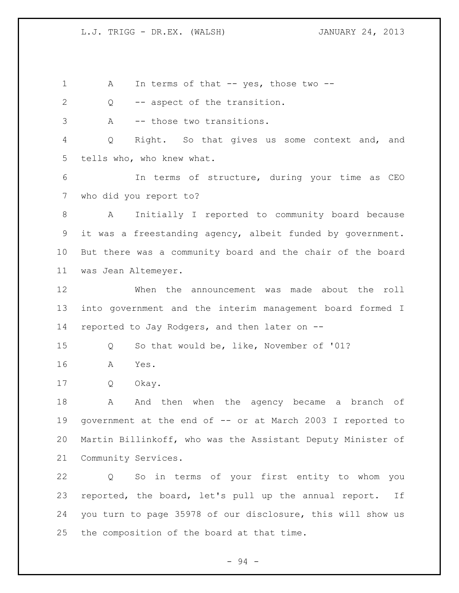1 A In terms of that -- yes, those two --

Q -- aspect of the transition.

A -- those two transitions.

 Q Right. So that gives us some context and, and tells who, who knew what.

 In terms of structure, during your time as CEO who did you report to?

 A Initially I reported to community board because it was a freestanding agency, albeit funded by government. But there was a community board and the chair of the board was Jean Altemeyer.

 When the announcement was made about the roll into government and the interim management board formed I reported to Jay Rodgers, and then later on --

Q So that would be, like, November of '01?

A Yes.

Q Okay.

18 A And then when the agency became a branch of government at the end of -- or at March 2003 I reported to Martin Billinkoff, who was the Assistant Deputy Minister of Community Services.

 Q So in terms of your first entity to whom you reported, the board, let's pull up the annual report. If you turn to page 35978 of our disclosure, this will show us the composition of the board at that time.

- 94 -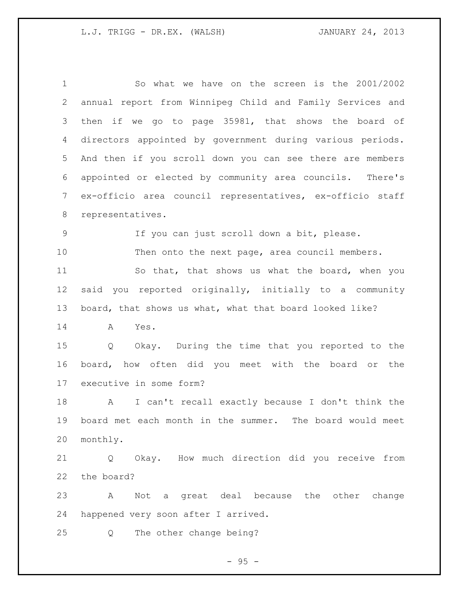So what we have on the screen is the 2001/2002 annual report from Winnipeg Child and Family Services and then if we go to page 35981, that shows the board of directors appointed by government during various periods. And then if you scroll down you can see there are members appointed or elected by community area councils. There's ex-officio area council representatives, ex-officio staff representatives. If you can just scroll down a bit, please. Then onto the next page, area council members. So that, that shows us what the board, when you said you reported originally, initially to a community board, that shows us what, what that board looked like? A Yes. Q Okay. During the time that you reported to the board, how often did you meet with the board or the executive in some form? A I can't recall exactly because I don't think the board met each month in the summer. The board would meet monthly. Q Okay. How much direction did you receive from the board? A Not a great deal because the other change happened very soon after I arrived. Q The other change being?

 $- 95 -$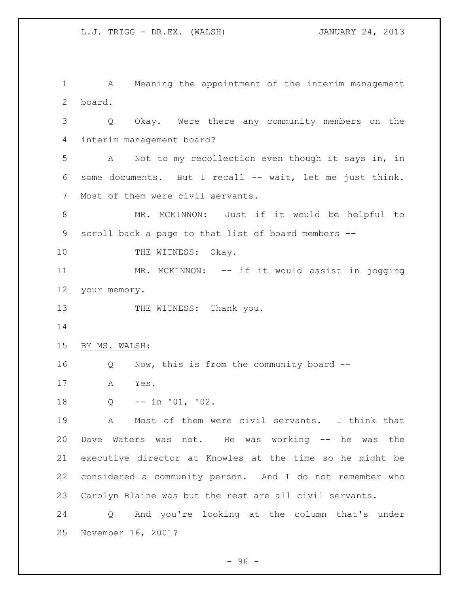A Meaning the appointment of the interim management board. Q Okay. Were there any community members on the interim management board? A Not to my recollection even though it says in, in some documents. But I recall -- wait, let me just think. Most of them were civil servants. MR. MCKINNON: Just if it would be helpful to scroll back a page to that list of board members -- 10 THE WITNESS: Okay. MR. MCKINNON: -- if it would assist in jogging your memory. 13 THE WITNESS: Thank you. BY MS. WALSH: Q Now, this is from the community board -- A Yes. Q -- in '01, '02. A Most of them were civil servants. I think that Dave Waters was not. He was working -- he was the executive director at Knowles at the time so he might be considered a community person. And I do not remember who Carolyn Blaine was but the rest are all civil servants. Q And you're looking at the column that's under November 16, 2001?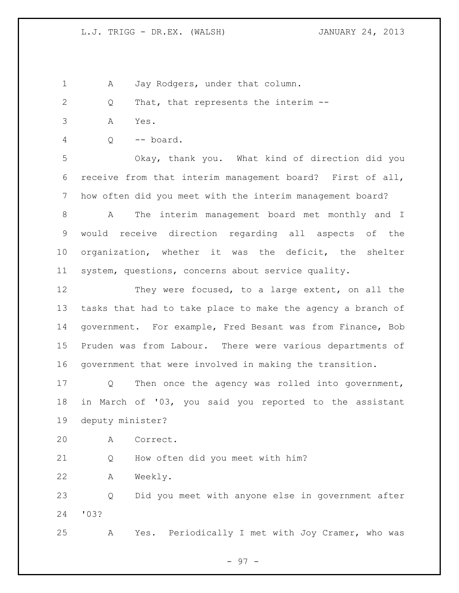1 A Jay Rodgers, under that column.

- Q That, that represents the interim --
- A Yes.
- Q -- board.

 Okay, thank you. What kind of direction did you receive from that interim management board? First of all, how often did you meet with the interim management board?

 A The interim management board met monthly and I would receive direction regarding all aspects of the organization, whether it was the deficit, the shelter system, questions, concerns about service quality.

12 They were focused, to a large extent, on all the tasks that had to take place to make the agency a branch of government. For example, Fred Besant was from Finance, Bob Pruden was from Labour. There were various departments of government that were involved in making the transition.

 Q Then once the agency was rolled into government, in March of '03, you said you reported to the assistant deputy minister?

A Correct.

Q How often did you meet with him?

A Weekly.

 Q Did you meet with anyone else in government after '03?

A Yes. Periodically I met with Joy Cramer, who was

- 97 -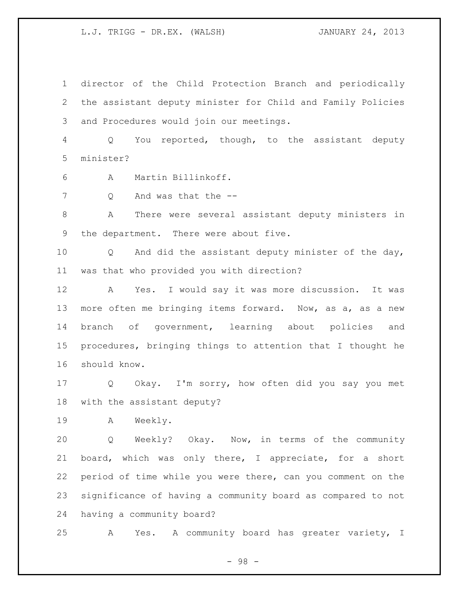director of the Child Protection Branch and periodically the assistant deputy minister for Child and Family Policies and Procedures would join our meetings.

 Q You reported, though, to the assistant deputy minister?

- A Martin Billinkoff.
- 7 Q And was that the --

 A There were several assistant deputy ministers in the department. There were about five.

 Q And did the assistant deputy minister of the day, was that who provided you with direction?

 A Yes. I would say it was more discussion. It was more often me bringing items forward. Now, as a, as a new branch of government, learning about policies and procedures, bringing things to attention that I thought he should know.

 Q Okay. I'm sorry, how often did you say you met with the assistant deputy?

A Weekly.

 Q Weekly? Okay. Now, in terms of the community board, which was only there, I appreciate, for a short period of time while you were there, can you comment on the significance of having a community board as compared to not having a community board?

A Yes. A community board has greater variety, I

- 98 -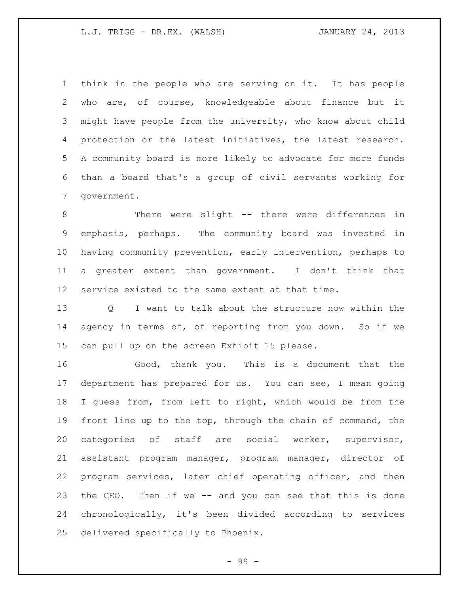think in the people who are serving on it. It has people who are, of course, knowledgeable about finance but it might have people from the university, who know about child protection or the latest initiatives, the latest research. A community board is more likely to advocate for more funds than a board that's a group of civil servants working for government.

8 There were slight -- there were differences in emphasis, perhaps. The community board was invested in having community prevention, early intervention, perhaps to a greater extent than government. I don't think that service existed to the same extent at that time.

 Q I want to talk about the structure now within the agency in terms of, of reporting from you down. So if we can pull up on the screen Exhibit 15 please.

 Good, thank you. This is a document that the department has prepared for us. You can see, I mean going I guess from, from left to right, which would be from the front line up to the top, through the chain of command, the categories of staff are social worker, supervisor, assistant program manager, program manager, director of program services, later chief operating officer, and then the CEO. Then if we -- and you can see that this is done chronologically, it's been divided according to services delivered specifically to Phoenix.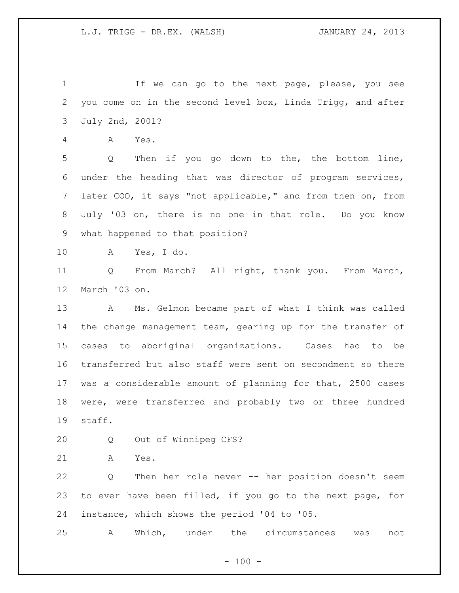If we can go to the next page, please, you see you come on in the second level box, Linda Trigg, and after July 2nd, 2001?

A Yes.

 Q Then if you go down to the, the bottom line, under the heading that was director of program services, later COO, it says "not applicable," and from then on, from July '03 on, there is no one in that role. Do you know what happened to that position?

A Yes, I do.

 Q From March? All right, thank you. From March, March '03 on.

 A Ms. Gelmon became part of what I think was called the change management team, gearing up for the transfer of cases to aboriginal organizations. Cases had to be transferred but also staff were sent on secondment so there was a considerable amount of planning for that, 2500 cases were, were transferred and probably two or three hundred staff.

Q Out of Winnipeg CFS?

A Yes.

 Q Then her role never -- her position doesn't seem to ever have been filled, if you go to the next page, for instance, which shows the period '04 to '05.

A Which, under the circumstances was not

 $- 100 -$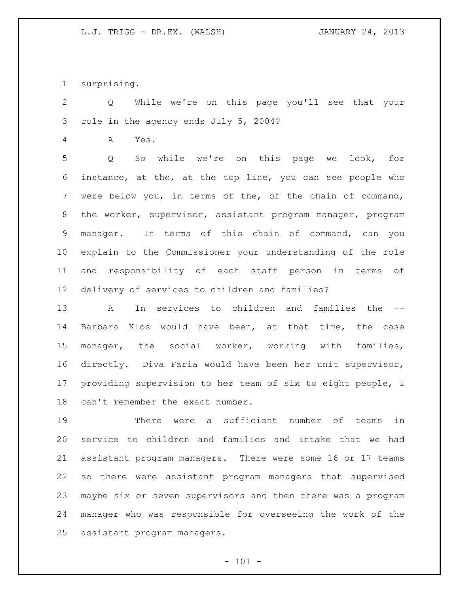surprising.

 Q While we're on this page you'll see that your role in the agency ends July 5, 2004?

A Yes.

 Q So while we're on this page we look, for instance, at the, at the top line, you can see people who were below you, in terms of the, of the chain of command, the worker, supervisor, assistant program manager, program manager. In terms of this chain of command, can you explain to the Commissioner your understanding of the role and responsibility of each staff person in terms of delivery of services to children and families?

13 A In services to children and families the Barbara Klos would have been, at that time, the case manager, the social worker, working with families, directly. Diva Faria would have been her unit supervisor, providing supervision to her team of six to eight people, I can't remember the exact number.

 There were a sufficient number of teams in service to children and families and intake that we had assistant program managers. There were some 16 or 17 teams so there were assistant program managers that supervised maybe six or seven supervisors and then there was a program manager who was responsible for overseeing the work of the assistant program managers.

 $- 101 -$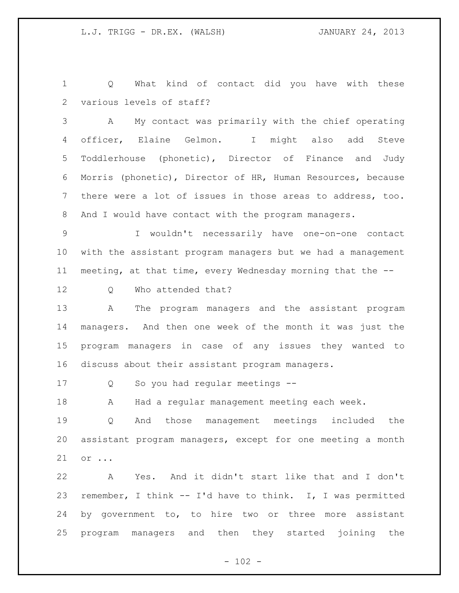Q What kind of contact did you have with these various levels of staff?

 A My contact was primarily with the chief operating officer, Elaine Gelmon. I might also add Steve Toddlerhouse (phonetic), Director of Finance and Judy Morris (phonetic), Director of HR, Human Resources, because there were a lot of issues in those areas to address, too. 8 And I would have contact with the program managers.

 I wouldn't necessarily have one-on-one contact with the assistant program managers but we had a management meeting, at that time, every Wednesday morning that the --

Q Who attended that?

 A The program managers and the assistant program managers. And then one week of the month it was just the program managers in case of any issues they wanted to discuss about their assistant program managers.

Q So you had regular meetings --

A Had a regular management meeting each week.

 Q And those management meetings included the assistant program managers, except for one meeting a month or ...

 A Yes. And it didn't start like that and I don't remember, I think -- I'd have to think. I, I was permitted by government to, to hire two or three more assistant program managers and then they started joining the

 $- 102 -$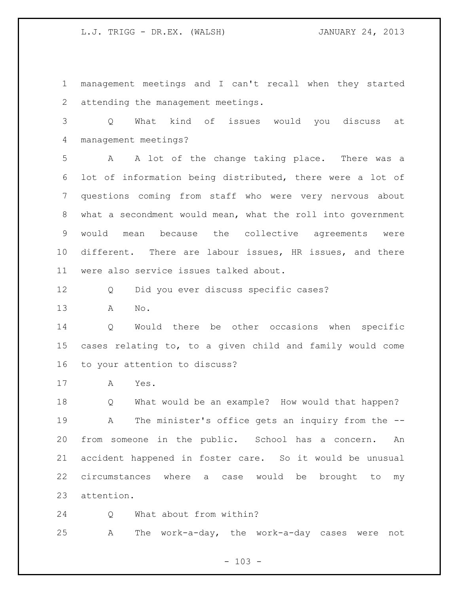management meetings and I can't recall when they started attending the management meetings.

 Q What kind of issues would you discuss at management meetings?

 A A lot of the change taking place. There was a lot of information being distributed, there were a lot of questions coming from staff who were very nervous about what a secondment would mean, what the roll into government would mean because the collective agreements were different. There are labour issues, HR issues, and there were also service issues talked about.

Q Did you ever discuss specific cases?

A No.

 Q Would there be other occasions when specific cases relating to, to a given child and family would come to your attention to discuss?

A Yes.

 Q What would be an example? How would that happen? A The minister's office gets an inquiry from the -- from someone in the public. School has a concern. An accident happened in foster care. So it would be unusual circumstances where a case would be brought to my attention.

24 O What about from within?

A The work-a-day, the work-a-day cases were not

 $- 103 -$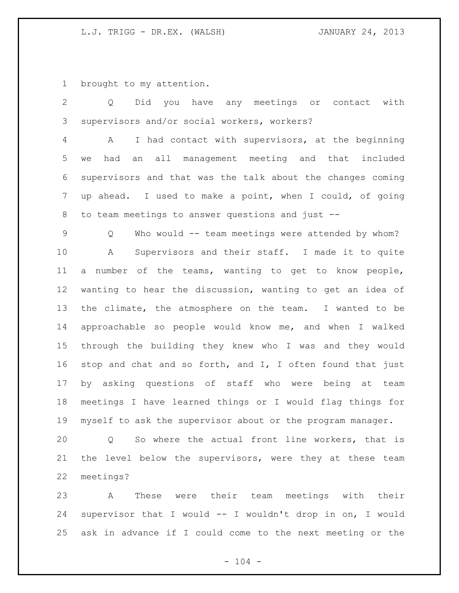brought to my attention.

 Q Did you have any meetings or contact with supervisors and/or social workers, workers?

 A I had contact with supervisors, at the beginning we had an all management meeting and that included supervisors and that was the talk about the changes coming up ahead. I used to make a point, when I could, of going to team meetings to answer questions and just --

 Q Who would -- team meetings were attended by whom? A Supervisors and their staff. I made it to quite a number of the teams, wanting to get to know people, wanting to hear the discussion, wanting to get an idea of the climate, the atmosphere on the team. I wanted to be approachable so people would know me, and when I walked through the building they knew who I was and they would stop and chat and so forth, and I, I often found that just by asking questions of staff who were being at team meetings I have learned things or I would flag things for myself to ask the supervisor about or the program manager.

 Q So where the actual front line workers, that is the level below the supervisors, were they at these team meetings?

 A These were their team meetings with their supervisor that I would -- I wouldn't drop in on, I would ask in advance if I could come to the next meeting or the

 $- 104 -$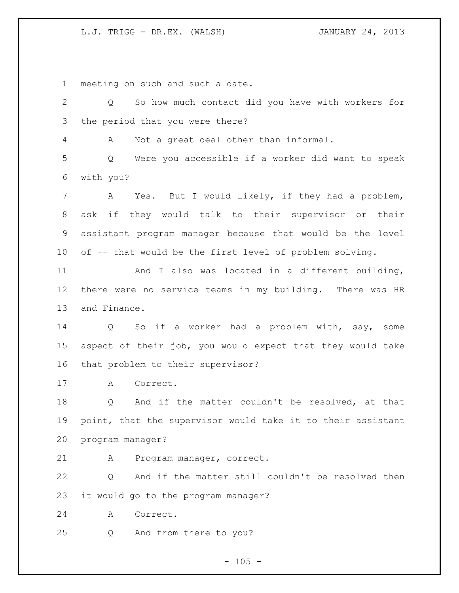meeting on such and such a date.

 Q So how much contact did you have with workers for the period that you were there? A Not a great deal other than informal. Q Were you accessible if a worker did want to speak with you? A Yes. But I would likely, if they had a problem, ask if they would talk to their supervisor or their assistant program manager because that would be the level of -- that would be the first level of problem solving. And I also was located in a different building, there were no service teams in my building. There was HR and Finance. Q So if a worker had a problem with, say, some aspect of their job, you would expect that they would take that problem to their supervisor? A Correct. Q And if the matter couldn't be resolved, at that point, that the supervisor would take it to their assistant program manager? A Program manager, correct. Q And if the matter still couldn't be resolved then it would go to the program manager? A Correct. Q And from there to you?

 $- 105 -$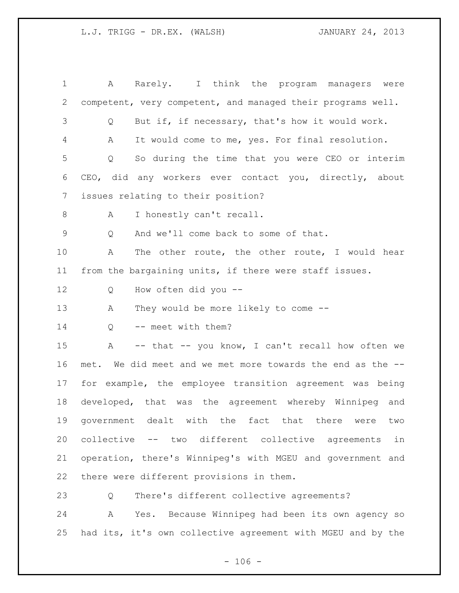A Rarely. I think the program managers were competent, very competent, and managed their programs well. Q But if, if necessary, that's how it would work. A It would come to me, yes. For final resolution. Q So during the time that you were CEO or interim CEO, did any workers ever contact you, directly, about issues relating to their position? 8 A I honestly can't recall. Q And we'll come back to some of that. A The other route, the other route, I would hear from the bargaining units, if there were staff issues. Q How often did you -- A They would be more likely to come -- 14 O -- meet with them? A -- that -- you know, I can't recall how often we met. We did meet and we met more towards the end as the -- for example, the employee transition agreement was being developed, that was the agreement whereby Winnipeg and government dealt with the fact that there were two collective -- two different collective agreements in operation, there's Winnipeg's with MGEU and government and there were different provisions in them. Q There's different collective agreements?

 A Yes. Because Winnipeg had been its own agency so had its, it's own collective agreement with MGEU and by the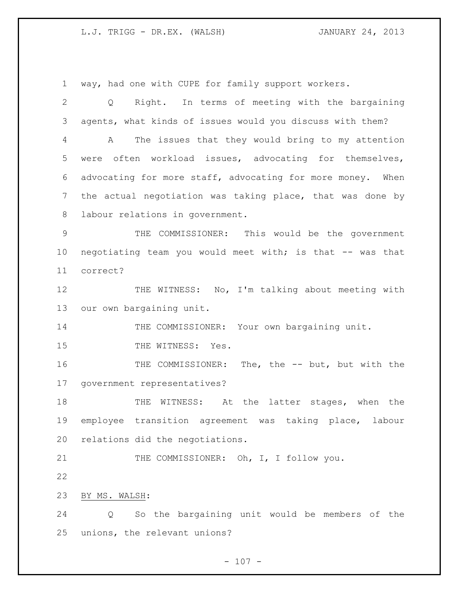way, had one with CUPE for family support workers.

 Q Right. In terms of meeting with the bargaining agents, what kinds of issues would you discuss with them? A The issues that they would bring to my attention were often workload issues, advocating for themselves, advocating for more staff, advocating for more money. When the actual negotiation was taking place, that was done by labour relations in government. THE COMMISSIONER: This would be the government negotiating team you would meet with; is that -- was that correct? 12 THE WITNESS: No, I'm talking about meeting with our own bargaining unit. 14 THE COMMISSIONER: Your own bargaining unit. 15 THE WITNESS: Yes. THE COMMISSIONER: The, the -- but, but with the government representatives? THE WITNESS: At the latter stages, when the employee transition agreement was taking place, labour relations did the negotiations. 21 THE COMMISSIONER: Oh, I, I follow you. BY MS. WALSH: Q So the bargaining unit would be members of the unions, the relevant unions?

 $- 107 -$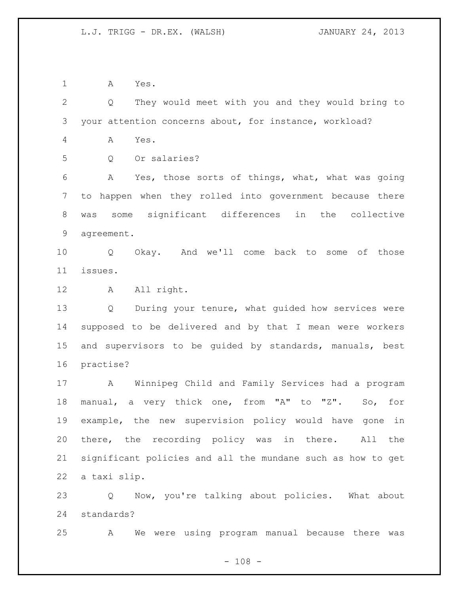A Yes.

 Q They would meet with you and they would bring to your attention concerns about, for instance, workload? A Yes. Q Or salaries? A Yes, those sorts of things, what, what was going to happen when they rolled into government because there was some significant differences in the collective agreement. Q Okay. And we'll come back to some of those issues. 12 A All right. Q During your tenure, what guided how services were supposed to be delivered and by that I mean were workers and supervisors to be guided by standards, manuals, best practise? A Winnipeg Child and Family Services had a program manual, a very thick one, from "A" to "Z". So, for example, the new supervision policy would have gone in there, the recording policy was in there. All the significant policies and all the mundane such as how to get a taxi slip. Q Now, you're talking about policies. What about

standards?

A We were using program manual because there was

 $- 108 -$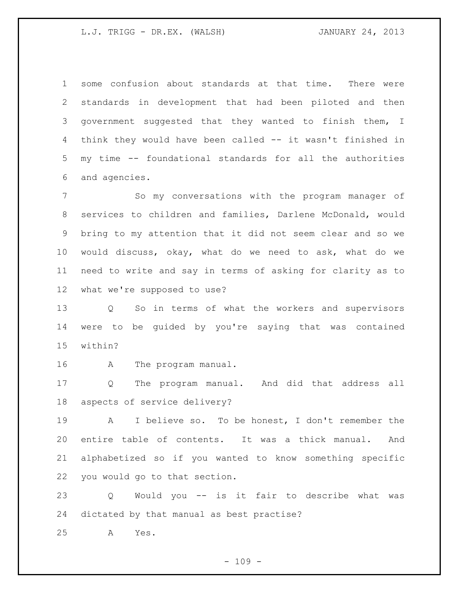some confusion about standards at that time. There were standards in development that had been piloted and then government suggested that they wanted to finish them, I think they would have been called -- it wasn't finished in my time -- foundational standards for all the authorities and agencies.

 So my conversations with the program manager of services to children and families, Darlene McDonald, would bring to my attention that it did not seem clear and so we would discuss, okay, what do we need to ask, what do we need to write and say in terms of asking for clarity as to what we're supposed to use?

 Q So in terms of what the workers and supervisors were to be guided by you're saying that was contained within?

A The program manual.

 Q The program manual. And did that address all aspects of service delivery?

 A I believe so. To be honest, I don't remember the entire table of contents. It was a thick manual. And alphabetized so if you wanted to know something specific you would go to that section.

 Q Would you -- is it fair to describe what was dictated by that manual as best practise?

A Yes.

 $- 109 -$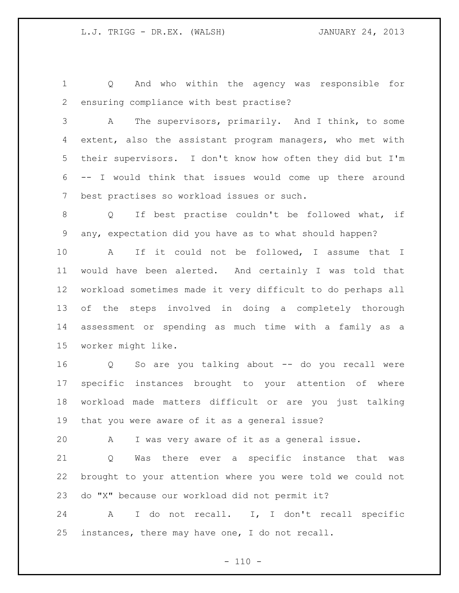Q And who within the agency was responsible for ensuring compliance with best practise?

 A The supervisors, primarily. And I think, to some extent, also the assistant program managers, who met with their supervisors. I don't know how often they did but I'm -- I would think that issues would come up there around best practises so workload issues or such.

 Q If best practise couldn't be followed what, if any, expectation did you have as to what should happen?

 A If it could not be followed, I assume that I would have been alerted. And certainly I was told that workload sometimes made it very difficult to do perhaps all of the steps involved in doing a completely thorough assessment or spending as much time with a family as a worker might like.

 Q So are you talking about -- do you recall were specific instances brought to your attention of where workload made matters difficult or are you just talking that you were aware of it as a general issue?

A I was very aware of it as a general issue.

 Q Was there ever a specific instance that was brought to your attention where you were told we could not do "X" because our workload did not permit it?

 A I do not recall. I, I don't recall specific instances, there may have one, I do not recall.

 $- 110 -$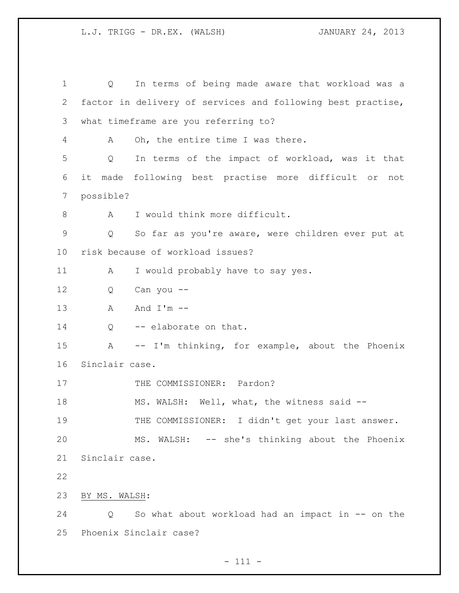Q In terms of being made aware that workload was a factor in delivery of services and following best practise, what timeframe are you referring to? A Oh, the entire time I was there. Q In terms of the impact of workload, was it that it made following best practise more difficult or not possible? 8 A I would think more difficult. Q So far as you're aware, were children ever put at risk because of workload issues? 11 A I would probably have to say yes. Q Can you -- 13 A And I'm  $-$ 14 Q -- elaborate on that. A -- I'm thinking, for example, about the Phoenix Sinclair case. 17 THE COMMISSIONER: Pardon? 18 MS. WALSH: Well, what, the witness said --19 THE COMMISSIONER: I didn't get your last answer. MS. WALSH: -- she's thinking about the Phoenix Sinclair case. BY MS. WALSH: Q So what about workload had an impact in -- on the Phoenix Sinclair case?

 $- 111 -$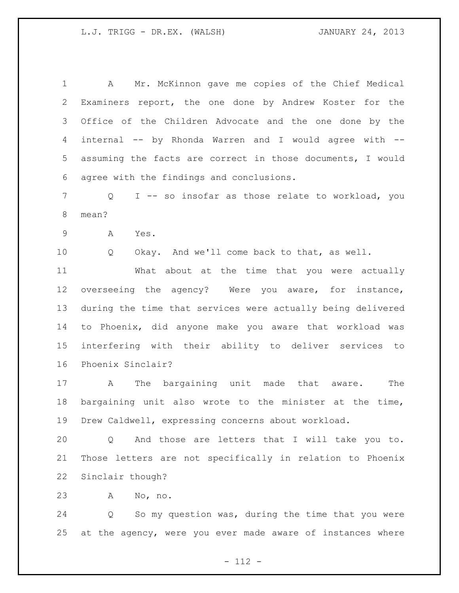A Mr. McKinnon gave me copies of the Chief Medical Examiners report, the one done by Andrew Koster for the Office of the Children Advocate and the one done by the internal -- by Rhonda Warren and I would agree with -- assuming the facts are correct in those documents, I would agree with the findings and conclusions. Q I -- so insofar as those relate to workload, you mean? A Yes. Q Okay. And we'll come back to that, as well. What about at the time that you were actually overseeing the agency? Were you aware, for instance, during the time that services were actually being delivered to Phoenix, did anyone make you aware that workload was interfering with their ability to deliver services to Phoenix Sinclair?

 A The bargaining unit made that aware. The bargaining unit also wrote to the minister at the time, Drew Caldwell, expressing concerns about workload.

 Q And those are letters that I will take you to. Those letters are not specifically in relation to Phoenix Sinclair though?

A No, no.

 Q So my question was, during the time that you were at the agency, were you ever made aware of instances where

- 112 -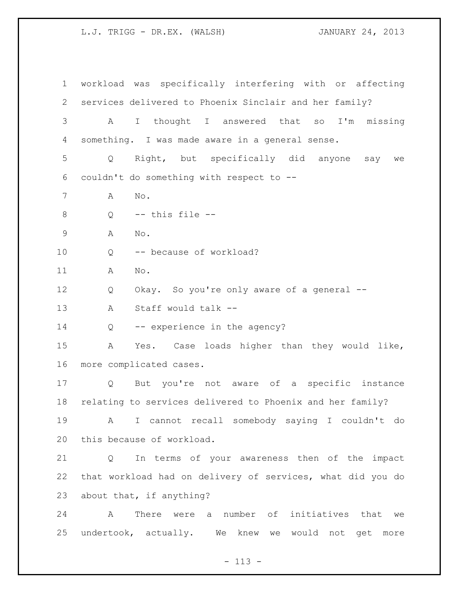workload was specifically interfering with or affecting services delivered to Phoenix Sinclair and her family? A I thought I answered that so I'm missing something. I was made aware in a general sense. Q Right, but specifically did anyone say we couldn't do something with respect to -- A No.  $Q$   $-$  this file  $-$  A No. Q -- because of workload? A No. Q Okay. So you're only aware of a general -- A Staff would talk -- 14 Q -- experience in the agency? A Yes. Case loads higher than they would like, more complicated cases. Q But you're not aware of a specific instance relating to services delivered to Phoenix and her family? A I cannot recall somebody saying I couldn't do this because of workload. Q In terms of your awareness then of the impact that workload had on delivery of services, what did you do about that, if anything? A There were a number of initiatives that we undertook, actually. We knew we would not get more

 $- 113 -$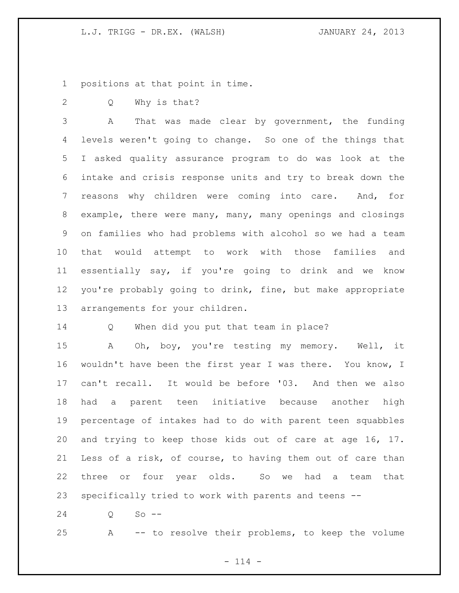positions at that point in time.

Q Why is that?

 A That was made clear by government, the funding levels weren't going to change. So one of the things that I asked quality assurance program to do was look at the intake and crisis response units and try to break down the reasons why children were coming into care. And, for example, there were many, many, many openings and closings on families who had problems with alcohol so we had a team that would attempt to work with those families and essentially say, if you're going to drink and we know you're probably going to drink, fine, but make appropriate arrangements for your children.

Q When did you put that team in place?

 A Oh, boy, you're testing my memory. Well, it wouldn't have been the first year I was there. You know, I can't recall. It would be before '03. And then we also had a parent teen initiative because another high percentage of intakes had to do with parent teen squabbles and trying to keep those kids out of care at age 16, 17. Less of a risk, of course, to having them out of care than three or four year olds. So we had a team that specifically tried to work with parents and teens --

Q So --

A -- to resolve their problems, to keep the volume

 $- 114 -$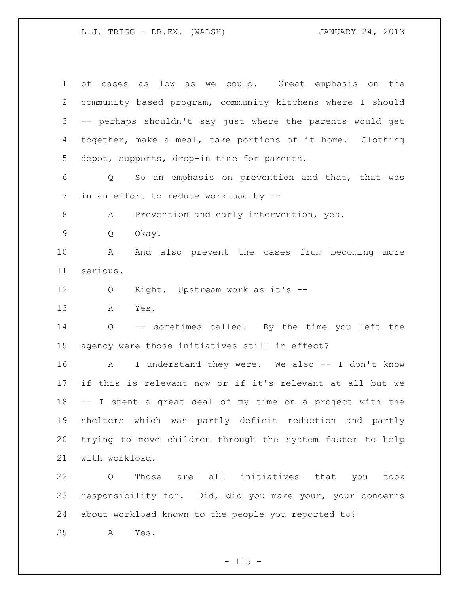of cases as low as we could. Great emphasis on the community based program, community kitchens where I should -- perhaps shouldn't say just where the parents would get together, make a meal, take portions of it home. Clothing depot, supports, drop-in time for parents. Q So an emphasis on prevention and that, that was in an effort to reduce workload by -- 8 A Prevention and early intervention, yes. Q Okay. A And also prevent the cases from becoming more serious. Q Right. Upstream work as it's -- A Yes. Q -- sometimes called. By the time you left the agency were those initiatives still in effect? A I understand they were. We also -- I don't know if this is relevant now or if it's relevant at all but we -- I spent a great deal of my time on a project with the shelters which was partly deficit reduction and partly trying to move children through the system faster to help with workload. Q Those are all initiatives that you took responsibility for. Did, did you make your, your concerns

about workload known to the people you reported to?

A Yes.

 $- 115 -$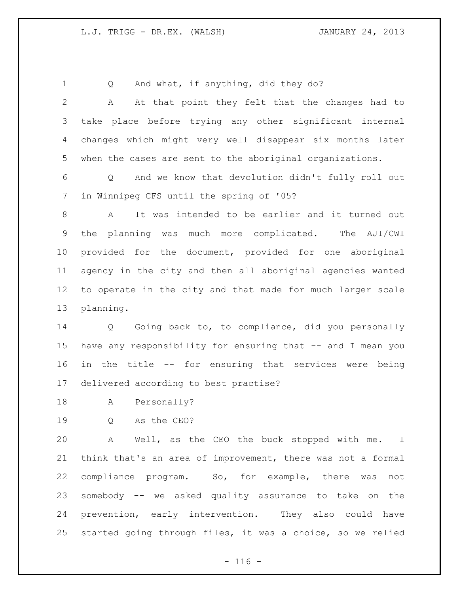1 Q And what, if anything, did they do?

 A At that point they felt that the changes had to take place before trying any other significant internal changes which might very well disappear six months later when the cases are sent to the aboriginal organizations.

 Q And we know that devolution didn't fully roll out in Winnipeg CFS until the spring of '05?

 A It was intended to be earlier and it turned out the planning was much more complicated. The AJI/CWI provided for the document, provided for one aboriginal agency in the city and then all aboriginal agencies wanted to operate in the city and that made for much larger scale planning.

 Q Going back to, to compliance, did you personally have any responsibility for ensuring that -- and I mean you in the title -- for ensuring that services were being delivered according to best practise?

- A Personally?
- Q As the CEO?

 A Well, as the CEO the buck stopped with me. I think that's an area of improvement, there was not a formal compliance program. So, for example, there was not somebody -- we asked quality assurance to take on the prevention, early intervention. They also could have started going through files, it was a choice, so we relied

 $- 116 -$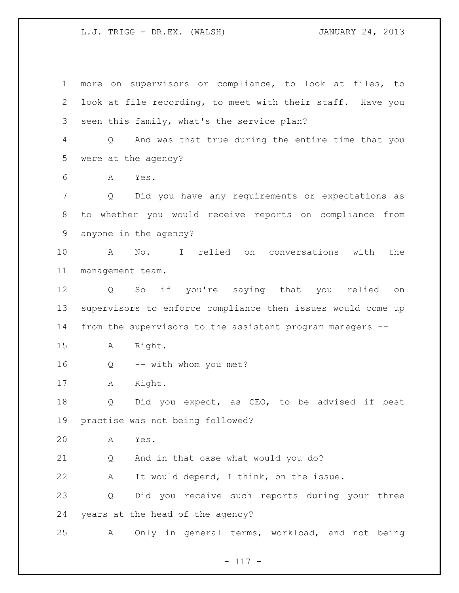more on supervisors or compliance, to look at files, to look at file recording, to meet with their staff. Have you seen this family, what's the service plan? Q And was that true during the entire time that you were at the agency? A Yes. Q Did you have any requirements or expectations as to whether you would receive reports on compliance from anyone in the agency? A No. I relied on conversations with the management team. Q So if you're saying that you relied on supervisors to enforce compliance then issues would come up from the supervisors to the assistant program managers -- A Right. Q -- with whom you met? A Right. 18 Q Did you expect, as CEO, to be advised if best practise was not being followed? A Yes. Q And in that case what would you do? A It would depend, I think, on the issue. Q Did you receive such reports during your three years at the head of the agency? A Only in general terms, workload, and not being

- 117 -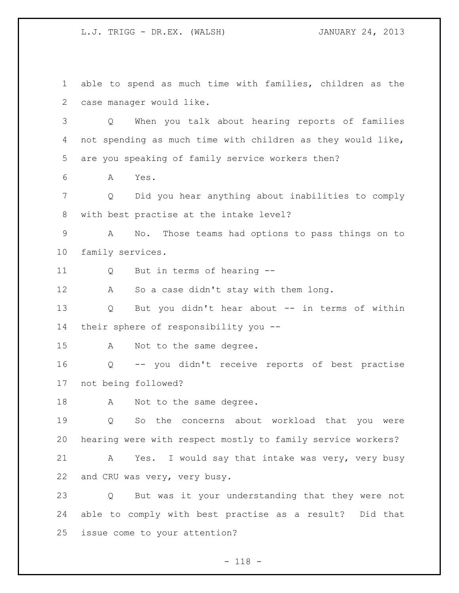able to spend as much time with families, children as the case manager would like. Q When you talk about hearing reports of families not spending as much time with children as they would like, are you speaking of family service workers then? A Yes. Q Did you hear anything about inabilities to comply with best practise at the intake level? A No. Those teams had options to pass things on to family services. Q But in terms of hearing -- A So a case didn't stay with them long. Q But you didn't hear about -- in terms of within their sphere of responsibility you -- 15 A Not to the same degree. Q -- you didn't receive reports of best practise not being followed? 18 A Not to the same degree. Q So the concerns about workload that you were hearing were with respect mostly to family service workers? A Yes. I would say that intake was very, very busy and CRU was very, very busy. Q But was it your understanding that they were not able to comply with best practise as a result? Did that issue come to your attention?

- 118 -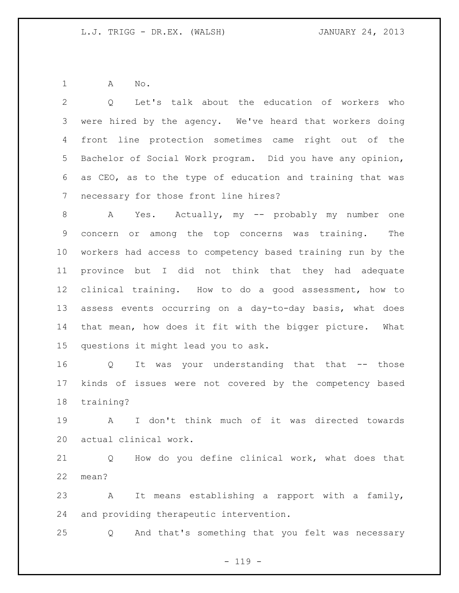A No.

 Q Let's talk about the education of workers who were hired by the agency. We've heard that workers doing front line protection sometimes came right out of the Bachelor of Social Work program. Did you have any opinion, as CEO, as to the type of education and training that was necessary for those front line hires?

8 A Yes. Actually, my -- probably my number one concern or among the top concerns was training. The workers had access to competency based training run by the province but I did not think that they had adequate clinical training. How to do a good assessment, how to assess events occurring on a day-to-day basis, what does that mean, how does it fit with the bigger picture. What questions it might lead you to ask.

 Q It was your understanding that that -- those kinds of issues were not covered by the competency based training?

 A I don't think much of it was directed towards actual clinical work.

 Q How do you define clinical work, what does that mean?

 A It means establishing a rapport with a family, and providing therapeutic intervention.

Q And that's something that you felt was necessary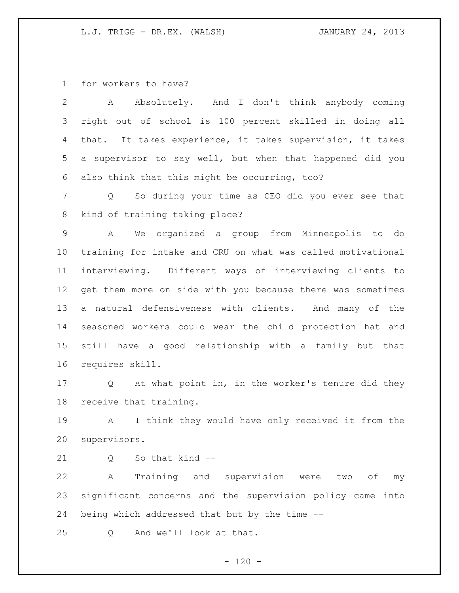for workers to have?

 A Absolutely. And I don't think anybody coming right out of school is 100 percent skilled in doing all that. It takes experience, it takes supervision, it takes a supervisor to say well, but when that happened did you also think that this might be occurring, too?

 Q So during your time as CEO did you ever see that kind of training taking place?

 A We organized a group from Minneapolis to do training for intake and CRU on what was called motivational interviewing. Different ways of interviewing clients to get them more on side with you because there was sometimes a natural defensiveness with clients. And many of the seasoned workers could wear the child protection hat and still have a good relationship with a family but that requires skill.

 Q At what point in, in the worker's tenure did they receive that training.

 A I think they would have only received it from the supervisors.

21 0 So that kind --

 A Training and supervision were two of my significant concerns and the supervision policy came into being which addressed that but by the time --

Q And we'll look at that.

 $- 120 -$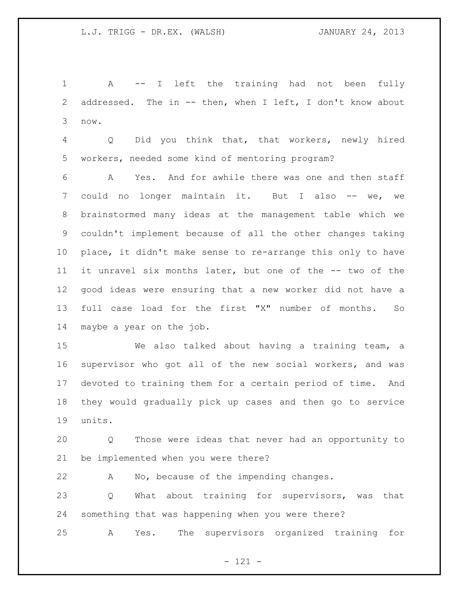A -- I left the training had not been fully addressed. The in -- then, when I left, I don't know about now.

 Q Did you think that, that workers, newly hired workers, needed some kind of mentoring program?

 A Yes. And for awhile there was one and then staff could no longer maintain it. But I also -- we, we brainstormed many ideas at the management table which we couldn't implement because of all the other changes taking place, it didn't make sense to re-arrange this only to have it unravel six months later, but one of the -- two of the good ideas were ensuring that a new worker did not have a full case load for the first "X" number of months. So maybe a year on the job.

 We also talked about having a training team, a supervisor who got all of the new social workers, and was devoted to training them for a certain period of time. And they would gradually pick up cases and then go to service units.

 Q Those were ideas that never had an opportunity to be implemented when you were there?

A No, because of the impending changes.

 Q What about training for supervisors, was that something that was happening when you were there?

A Yes. The supervisors organized training for

- 121 -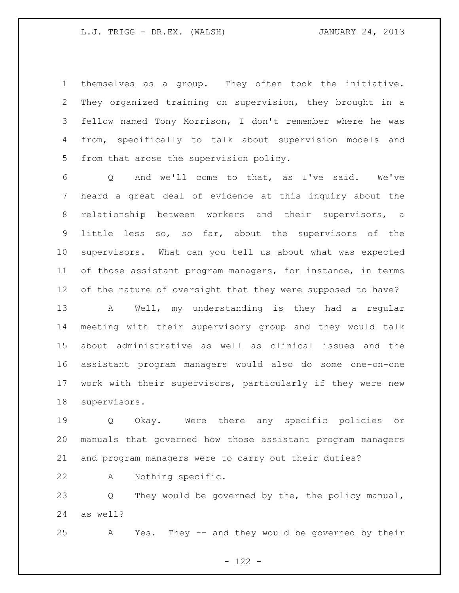themselves as a group. They often took the initiative. They organized training on supervision, they brought in a fellow named Tony Morrison, I don't remember where he was from, specifically to talk about supervision models and from that arose the supervision policy.

 Q And we'll come to that, as I've said. We've heard a great deal of evidence at this inquiry about the relationship between workers and their supervisors, a little less so, so far, about the supervisors of the supervisors. What can you tell us about what was expected 11 of those assistant program managers, for instance, in terms of the nature of oversight that they were supposed to have?

 A Well, my understanding is they had a regular meeting with their supervisory group and they would talk about administrative as well as clinical issues and the assistant program managers would also do some one-on-one work with their supervisors, particularly if they were new supervisors.

 Q Okay. Were there any specific policies or manuals that governed how those assistant program managers and program managers were to carry out their duties?

A Nothing specific.

 Q They would be governed by the, the policy manual, as well?

A Yes. They -- and they would be governed by their

- 122 -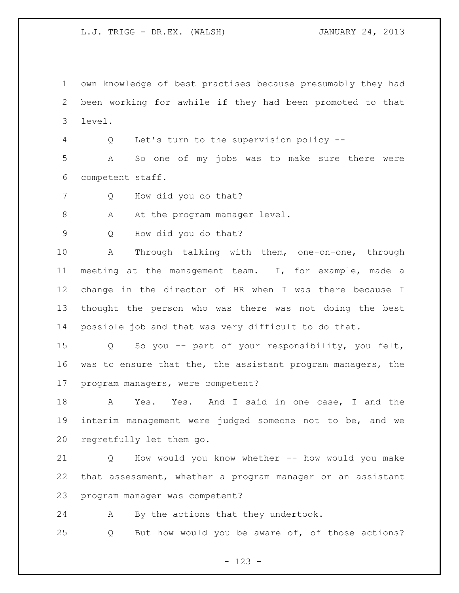own knowledge of best practises because presumably they had been working for awhile if they had been promoted to that level.

Q Let's turn to the supervision policy --

 A So one of my jobs was to make sure there were competent staff.

Q How did you do that?

8 A At the program manager level.

Q How did you do that?

 A Through talking with them, one-on-one, through meeting at the management team. I, for example, made a change in the director of HR when I was there because I thought the person who was there was not doing the best possible job and that was very difficult to do that.

 Q So you -- part of your responsibility, you felt, was to ensure that the, the assistant program managers, the program managers, were competent?

 A Yes. Yes. And I said in one case, I and the interim management were judged someone not to be, and we regretfully let them go.

 Q How would you know whether -- how would you make that assessment, whether a program manager or an assistant program manager was competent?

A By the actions that they undertook.

Q But how would you be aware of, of those actions?

- 123 -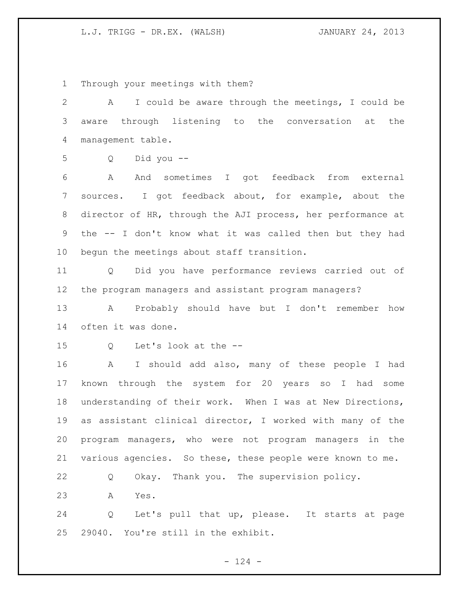Through your meetings with them?

 A I could be aware through the meetings, I could be aware through listening to the conversation at the management table.

Q Did you --

 A And sometimes I got feedback from external sources. I got feedback about, for example, about the director of HR, through the AJI process, her performance at the -- I don't know what it was called then but they had begun the meetings about staff transition.

 Q Did you have performance reviews carried out of the program managers and assistant program managers?

 A Probably should have but I don't remember how often it was done.

Q Let's look at the --

 A I should add also, many of these people I had known through the system for 20 years so I had some understanding of their work. When I was at New Directions, as assistant clinical director, I worked with many of the program managers, who were not program managers in the various agencies. So these, these people were known to me.

Q Okay. Thank you. The supervision policy.

A Yes.

 Q Let's pull that up, please. It starts at page 29040. You're still in the exhibit.

 $- 124 -$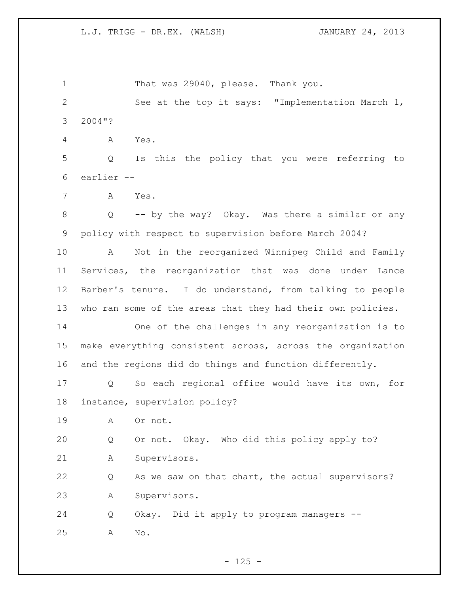1 That was 29040, please. Thank you. See at the top it says: "Implementation March 1, 2004"? A Yes. Q Is this the policy that you were referring to earlier -- A Yes. Q -- by the way? Okay. Was there a similar or any policy with respect to supervision before March 2004? A Not in the reorganized Winnipeg Child and Family Services, the reorganization that was done under Lance Barber's tenure. I do understand, from talking to people who ran some of the areas that they had their own policies. One of the challenges in any reorganization is to make everything consistent across, across the organization and the regions did do things and function differently. Q So each regional office would have its own, for instance, supervision policy? A Or not. Q Or not. Okay. Who did this policy apply to? A Supervisors. Q As we saw on that chart, the actual supervisors? A Supervisors. Q Okay. Did it apply to program managers -- A No.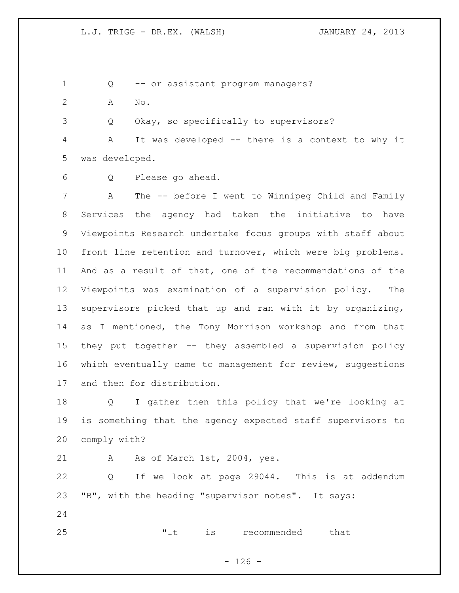Q -- or assistant program managers?

A No.

Q Okay, so specifically to supervisors?

 A It was developed -- there is a context to why it was developed.

Q Please go ahead.

 A The -- before I went to Winnipeg Child and Family Services the agency had taken the initiative to have Viewpoints Research undertake focus groups with staff about front line retention and turnover, which were big problems. And as a result of that, one of the recommendations of the Viewpoints was examination of a supervision policy. The supervisors picked that up and ran with it by organizing, as I mentioned, the Tony Morrison workshop and from that they put together -- they assembled a supervision policy 16 which eventually came to management for review, suggestions and then for distribution.

 Q I gather then this policy that we're looking at is something that the agency expected staff supervisors to comply with?

21 A As of March 1st, 2004, yes.

 Q If we look at page 29044. This is at addendum "B", with the heading "supervisor notes". It says: 

"It is recommended that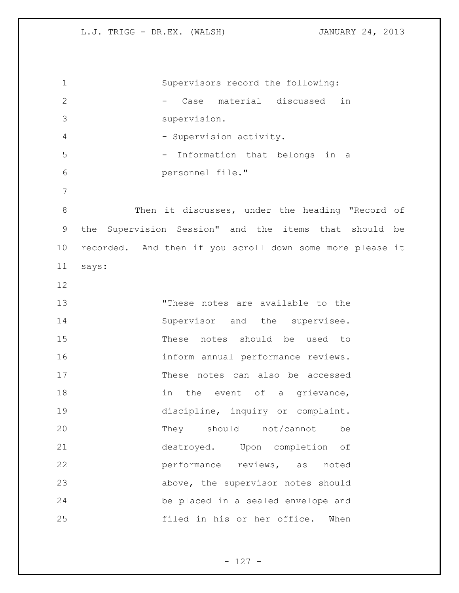Supervisors record the following: - Case material discussed in supervision. 4 - Supervision activity. - Information that belongs in a personnel file." Then it discusses, under the heading "Record of the Supervision Session" and the items that should be recorded. And then if you scroll down some more please it says: "These notes are available to the 14 Supervisor and the supervisee. These notes should be used to inform annual performance reviews. These notes can also be accessed 18 in the event of a grievance, 19 discipline, inquiry or complaint. They should not/cannot be destroyed. Upon completion of performance reviews, as noted above, the supervisor notes should be placed in a sealed envelope and filed in his or her office. When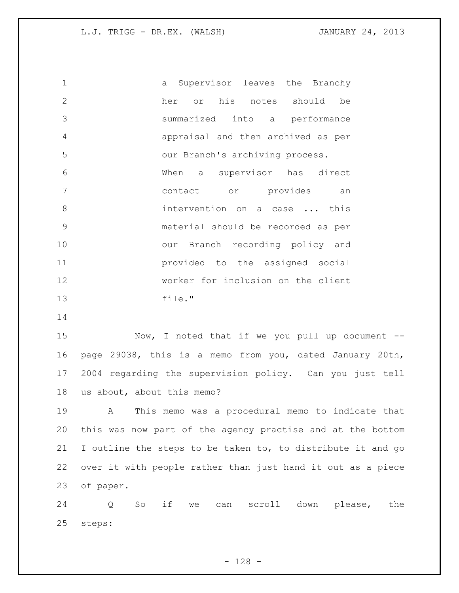a Supervisor leaves the Branchy her or his notes should be summarized into a performance appraisal and then archived as per our Branch's archiving process. When a supervisor has direct contact or provides an 8 intervention on a case ... this material should be recorded as per our Branch recording policy and provided to the assigned social worker for inclusion on the client file."

 Now, I noted that if we you pull up document -- page 29038, this is a memo from you, dated January 20th, 2004 regarding the supervision policy. Can you just tell us about, about this memo?

 A This memo was a procedural memo to indicate that this was now part of the agency practise and at the bottom I outline the steps to be taken to, to distribute it and go over it with people rather than just hand it out as a piece of paper.

 Q So if we can scroll down please, the steps: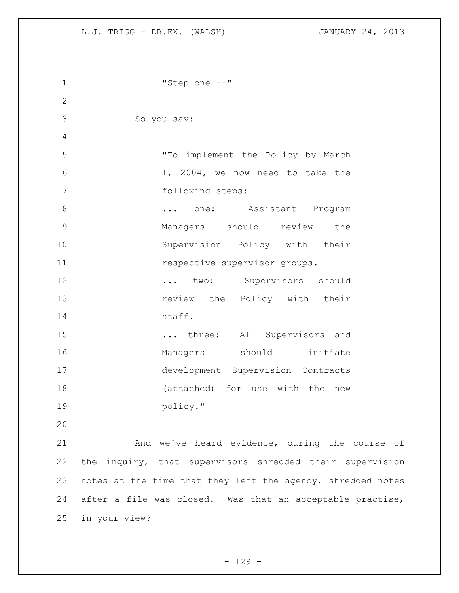```
1 "Step one --"
2
3 So you say:
4
5 "To implement the Policy by March 
6 1, 2004, we now need to take the 
7 following steps:
8 ... one: Assistant Program
9 Managers should review the 
10 Supervision Policy with their 
11 11 respective supervisor groups.
12 ... two: Supervisors should
13 13 review the Policy with their
14 staff.
15 ... three: All Supervisors and 
16 Managers should initiate
17 development Supervision Contracts 
18 (attached) for use with the new 
19 policy."
20
21 And we've heard evidence, during the course of 
22 the inquiry, that supervisors shredded their supervision 
23 notes at the time that they left the agency, shredded notes 
24 after a file was closed. Was that an acceptable practise, 
25 in your view?
```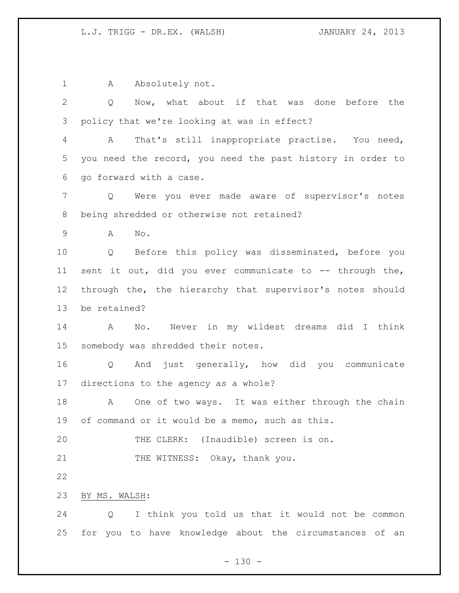1 A Absolutely not.

 Q Now, what about if that was done before the policy that we're looking at was in effect? A That's still inappropriate practise. You need, you need the record, you need the past history in order to go forward with a case. Q Were you ever made aware of supervisor's notes being shredded or otherwise not retained? A No. Q Before this policy was disseminated, before you

11 sent it out, did you ever communicate to -- through the, through the, the hierarchy that supervisor's notes should be retained?

 A No. Never in my wildest dreams did I think somebody was shredded their notes.

 Q And just generally, how did you communicate directions to the agency as a whole?

 A One of two ways. It was either through the chain of command or it would be a memo, such as this.

 THE CLERK: (Inaudible) screen is on. 21 THE WITNESS: Okay, thank you.

BY MS. WALSH:

 Q I think you told us that it would not be common for you to have knowledge about the circumstances of an

 $- 130 -$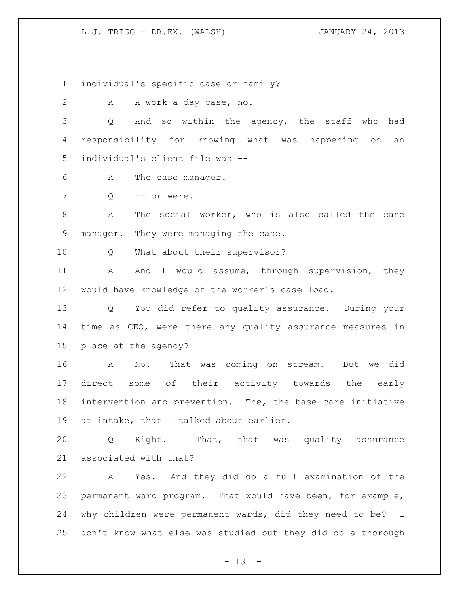individual's specific case or family?

2 A A work a day case, no.

 Q And so within the agency, the staff who had responsibility for knowing what was happening on an individual's client file was --

- A The case manager.
- 7 0 -- or were.

 A The social worker, who is also called the case manager. They were managing the case.

Q What about their supervisor?

11 A And I would assume, through supervision, they would have knowledge of the worker's case load.

 Q You did refer to quality assurance. During your time as CEO, were there any quality assurance measures in place at the agency?

 A No. That was coming on stream. But we did direct some of their activity towards the early intervention and prevention. The, the base care initiative at intake, that I talked about earlier.

 Q Right. That, that was quality assurance associated with that?

 A Yes. And they did do a full examination of the permanent ward program. That would have been, for example, why children were permanent wards, did they need to be? I don't know what else was studied but they did do a thorough

- 131 -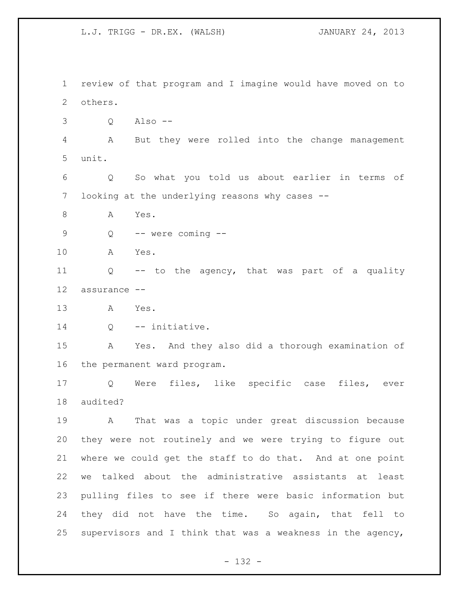review of that program and I imagine would have moved on to others. Q Also -- A But they were rolled into the change management unit. Q So what you told us about earlier in terms of looking at the underlying reasons why cases -- A Yes. Q -- were coming -- A Yes. Q -- to the agency, that was part of a quality assurance -- A Yes. 14 Q -- initiative. A Yes. And they also did a thorough examination of the permanent ward program. Q Were files, like specific case files, ever audited? A That was a topic under great discussion because they were not routinely and we were trying to figure out where we could get the staff to do that. And at one point we talked about the administrative assistants at least pulling files to see if there were basic information but they did not have the time. So again, that fell to supervisors and I think that was a weakness in the agency,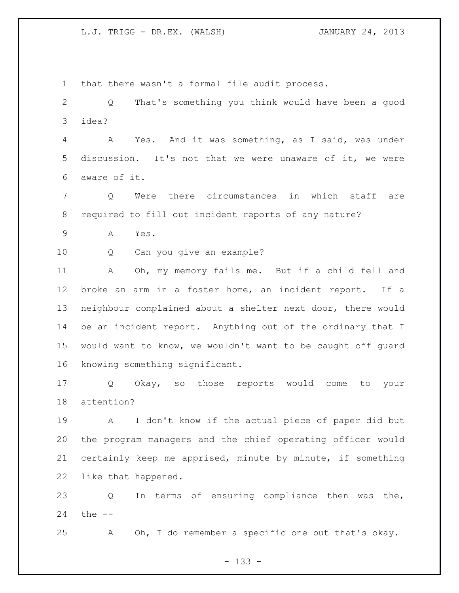that there wasn't a formal file audit process.

 Q That's something you think would have been a good idea?

 A Yes. And it was something, as I said, was under discussion. It's not that we were unaware of it, we were aware of it.

 Q Were there circumstances in which staff are required to fill out incident reports of any nature?

A Yes.

Q Can you give an example?

 A Oh, my memory fails me. But if a child fell and broke an arm in a foster home, an incident report. If a neighbour complained about a shelter next door, there would be an incident report. Anything out of the ordinary that I would want to know, we wouldn't want to be caught off guard knowing something significant.

 Q Okay, so those reports would come to your attention?

 A I don't know if the actual piece of paper did but the program managers and the chief operating officer would certainly keep me apprised, minute by minute, if something like that happened.

 Q In terms of ensuring compliance then was the, the --

A Oh, I do remember a specific one but that's okay.

- 133 -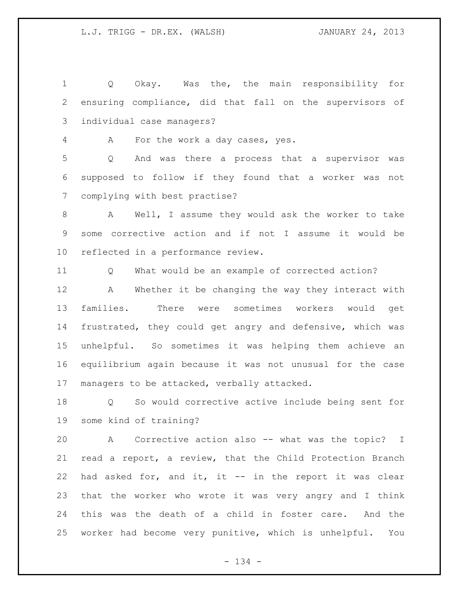Q Okay. Was the, the main responsibility for ensuring compliance, did that fall on the supervisors of individual case managers?

A For the work a day cases, yes.

 Q And was there a process that a supervisor was supposed to follow if they found that a worker was not complying with best practise?

 A Well, I assume they would ask the worker to take some corrective action and if not I assume it would be reflected in a performance review.

Q What would be an example of corrected action?

 A Whether it be changing the way they interact with families. There were sometimes workers would get frustrated, they could get angry and defensive, which was unhelpful. So sometimes it was helping them achieve an equilibrium again because it was not unusual for the case managers to be attacked, verbally attacked.

 Q So would corrective active include being sent for some kind of training?

 A Corrective action also -- what was the topic? I read a report, a review, that the Child Protection Branch had asked for, and it, it -- in the report it was clear that the worker who wrote it was very angry and I think this was the death of a child in foster care. And the worker had become very punitive, which is unhelpful. You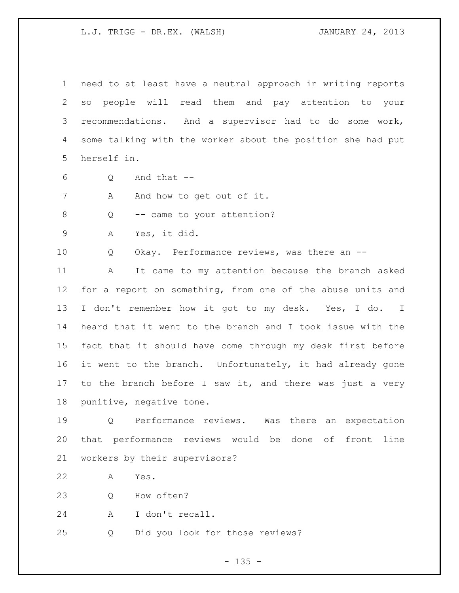need to at least have a neutral approach in writing reports so people will read them and pay attention to your recommendations. And a supervisor had to do some work, some talking with the worker about the position she had put herself in.

Q And that  $-$ 

7 A And how to get out of it.

8 Q -- came to your attention?

A Yes, it did.

Q Okay. Performance reviews, was there an --

 A It came to my attention because the branch asked 12 for a report on something, from one of the abuse units and 13 I don't remember how it got to my desk. Yes, I do. I heard that it went to the branch and I took issue with the fact that it should have come through my desk first before it went to the branch. Unfortunately, it had already gone to the branch before I saw it, and there was just a very punitive, negative tone.

 Q Performance reviews. Was there an expectation that performance reviews would be done of front line workers by their supervisors?

A Yes.

Q How often?

A I don't recall.

Q Did you look for those reviews?

 $- 135 -$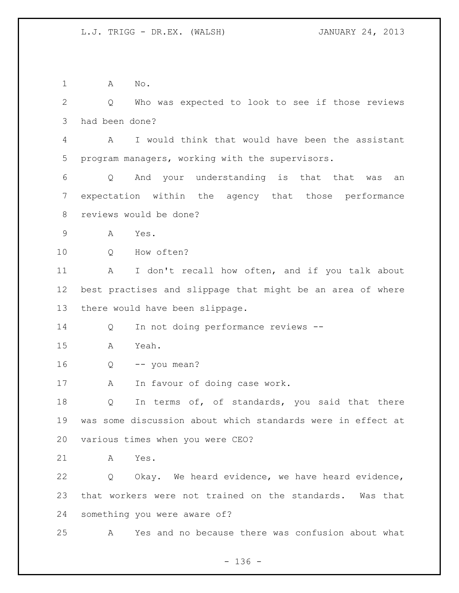1 A No. Q Who was expected to look to see if those reviews had been done? A I would think that would have been the assistant program managers, working with the supervisors. Q And your understanding is that that was an expectation within the agency that those performance reviews would be done? A Yes. 10 0 How often? A I don't recall how often, and if you talk about best practises and slippage that might be an area of where there would have been slippage. Q In not doing performance reviews -- A Yeah. Q  $-$  you mean? A In favour of doing case work. 18 Q In terms of, of standards, you said that there was some discussion about which standards were in effect at various times when you were CEO? A Yes. Q Okay. We heard evidence, we have heard evidence, that workers were not trained on the standards. Was that something you were aware of? A Yes and no because there was confusion about what

 $- 136 -$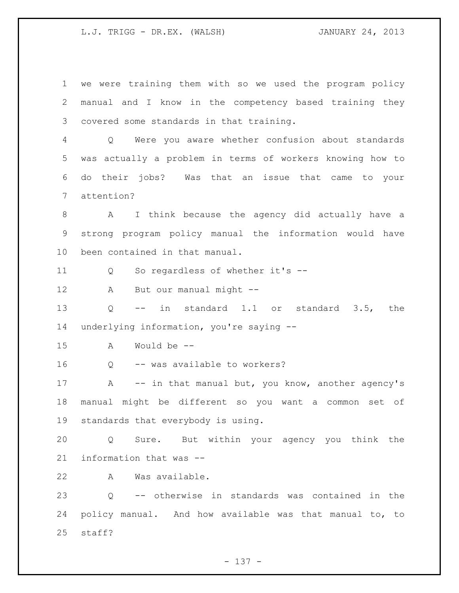we were training them with so we used the program policy manual and I know in the competency based training they covered some standards in that training. Q Were you aware whether confusion about standards was actually a problem in terms of workers knowing how to do their jobs? Was that an issue that came to your attention? A I think because the agency did actually have a strong program policy manual the information would have been contained in that manual. Q So regardless of whether it's -- A But our manual might -- Q -- in standard 1.1 or standard 3.5, the underlying information, you're saying -- A Would be -- Q -- was available to workers? 17 A -- in that manual but, you know, another agency's manual might be different so you want a common set of standards that everybody is using. Q Sure. But within your agency you think the information that was -- A Was available. Q -- otherwise in standards was contained in the policy manual. And how available was that manual to, to staff?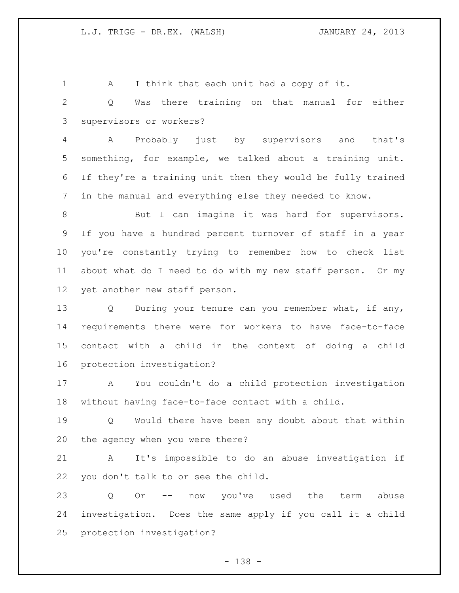1 A I think that each unit had a copy of it.

 Q Was there training on that manual for either supervisors or workers?

 A Probably just by supervisors and that's something, for example, we talked about a training unit. If they're a training unit then they would be fully trained in the manual and everything else they needed to know.

8 But I can imagine it was hard for supervisors. If you have a hundred percent turnover of staff in a year you're constantly trying to remember how to check list about what do I need to do with my new staff person. Or my yet another new staff person.

13 Q During your tenure can you remember what, if any, requirements there were for workers to have face-to-face contact with a child in the context of doing a child protection investigation?

 A You couldn't do a child protection investigation without having face-to-face contact with a child.

 Q Would there have been any doubt about that within the agency when you were there?

 A It's impossible to do an abuse investigation if you don't talk to or see the child.

 Q Or -- now you've used the term abuse investigation. Does the same apply if you call it a child protection investigation?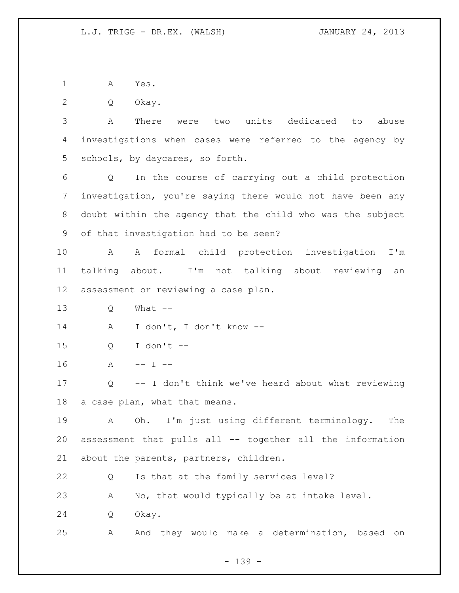A Yes.

Q Okay.

 A There were two units dedicated to abuse investigations when cases were referred to the agency by schools, by daycares, so forth.

 Q In the course of carrying out a child protection investigation, you're saying there would not have been any doubt within the agency that the child who was the subject of that investigation had to be seen?

 A A formal child protection investigation I'm talking about. I'm not talking about reviewing an assessment or reviewing a case plan.

Q What --

A I don't, I don't know --

Q I don't --

16 A -- I --

 Q -- I don't think we've heard about what reviewing a case plan, what that means.

 A Oh. I'm just using different terminology. The assessment that pulls all -- together all the information about the parents, partners, children.

Q Is that at the family services level?

A No, that would typically be at intake level.

Q Okay.

A And they would make a determination, based on

- 139 -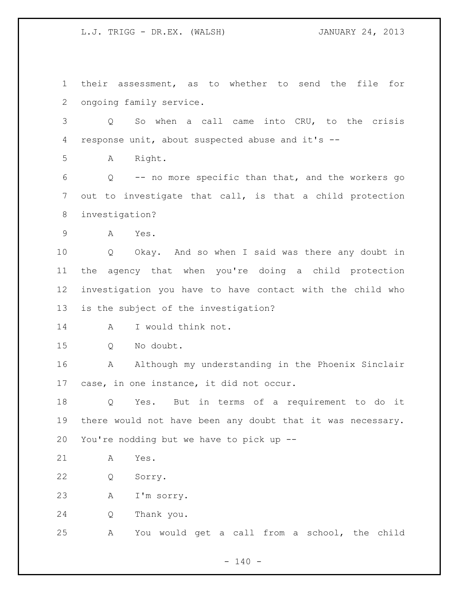their assessment, as to whether to send the file for ongoing family service.

 Q So when a call came into CRU, to the crisis response unit, about suspected abuse and it's --

A Right.

 Q -- no more specific than that, and the workers go out to investigate that call, is that a child protection investigation?

A Yes.

 Q Okay. And so when I said was there any doubt in the agency that when you're doing a child protection investigation you have to have contact with the child who is the subject of the investigation?

A I would think not.

Q No doubt.

 A Although my understanding in the Phoenix Sinclair case, in one instance, it did not occur.

 Q Yes. But in terms of a requirement to do it there would not have been any doubt that it was necessary. You're nodding but we have to pick up --

A Yes.

Q Sorry.

A I'm sorry.

Q Thank you.

A You would get a call from a school, the child

 $- 140 -$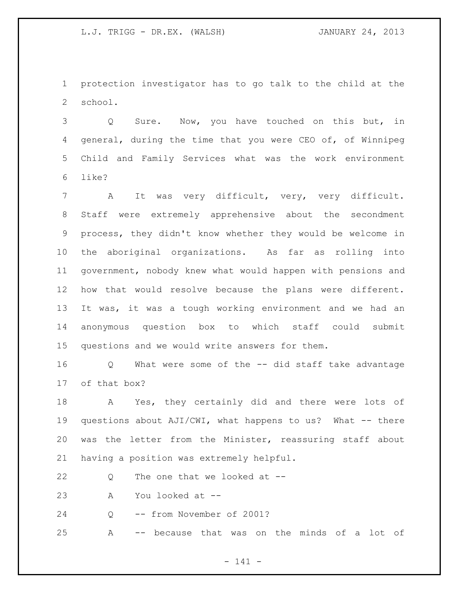protection investigator has to go talk to the child at the school.

 Q Sure. Now, you have touched on this but, in general, during the time that you were CEO of, of Winnipeg Child and Family Services what was the work environment like?

 A It was very difficult, very, very difficult. Staff were extremely apprehensive about the secondment process, they didn't know whether they would be welcome in the aboriginal organizations. As far as rolling into government, nobody knew what would happen with pensions and how that would resolve because the plans were different. It was, it was a tough working environment and we had an anonymous question box to which staff could submit questions and we would write answers for them.

 Q What were some of the -- did staff take advantage of that box?

 A Yes, they certainly did and there were lots of questions about AJI/CWI, what happens to us? What -- there was the letter from the Minister, reassuring staff about having a position was extremely helpful.

22 Q The one that we looked at --

A You looked at --

24 Q -- from November of 2001?

A -- because that was on the minds of a lot of

- 141 -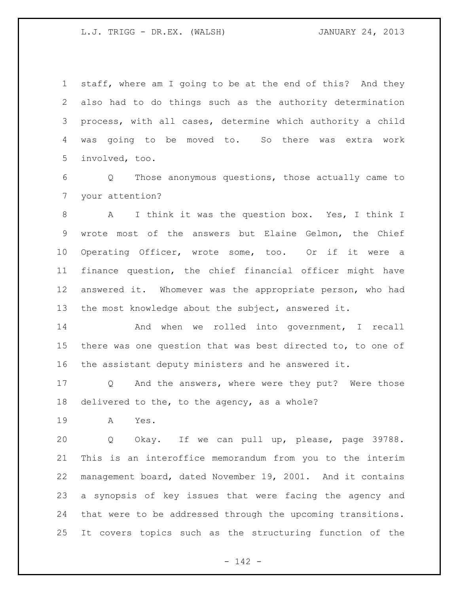staff, where am I going to be at the end of this? And they also had to do things such as the authority determination process, with all cases, determine which authority a child was going to be moved to. So there was extra work involved, too.

 Q Those anonymous questions, those actually came to your attention?

 A I think it was the question box. Yes, I think I wrote most of the answers but Elaine Gelmon, the Chief Operating Officer, wrote some, too. Or if it were a finance question, the chief financial officer might have answered it. Whomever was the appropriate person, who had the most knowledge about the subject, answered it.

 And when we rolled into government, I recall there was one question that was best directed to, to one of the assistant deputy ministers and he answered it.

 Q And the answers, where were they put? Were those delivered to the, to the agency, as a whole?

A Yes.

 Q Okay. If we can pull up, please, page 39788. This is an interoffice memorandum from you to the interim management board, dated November 19, 2001. And it contains a synopsis of key issues that were facing the agency and that were to be addressed through the upcoming transitions. It covers topics such as the structuring function of the

- 142 -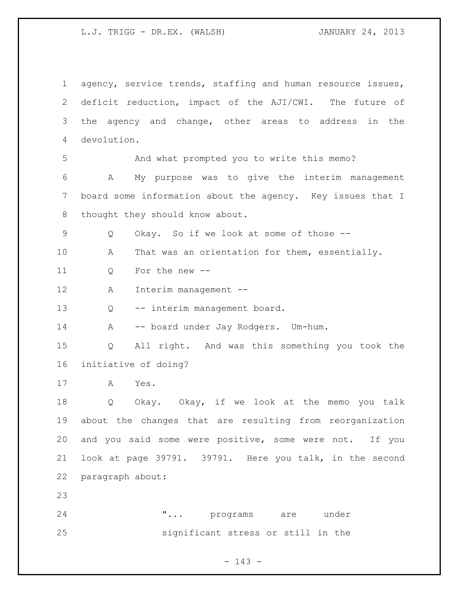agency, service trends, staffing and human resource issues, deficit reduction, impact of the AJI/CWI. The future of the agency and change, other areas to address in the devolution. And what prompted you to write this memo? A My purpose was to give the interim management board some information about the agency. Key issues that I 8 thought they should know about. Q Okay. So if we look at some of those -- A That was an orientation for them, essentially. Q For the new -- A Interim management -- Q -- interim management board. A -- board under Jay Rodgers. Um-hum. Q All right. And was this something you took the initiative of doing? A Yes. Q Okay. Okay, if we look at the memo you talk about the changes that are resulting from reorganization and you said some were positive, some were not. If you look at page 39791. 39791. Here you talk, in the second paragraph about: **"...** programs are under significant stress or still in the

- 143 -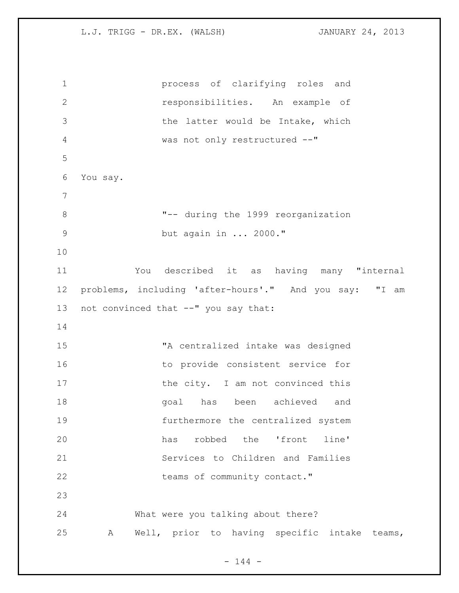process of clarifying roles and responsibilities. An example of 3 the latter would be Intake, which was not only restructured --" You say. "-- during the 1999 reorganization but again in ... 2000." You described it as having many "internal problems, including 'after-hours'." And you say: "I am not convinced that --" you say that: "A centralized intake was designed 16 to provide consistent service for 17 the city. I am not convinced this 18 and goal has been achieved and furthermore the centralized system has robbed the 'front line' Services to Children and Families 22 teams of community contact." What were you talking about there? A Well, prior to having specific intake teams,

 $- 144 -$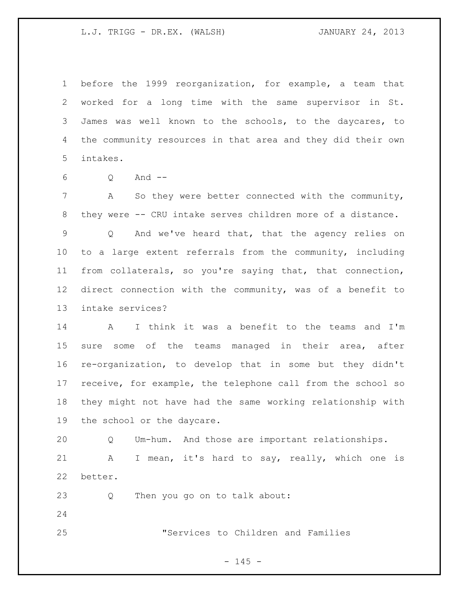before the 1999 reorganization, for example, a team that worked for a long time with the same supervisor in St. James was well known to the schools, to the daycares, to the community resources in that area and they did their own intakes.

Q And --

 A So they were better connected with the community, they were -- CRU intake serves children more of a distance. Q And we've heard that, that the agency relies on to a large extent referrals from the community, including from collaterals, so you're saying that, that connection, direct connection with the community, was of a benefit to intake services?

 A I think it was a benefit to the teams and I'm sure some of the teams managed in their area, after re-organization, to develop that in some but they didn't receive, for example, the telephone call from the school so they might not have had the same working relationship with the school or the daycare.

 Q Um-hum. And those are important relationships. A I mean, it's hard to say, really, which one is better.

Q Then you go on to talk about:

"Services to Children and Families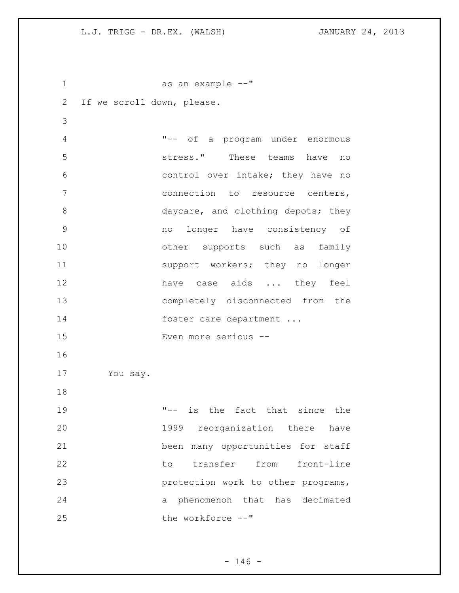as an example --" If we scroll down, please. "-- of a program under enormous stress." These teams have no control over intake; they have no connection to resource centers, 8 daycare, and clothing depots; they no longer have consistency of 10 other supports such as family 11 support workers; they no longer 12 have case aids ... they feel completely disconnected from the 14 foster care department ... Even more serious -- You say. "-- is the fact that since the 1999 reorganization there have been many opportunities for staff 22 to transfer from front-line protection work to other programs, a phenomenon that has decimated 25 the workforce  $--$ "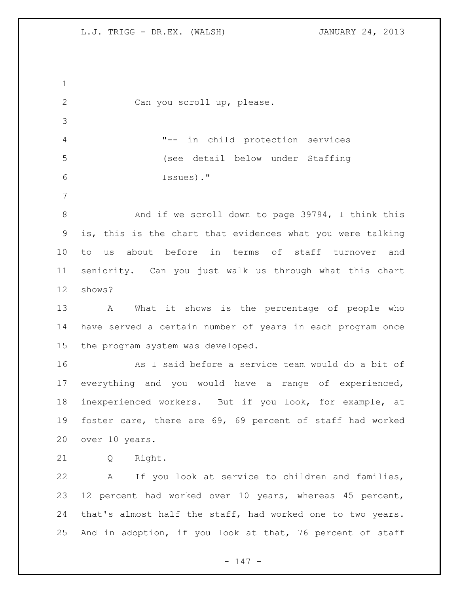Can you scroll up, please. "-- in child protection services (see detail below under Staffing Issues)." 8 And if we scroll down to page 39794, I think this is, this is the chart that evidences what you were talking to us about before in terms of staff turnover and seniority. Can you just walk us through what this chart shows? A What it shows is the percentage of people who have served a certain number of years in each program once the program system was developed. As I said before a service team would do a bit of everything and you would have a range of experienced, inexperienced workers. But if you look, for example, at foster care, there are 69, 69 percent of staff had worked over 10 years. Q Right. A If you look at service to children and families, 12 percent had worked over 10 years, whereas 45 percent, that's almost half the staff, had worked one to two years. And in adoption, if you look at that, 76 percent of staff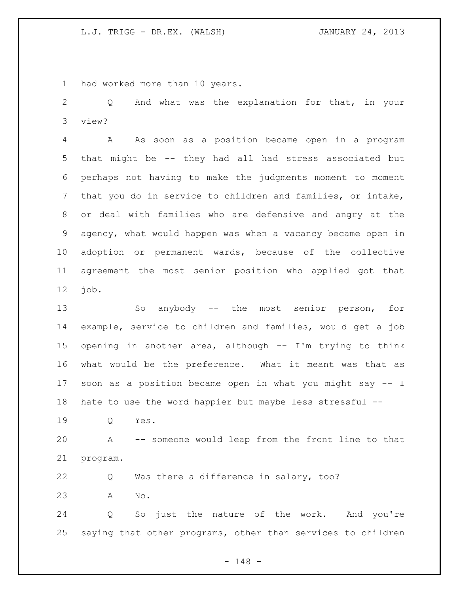had worked more than 10 years.

 Q And what was the explanation for that, in your view?

 A As soon as a position became open in a program that might be -- they had all had stress associated but perhaps not having to make the judgments moment to moment that you do in service to children and families, or intake, or deal with families who are defensive and angry at the agency, what would happen was when a vacancy became open in adoption or permanent wards, because of the collective agreement the most senior position who applied got that job.

 So anybody -- the most senior person, for example, service to children and families, would get a job opening in another area, although -- I'm trying to think what would be the preference. What it meant was that as soon as a position became open in what you might say -- I hate to use the word happier but maybe less stressful --

Q Yes.

 A -- someone would leap from the front line to that program.

 Q Was there a difference in salary, too? A No.

 Q So just the nature of the work. And you're saying that other programs, other than services to children

- 148 -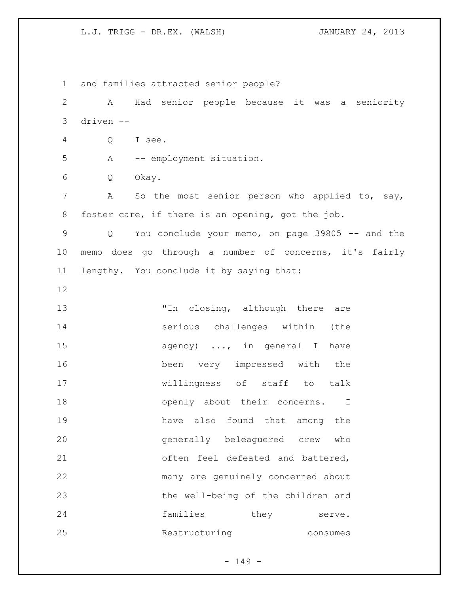and families attracted senior people? A Had senior people because it was a seniority driven -- Q I see. A -- employment situation. Q Okay. A So the most senior person who applied to, say, foster care, if there is an opening, got the job. Q You conclude your memo, on page 39805 -- and the memo does go through a number of concerns, it's fairly lengthy. You conclude it by saying that: 13 Th closing, although there are serious challenges within (the 15 agency) ..., in general I have been very impressed with the willingness of staff to talk 18 openly about their concerns. I have also found that among the generally beleaguered crew who 21 often feel defeated and battered, many are genuinely concerned about the well-being of the children and 24 families they serve. Restructuring consumes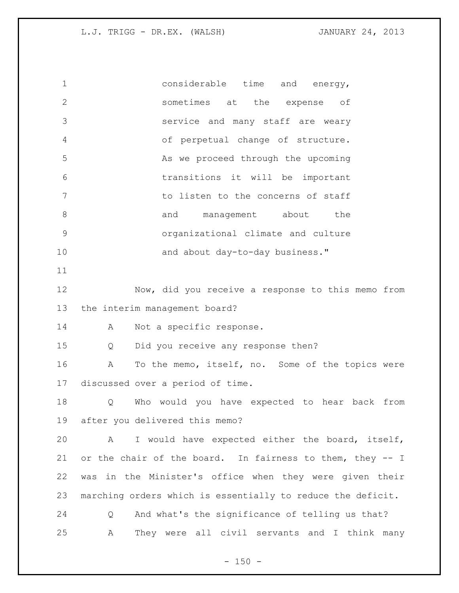considerable time and energy, sometimes at the expense of service and many staff are weary of perpetual change of structure. 5 As we proceed through the upcoming transitions it will be important 7 The concerns of staff to listen to the concerns of staff 8 and management about the organizational climate and culture 10 and about day-to-day business." Now, did you receive a response to this memo from the interim management board? A Not a specific response. Q Did you receive any response then? A To the memo, itself, no. Some of the topics were discussed over a period of time. Q Who would you have expected to hear back from after you delivered this memo? A I would have expected either the board, itself, or the chair of the board. In fairness to them, they -- I was in the Minister's office when they were given their marching orders which is essentially to reduce the deficit. Q And what's the significance of telling us that? A They were all civil servants and I think many

 $- 150 -$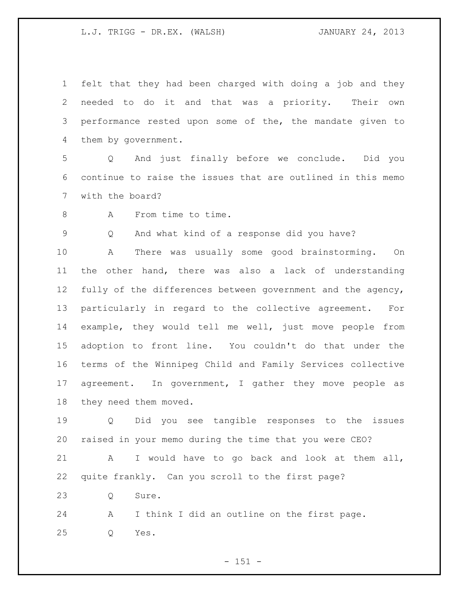felt that they had been charged with doing a job and they needed to do it and that was a priority. Their own performance rested upon some of the, the mandate given to them by government.

 Q And just finally before we conclude. Did you continue to raise the issues that are outlined in this memo with the board?

8 A From time to time.

Q And what kind of a response did you have?

 A There was usually some good brainstorming. On the other hand, there was also a lack of understanding fully of the differences between government and the agency, particularly in regard to the collective agreement. For example, they would tell me well, just move people from adoption to front line. You couldn't do that under the terms of the Winnipeg Child and Family Services collective 17 agreement. In government, I gather they move people as they need them moved.

 Q Did you see tangible responses to the issues raised in your memo during the time that you were CEO?

 A I would have to go back and look at them all, quite frankly. Can you scroll to the first page?

23 0 Sure.

 A I think I did an outline on the first page. Q Yes.

 $- 151 -$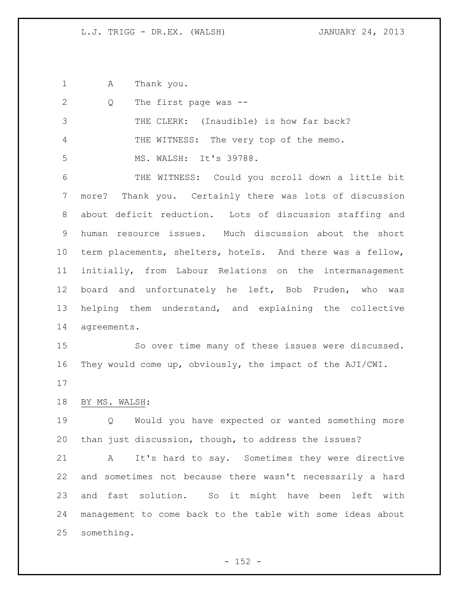A Thank you.

| 2             | The first page was --<br>Q                                 |
|---------------|------------------------------------------------------------|
| $\mathcal{S}$ | THE CLERK: (Inaudible) is how far back?                    |
| 4             | THE WITNESS: The very top of the memo.                     |
| 5             | MS. WALSH: It's 39788.                                     |
| 6             | THE WITNESS: Could you scroll down a little bit            |
| 7             | more? Thank you. Certainly there was lots of discussion    |
| 8             | about deficit reduction. Lots of discussion staffing and   |
| 9             | human resource issues. Much discussion about the short     |
| 10            | term placements, shelters, hotels. And there was a fellow, |
| 11            | initially, from Labour Relations on the intermanagement    |
| 12            | board and unfortunately he left, Bob Pruden, who was       |
| 13            | helping them understand, and explaining the collective     |
| 14            | agreements.                                                |
| 15            | So over time many of these issues were discussed.          |
| 16            | They would come up, obviously, the impact of the AJI/CWI.  |
| 17            |                                                            |
| 18            | BY MS. WALSH:                                              |
| 19            | Would you have expected or wanted something more<br>Q      |
| 20            | than just discussion, though, to address the issues?       |
| 21            | It's hard to say. Sometimes they were directive<br>A       |
| 22            | and sometimes not because there wasn't necessarily a hard  |
| 23            | fast solution. So it might have been<br>left with<br>and   |
| 24            | management to come back to the table with some ideas about |
| 25            | something.                                                 |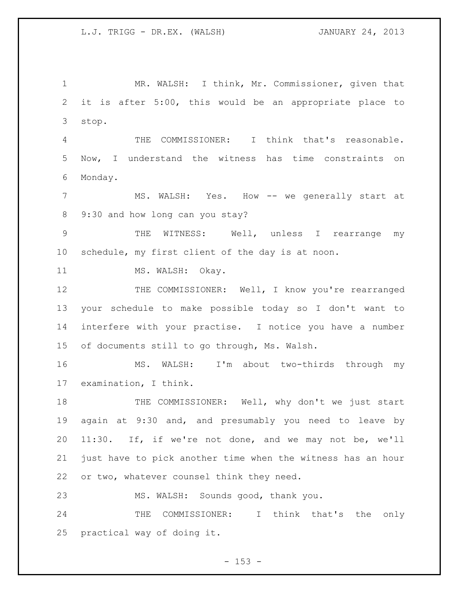MR. WALSH: I think, Mr. Commissioner, given that it is after 5:00, this would be an appropriate place to stop. THE COMMISSIONER: I think that's reasonable. Now, I understand the witness has time constraints on Monday. MS. WALSH: Yes. How -- we generally start at 9:30 and how long can you stay? THE WITNESS: Well, unless I rearrange my schedule, my first client of the day is at noon. 11 MS. WALSH: Okay. 12 THE COMMISSIONER: Well, I know you're rearranged your schedule to make possible today so I don't want to interfere with your practise. I notice you have a number of documents still to go through, Ms. Walsh. MS. WALSH: I'm about two-thirds through my examination, I think. 18 THE COMMISSIONER: Well, why don't we just start again at 9:30 and, and presumably you need to leave by 11:30. If, if we're not done, and we may not be, we'll just have to pick another time when the witness has an hour or two, whatever counsel think they need. MS. WALSH: Sounds good, thank you. 24 THE COMMISSIONER: I think that's the only practical way of doing it.

 $- 153 -$